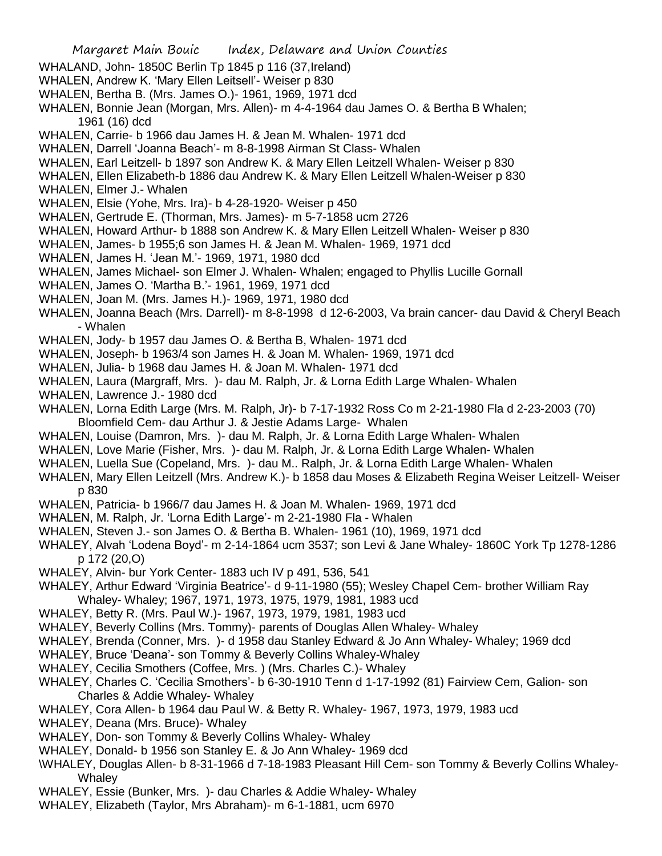- WHALAND, John- 1850C Berlin Tp 1845 p 116 (37,Ireland)
- WHALEN, Andrew K. 'Mary Ellen Leitsell'- Weiser p 830
- WHALEN, Bertha B. (Mrs. James O.)- 1961, 1969, 1971 dcd
- WHALEN, Bonnie Jean (Morgan, Mrs. Allen)- m 4-4-1964 dau James O. & Bertha B Whalen; 1961 (16) dcd
- WHALEN, Carrie- b 1966 dau James H. & Jean M. Whalen- 1971 dcd
- WHALEN, Darrell 'Joanna Beach'- m 8-8-1998 Airman St Class- Whalen
- WHALEN, Earl Leitzell- b 1897 son Andrew K. & Mary Ellen Leitzell Whalen- Weiser p 830
- WHALEN, Ellen Elizabeth-b 1886 dau Andrew K. & Mary Ellen Leitzell Whalen-Weiser p 830
- WHALEN, Elmer J.- Whalen
- WHALEN, Elsie (Yohe, Mrs. Ira)- b 4-28-1920- Weiser p 450
- WHALEN, Gertrude E. (Thorman, Mrs. James)- m 5-7-1858 ucm 2726
- WHALEN, Howard Arthur- b 1888 son Andrew K. & Mary Ellen Leitzell Whalen- Weiser p 830
- WHALEN, James- b 1955;6 son James H. & Jean M. Whalen- 1969, 1971 dcd
- WHALEN, James H. 'Jean M.'- 1969, 1971, 1980 dcd
- WHALEN, James Michael- son Elmer J. Whalen- Whalen; engaged to Phyllis Lucille Gornall
- WHALEN, James O. 'Martha B.'- 1961, 1969, 1971 dcd
- WHALEN, Joan M. (Mrs. James H.)- 1969, 1971, 1980 dcd
- WHALEN, Joanna Beach (Mrs. Darrell)- m 8-8-1998 d 12-6-2003, Va brain cancer- dau David & Cheryl Beach - Whalen
- WHALEN, Jody- b 1957 dau James O. & Bertha B, Whalen- 1971 dcd
- WHALEN, Joseph- b 1963/4 son James H. & Joan M. Whalen- 1969, 1971 dcd
- WHALEN, Julia- b 1968 dau James H. & Joan M. Whalen- 1971 dcd
- WHALEN, Laura (Margraff, Mrs. )- dau M. Ralph, Jr. & Lorna Edith Large Whalen- Whalen
- WHALEN, Lawrence J.- 1980 dcd
- WHALEN, Lorna Edith Large (Mrs. M. Ralph, Jr)- b 7-17-1932 Ross Co m 2-21-1980 Fla d 2-23-2003 (70) Bloomfield Cem- dau Arthur J. & Jestie Adams Large- Whalen
- WHALEN, Louise (Damron, Mrs. )- dau M. Ralph, Jr. & Lorna Edith Large Whalen- Whalen
- WHALEN, Love Marie (Fisher, Mrs. )- dau M. Ralph, Jr. & Lorna Edith Large Whalen- Whalen
- WHALEN, Luella Sue (Copeland, Mrs. )- dau M.. Ralph, Jr. & Lorna Edith Large Whalen- Whalen
- WHALEN, Mary Ellen Leitzell (Mrs. Andrew K.)- b 1858 dau Moses & Elizabeth Regina Weiser Leitzell- Weiser p 830
- WHALEN, Patricia- b 1966/7 dau James H. & Joan M. Whalen- 1969, 1971 dcd
- WHALEN, M. Ralph, Jr. 'Lorna Edith Large'- m 2-21-1980 Fla Whalen
- WHALEN, Steven J.- son James O. & Bertha B. Whalen- 1961 (10), 1969, 1971 dcd
- WHALEY, Alvah 'Lodena Boyd'- m 2-14-1864 ucm 3537; son Levi & Jane Whaley- 1860C York Tp 1278-1286 p 172 (20,O)
- WHALEY, Alvin- bur York Center- 1883 uch IV p 491, 536, 541
- WHALEY, Arthur Edward 'Virginia Beatrice'- d 9-11-1980 (55); Wesley Chapel Cem- brother William Ray Whaley- Whaley; 1967, 1971, 1973, 1975, 1979, 1981, 1983 ucd
- WHALEY, Betty R. (Mrs. Paul W.)- 1967, 1973, 1979, 1981, 1983 ucd
- WHALEY, Beverly Collins (Mrs. Tommy)- parents of Douglas Allen Whaley- Whaley
- WHALEY, Brenda (Conner, Mrs. )- d 1958 dau Stanley Edward & Jo Ann Whaley- Whaley; 1969 dcd
- WHALEY, Bruce 'Deana'- son Tommy & Beverly Collins Whaley-Whaley
- WHALEY, Cecilia Smothers (Coffee, Mrs. ) (Mrs. Charles C.)- Whaley
- WHALEY, Charles C. 'Cecilia Smothers'- b 6-30-1910 Tenn d 1-17-1992 (81) Fairview Cem, Galion- son Charles & Addie Whaley- Whaley
- WHALEY, Cora Allen- b 1964 dau Paul W. & Betty R. Whaley- 1967, 1973, 1979, 1983 ucd
- WHALEY, Deana (Mrs. Bruce)- Whaley
- WHALEY, Don- son Tommy & Beverly Collins Whaley- Whaley
- WHALEY, Donald- b 1956 son Stanley E. & Jo Ann Whaley- 1969 dcd
- \WHALEY, Douglas Allen- b 8-31-1966 d 7-18-1983 Pleasant Hill Cem- son Tommy & Beverly Collins Whaley-**Whaley**
- WHALEY, Essie (Bunker, Mrs. )- dau Charles & Addie Whaley- Whaley
- WHALEY, Elizabeth (Taylor, Mrs Abraham)- m 6-1-1881, ucm 6970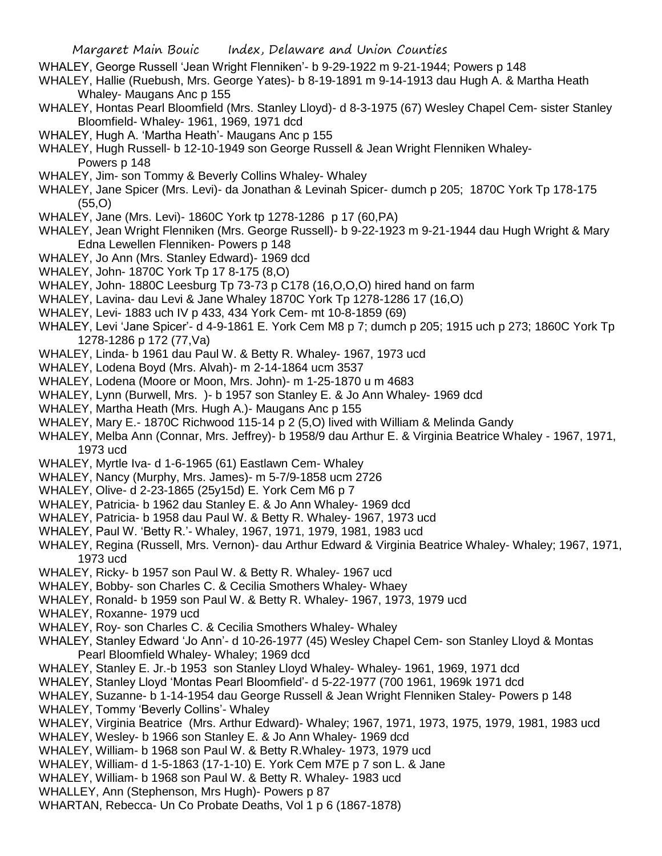- WHALEY, George Russell 'Jean Wright Flenniken'- b 9-29-1922 m 9-21-1944; Powers p 148
- WHALEY, Hallie (Ruebush, Mrs. George Yates)- b 8-19-1891 m 9-14-1913 dau Hugh A. & Martha Heath Whaley- Maugans Anc p 155
- WHALEY, Hontas Pearl Bloomfield (Mrs. Stanley Lloyd)- d 8-3-1975 (67) Wesley Chapel Cem- sister Stanley Bloomfield- Whaley- 1961, 1969, 1971 dcd
- WHALEY, Hugh A. 'Martha Heath'- Maugans Anc p 155
- WHALEY, Hugh Russell- b 12-10-1949 son George Russell & Jean Wright Flenniken Whaley-Powers p 148
- WHALEY, Jim- son Tommy & Beverly Collins Whaley- Whaley
- WHALEY, Jane Spicer (Mrs. Levi)- da Jonathan & Levinah Spicer- dumch p 205; 1870C York Tp 178-175 (55,O)
- WHALEY, Jane (Mrs. Levi)- 1860C York tp 1278-1286 p 17 (60,PA)
- WHALEY, Jean Wright Flenniken (Mrs. George Russell)- b 9-22-1923 m 9-21-1944 dau Hugh Wright & Mary Edna Lewellen Flenniken- Powers p 148
- WHALEY, Jo Ann (Mrs. Stanley Edward)- 1969 dcd
- WHALEY, John- 1870C York Tp 17 8-175 (8,O)
- WHALEY, John- 1880C Leesburg Tp 73-73 p C178 (16,O,O,O) hired hand on farm
- WHALEY, Lavina- dau Levi & Jane Whaley 1870C York Tp 1278-1286 17 (16,O)
- WHALEY, Levi- 1883 uch IV p 433, 434 York Cem- mt 10-8-1859 (69)
- WHALEY, Levi 'Jane Spicer'- d 4-9-1861 E. York Cem M8 p 7; dumch p 205; 1915 uch p 273; 1860C York Tp 1278-1286 p 172 (77,Va)
- WHALEY, Linda- b 1961 dau Paul W. & Betty R. Whaley- 1967, 1973 ucd
- WHALEY, Lodena Boyd (Mrs. Alvah)- m 2-14-1864 ucm 3537
- WHALEY, Lodena (Moore or Moon, Mrs. John)- m 1-25-1870 u m 4683
- WHALEY, Lynn (Burwell, Mrs. )- b 1957 son Stanley E. & Jo Ann Whaley- 1969 dcd
- WHALEY, Martha Heath (Mrs. Hugh A.)- Maugans Anc p 155
- WHALEY, Mary E.- 1870C Richwood 115-14 p 2 (5,O) lived with William & Melinda Gandy
- WHALEY, Melba Ann (Connar, Mrs. Jeffrey)- b 1958/9 dau Arthur E. & Virginia Beatrice Whaley 1967, 1971, 1973 ucd
- WHALEY, Myrtle Iva- d 1-6-1965 (61) Eastlawn Cem- Whaley
- WHALEY, Nancy (Murphy, Mrs. James)- m 5-7/9-1858 ucm 2726
- WHALEY, Olive- d 2-23-1865 (25y15d) E. York Cem M6 p 7
- WHALEY, Patricia- b 1962 dau Stanley E. & Jo Ann Whaley- 1969 dcd
- WHALEY, Patricia- b 1958 dau Paul W. & Betty R. Whaley- 1967, 1973 ucd
- WHALEY, Paul W. 'Betty R.'- Whaley, 1967, 1971, 1979, 1981, 1983 ucd
- WHALEY, Regina (Russell, Mrs. Vernon)- dau Arthur Edward & Virginia Beatrice Whaley- Whaley; 1967, 1971, 1973 ucd
- WHALEY, Ricky- b 1957 son Paul W. & Betty R. Whaley- 1967 ucd
- WHALEY, Bobby- son Charles C. & Cecilia Smothers Whaley- Whaey
- WHALEY, Ronald- b 1959 son Paul W. & Betty R. Whaley- 1967, 1973, 1979 ucd
- WHALEY, Roxanne- 1979 ucd
- WHALEY, Roy- son Charles C. & Cecilia Smothers Whaley- Whaley
- WHALEY, Stanley Edward 'Jo Ann'- d 10-26-1977 (45) Wesley Chapel Cem- son Stanley Lloyd & Montas Pearl Bloomfield Whaley- Whaley; 1969 dcd
- WHALEY, Stanley E. Jr.-b 1953 son Stanley Lloyd Whaley- Whaley- 1961, 1969, 1971 dcd
- WHALEY, Stanley Lloyd 'Montas Pearl Bloomfield'- d 5-22-1977 (700 1961, 1969k 1971 dcd
- WHALEY, Suzanne- b 1-14-1954 dau George Russell & Jean Wright Flenniken Staley- Powers p 148
- WHALEY, Tommy 'Beverly Collins'- Whaley
- WHALEY, Virginia Beatrice (Mrs. Arthur Edward)- Whaley; 1967, 1971, 1973, 1975, 1979, 1981, 1983 ucd
- WHALEY, Wesley- b 1966 son Stanley E. & Jo Ann Whaley- 1969 dcd
- WHALEY, William- b 1968 son Paul W. & Betty R.Whaley- 1973, 1979 ucd
- WHALEY, William- d 1-5-1863 (17-1-10) E. York Cem M7E p 7 son L. & Jane
- WHALEY, William- b 1968 son Paul W. & Betty R. Whaley- 1983 ucd
- WHALLEY, Ann (Stephenson, Mrs Hugh)- Powers p 87
- WHARTAN, Rebecca- Un Co Probate Deaths, Vol 1 p 6 (1867-1878)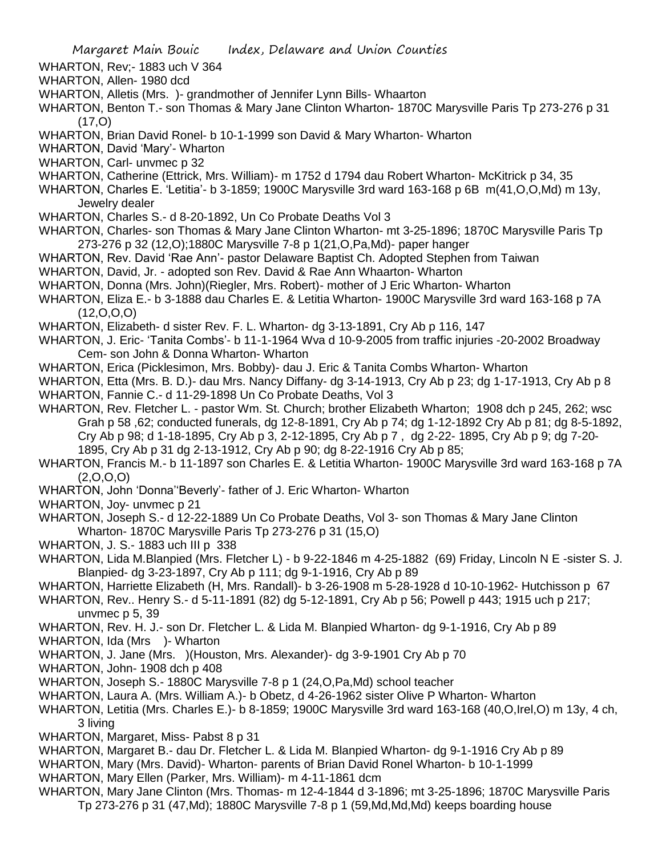WHARTON, Rev;- 1883 uch V 364

- WHARTON, Allen- 1980 dcd
- WHARTON, Alletis (Mrs. )- grandmother of Jennifer Lynn Bills- Whaarton
- WHARTON, Benton T.- son Thomas & Mary Jane Clinton Wharton- 1870C Marysville Paris Tp 273-276 p 31  $(17, 0)$
- WHARTON, Brian David Ronel- b 10-1-1999 son David & Mary Wharton- Wharton
- WHARTON, David 'Mary'- Wharton
- WHARTON, Carl- unvmec p 32
- WHARTON, Catherine (Ettrick, Mrs. William)- m 1752 d 1794 dau Robert Wharton- McKitrick p 34, 35
- WHARTON, Charles E. 'Letitia'- b 3-1859; 1900C Marysville 3rd ward 163-168 p 6B m(41,O,O,Md) m 13y, Jewelry dealer
- WHARTON, Charles S.- d 8-20-1892, Un Co Probate Deaths Vol 3
- WHARTON, Charles- son Thomas & Mary Jane Clinton Wharton- mt 3-25-1896; 1870C Marysville Paris Tp 273-276 p 32 (12,O);1880C Marysville 7-8 p 1(21,O,Pa,Md)- paper hanger
- WHARTON, Rev. David 'Rae Ann'- pastor Delaware Baptist Ch. Adopted Stephen from Taiwan
- WHARTON, David, Jr. adopted son Rev. David & Rae Ann Whaarton- Wharton
- WHARTON, Donna (Mrs. John)(Riegler, Mrs. Robert)- mother of J Eric Wharton- Wharton
- WHARTON, Eliza E.- b 3-1888 dau Charles E. & Letitia Wharton- 1900C Marysville 3rd ward 163-168 p 7A  $(12, 0, 0, 0)$
- WHARTON, Elizabeth- d sister Rev. F. L. Wharton- dg 3-13-1891, Cry Ab p 116, 147
- WHARTON, J. Eric- 'Tanita Combs'- b 11-1-1964 Wva d 10-9-2005 from traffic injuries -20-2002 Broadway Cem- son John & Donna Wharton- Wharton
- WHARTON, Erica (Picklesimon, Mrs. Bobby)- dau J. Eric & Tanita Combs Wharton- Wharton
- WHARTON, Etta (Mrs. B. D.)- dau Mrs. Nancy Diffany- dg 3-14-1913, Cry Ab p 23; dg 1-17-1913, Cry Ab p 8
- WHARTON, Fannie C.- d 11-29-1898 Un Co Probate Deaths, Vol 3
- WHARTON, Rev. Fletcher L. pastor Wm. St. Church; brother Elizabeth Wharton; 1908 dch p 245, 262; wsc Grah p 58 ,62; conducted funerals, dg 12-8-1891, Cry Ab p 74; dg 1-12-1892 Cry Ab p 81; dg 8-5-1892, Cry Ab p 98; d 1-18-1895, Cry Ab p 3, 2-12-1895, Cry Ab p 7 , dg 2-22- 1895, Cry Ab p 9; dg 7-20- 1895, Cry Ab p 31 dg 2-13-1912, Cry Ab p 90; dg 8-22-1916 Cry Ab p 85;
- WHARTON, Francis M.- b 11-1897 son Charles E. & Letitia Wharton- 1900C Marysville 3rd ward 163-168 p 7A  $(2,0,0,0)$
- WHARTON, John 'Donna''Beverly'- father of J. Eric Wharton- Wharton
- WHARTON, Joy- unvmec p 21
- WHARTON, Joseph S.- d 12-22-1889 Un Co Probate Deaths, Vol 3- son Thomas & Mary Jane Clinton Wharton- 1870C Marysville Paris Tp 273-276 p 31 (15,O)
- WHARTON, J. S.- 1883 uch III p 338
- WHARTON, Lida M.Blanpied (Mrs. Fletcher L) b 9-22-1846 m 4-25-1882 (69) Friday, Lincoln N E -sister S. J. Blanpied- dg 3-23-1897, Cry Ab p 111; dg 9-1-1916, Cry Ab p 89
- WHARTON, Harriette Elizabeth (H, Mrs. Randall)- b 3-26-1908 m 5-28-1928 d 10-10-1962- Hutchisson p 67
- WHARTON, Rev.. Henry S.- d 5-11-1891 (82) dg 5-12-1891, Cry Ab p 56; Powell p 443; 1915 uch p 217; unvmec p 5, 39
- WHARTON, Rev. H. J.- son Dr. Fletcher L. & Lida M. Blanpied Wharton- dg 9-1-1916, Cry Ab p 89
- WHARTON, Ida (Mrs )- Wharton
- WHARTON, J. Jane (Mrs. )(Houston, Mrs. Alexander)- dg 3-9-1901 Cry Ab p 70
- WHARTON, John- 1908 dch p 408
- WHARTON, Joseph S.- 1880C Marysville 7-8 p 1 (24,O,Pa,Md) school teacher
- WHARTON, Laura A. (Mrs. William A.)- b Obetz, d 4-26-1962 sister Olive P Wharton- Wharton
- WHARTON, Letitia (Mrs. Charles E.)- b 8-1859; 1900C Marysville 3rd ward 163-168 (40,O,Irel,O) m 13y, 4 ch, 3 living
- WHARTON, Margaret, Miss- Pabst 8 p 31
- WHARTON, Margaret B.- dau Dr. Fletcher L. & Lida M. Blanpied Wharton- dg 9-1-1916 Cry Ab p 89
- WHARTON, Mary (Mrs. David)- Wharton- parents of Brian David Ronel Wharton- b 10-1-1999
- WHARTON, Mary Ellen (Parker, Mrs. William)- m 4-11-1861 dcm
- WHARTON, Mary Jane Clinton (Mrs. Thomas- m 12-4-1844 d 3-1896; mt 3-25-1896; 1870C Marysville Paris Tp 273-276 p 31 (47,Md); 1880C Marysville 7-8 p 1 (59,Md,Md,Md) keeps boarding house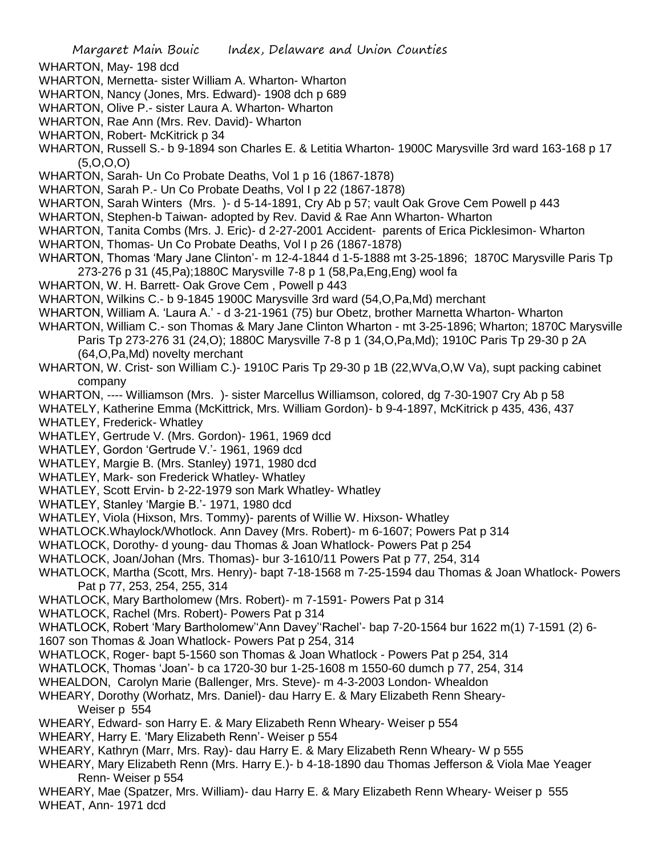- WHARTON, May- 198 dcd
- WHARTON, Mernetta- sister William A. Wharton- Wharton
- WHARTON, Nancy (Jones, Mrs. Edward)- 1908 dch p 689
- WHARTON, Olive P.- sister Laura A. Wharton- Wharton
- WHARTON, Rae Ann (Mrs. Rev. David)- Wharton
- WHARTON, Robert- McKitrick p 34
- WHARTON, Russell S.- b 9-1894 son Charles E. & Letitia Wharton- 1900C Marysville 3rd ward 163-168 p 17  $(5,0,0,0)$
- WHARTON, Sarah- Un Co Probate Deaths, Vol 1 p 16 (1867-1878)
- WHARTON, Sarah P.- Un Co Probate Deaths, Vol I p 22 (1867-1878)
- WHARTON, Sarah Winters (Mrs. )- d 5-14-1891, Cry Ab p 57; vault Oak Grove Cem Powell p 443
- WHARTON, Stephen-b Taiwan- adopted by Rev. David & Rae Ann Wharton- Wharton
- WHARTON, Tanita Combs (Mrs. J. Eric)- d 2-27-2001 Accident- parents of Erica Picklesimon- Wharton
- WHARTON, Thomas- Un Co Probate Deaths, Vol I p 26 (1867-1878)
- WHARTON, Thomas 'Mary Jane Clinton'- m 12-4-1844 d 1-5-1888 mt 3-25-1896; 1870C Marysville Paris Tp 273-276 p 31 (45,Pa);1880C Marysville 7-8 p 1 (58,Pa,Eng,Eng) wool fa
- WHARTON, W. H. Barrett- Oak Grove Cem , Powell p 443
- WHARTON, Wilkins C.- b 9-1845 1900C Marysville 3rd ward (54,O,Pa,Md) merchant
- WHARTON, William A. 'Laura A.' d 3-21-1961 (75) bur Obetz, brother Marnetta Wharton- Wharton
- WHARTON, William C.- son Thomas & Mary Jane Clinton Wharton mt 3-25-1896; Wharton; 1870C Marysville Paris Tp 273-276 31 (24,O); 1880C Marysville 7-8 p 1 (34,O,Pa,Md); 1910C Paris Tp 29-30 p 2A (64,O,Pa,Md) novelty merchant
- WHARTON, W. Crist- son William C.)-1910C Paris Tp 29-30 p 1B (22, WVa, O, WVa), supt packing cabinet company
- WHARTON, ---- Williamson (Mrs. )- sister Marcellus Williamson, colored, dg 7-30-1907 Cry Ab p 58
- WHATELY, Katherine Emma (McKittrick, Mrs. William Gordon)- b 9-4-1897, McKitrick p 435, 436, 437 WHATLEY, Frederick- Whatley
- WHATLEY, Gertrude V. (Mrs. Gordon)- 1961, 1969 dcd
- WHATLEY, Gordon 'Gertrude V.'- 1961, 1969 dcd
- WHATLEY, Margie B. (Mrs. Stanley) 1971, 1980 dcd
- WHATLEY, Mark- son Frederick Whatley- Whatley
- WHATLEY, Scott Ervin- b 2-22-1979 son Mark Whatley- Whatley
- WHATLEY, Stanley 'Margie B.'- 1971, 1980 dcd
- WHATLEY, Viola (Hixson, Mrs. Tommy)- parents of Willie W. Hixson- Whatley
- WHATLOCK.Whaylock/Whotlock. Ann Davey (Mrs. Robert)- m 6-1607; Powers Pat p 314
- WHATLOCK, Dorothy- d young- dau Thomas & Joan Whatlock- Powers Pat p 254
- WHATLOCK, Joan/Johan (Mrs. Thomas)- bur 3-1610/11 Powers Pat p 77, 254, 314
- WHATLOCK, Martha (Scott, Mrs. Henry)- bapt 7-18-1568 m 7-25-1594 dau Thomas & Joan Whatlock- Powers Pat p 77, 253, 254, 255, 314
- WHATLOCK, Mary Bartholomew (Mrs. Robert)- m 7-1591- Powers Pat p 314
- WHATLOCK, Rachel (Mrs. Robert)- Powers Pat p 314
- WHATLOCK, Robert 'Mary Bartholomew''Ann Davey''Rachel'- bap 7-20-1564 bur 1622 m(1) 7-1591 (2) 6-
- 1607 son Thomas & Joan Whatlock- Powers Pat p 254, 314
- WHATLOCK, Roger- bapt 5-1560 son Thomas & Joan Whatlock Powers Pat p 254, 314
- WHATLOCK, Thomas 'Joan'- b ca 1720-30 bur 1-25-1608 m 1550-60 dumch p 77, 254, 314
- WHEALDON, Carolyn Marie (Ballenger, Mrs. Steve)- m 4-3-2003 London- Whealdon
- WHEARY, Dorothy (Worhatz, Mrs. Daniel)- dau Harry E. & Mary Elizabeth Renn Sheary-Weiser p 554
- WHEARY, Edward- son Harry E. & Mary Elizabeth Renn Wheary- Weiser p 554
- WHEARY, Harry E. 'Mary Elizabeth Renn'- Weiser p 554
- WHEARY, Kathryn (Marr, Mrs. Ray)- dau Harry E. & Mary Elizabeth Renn Wheary- W p 555
- WHEARY, Mary Elizabeth Renn (Mrs. Harry E.)- b 4-18-1890 dau Thomas Jefferson & Viola Mae Yeager Renn- Weiser p 554
- WHEARY, Mae (Spatzer, Mrs. William)- dau Harry E. & Mary Elizabeth Renn Wheary- Weiser p 555 WHEAT, Ann- 1971 dcd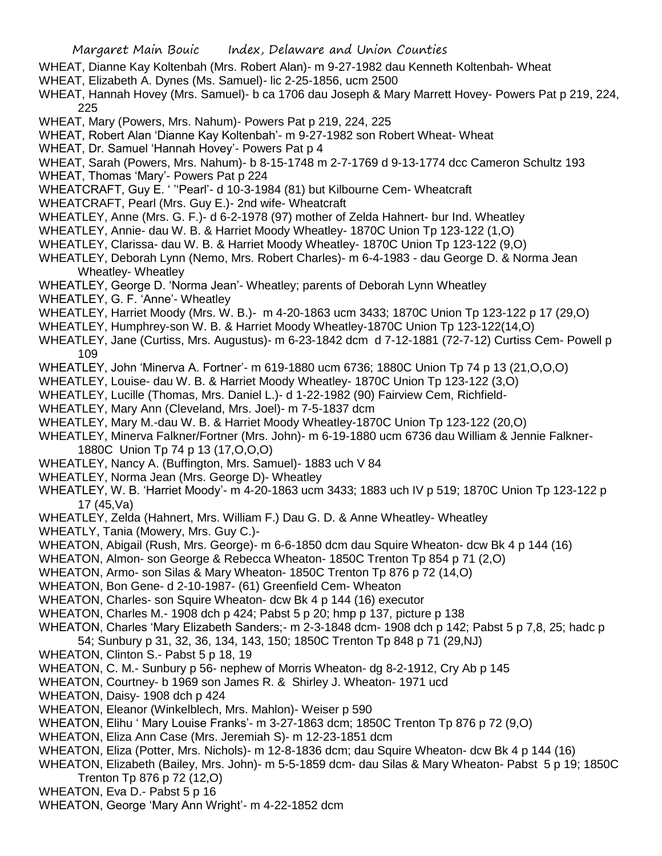- WHEAT, Dianne Kay Koltenbah (Mrs. Robert Alan)- m 9-27-1982 dau Kenneth Koltenbah- Wheat
- WHEAT, Elizabeth A. Dynes (Ms. Samuel)- lic 2-25-1856, ucm 2500
- WHEAT, Hannah Hovey (Mrs. Samuel)- b ca 1706 dau Joseph & Mary Marrett Hovey- Powers Pat p 219, 224, 225
- WHEAT, Mary (Powers, Mrs. Nahum)- Powers Pat p 219, 224, 225
- WHEAT, Robert Alan 'Dianne Kay Koltenbah'- m 9-27-1982 son Robert Wheat- Wheat
- WHEAT, Dr. Samuel 'Hannah Hovey'- Powers Pat p 4
- WHEAT, Sarah (Powers, Mrs. Nahum)- b 8-15-1748 m 2-7-1769 d 9-13-1774 dcc Cameron Schultz 193
- WHEAT, Thomas 'Mary'- Powers Pat p 224
- WHEATCRAFT, Guy E. ' ''Pearl'- d 10-3-1984 (81) but Kilbourne Cem- Wheatcraft
- WHEATCRAFT, Pearl (Mrs. Guy E.)- 2nd wife- Wheatcraft
- WHEATLEY, Anne (Mrs. G. F.)- d 6-2-1978 (97) mother of Zelda Hahnert- bur Ind. Wheatley
- WHEATLEY, Annie- dau W. B. & Harriet Moody Wheatley- 1870C Union Tp 123-122 (1,O)
- WHEATLEY, Clarissa- dau W. B. & Harriet Moody Wheatley- 1870C Union Tp 123-122 (9,O)
- WHEATLEY, Deborah Lynn (Nemo, Mrs. Robert Charles)- m 6-4-1983 dau George D. & Norma Jean Wheatley- Wheatley
- WHEATLEY, George D. 'Norma Jean'- Wheatley; parents of Deborah Lynn Wheatley
- WHEATLEY, G. F. 'Anne'- Wheatley
- WHEATLEY, Harriet Moody (Mrs. W. B.)- m 4-20-1863 ucm 3433; 1870C Union Tp 123-122 p 17 (29,O)
- WHEATLEY, Humphrey-son W. B. & Harriet Moody Wheatley-1870C Union Tp 123-122(14,O)
- WHEATLEY, Jane (Curtiss, Mrs. Augustus)- m 6-23-1842 dcm d 7-12-1881 (72-7-12) Curtiss Cem- Powell p 109
- WHEATLEY, John 'Minerva A. Fortner'- m 619-1880 ucm 6736; 1880C Union Tp 74 p 13 (21,O,O,O)
- WHEATLEY, Louise- dau W. B. & Harriet Moody Wheatley- 1870C Union Tp 123-122 (3,O)
- WHEATLEY, Lucille (Thomas, Mrs. Daniel L.)- d 1-22-1982 (90) Fairview Cem, Richfield-
- WHEATLEY, Mary Ann (Cleveland, Mrs. Joel)- m 7-5-1837 dcm
- WHEATLEY, Mary M.-dau W. B. & Harriet Moody Wheatley-1870C Union Tp 123-122 (20,O)
- WHEATLEY, Minerva Falkner/Fortner (Mrs. John)- m 6-19-1880 ucm 6736 dau William & Jennie Falkner-1880C Union Tp 74 p 13 (17,O,O,O)
- WHEATLEY, Nancy A. (Buffington, Mrs. Samuel)- 1883 uch V 84
- WHEATLEY, Norma Jean (Mrs. George D)- Wheatley
- WHEATLEY, W. B. 'Harriet Moody'- m 4-20-1863 ucm 3433; 1883 uch IV p 519; 1870C Union Tp 123-122 p 17 (45,Va)
- WHEATLEY, Zelda (Hahnert, Mrs. William F.) Dau G. D. & Anne Wheatley- Wheatley
- WHEATLY, Tania (Mowery, Mrs. Guy C.)-
- WHEATON, Abigail (Rush, Mrs. George)- m 6-6-1850 dcm dau Squire Wheaton- dcw Bk 4 p 144 (16)
- WHEATON, Almon- son George & Rebecca Wheaton- 1850C Trenton Tp 854 p 71 (2,O)
- WHEATON, Armo- son Silas & Mary Wheaton- 1850C Trenton Tp 876 p 72 (14,O)
- WHEATON, Bon Gene- d 2-10-1987- (61) Greenfield Cem- Wheaton
- WHEATON, Charles- son Squire Wheaton- dcw Bk 4 p 144 (16) executor
- WHEATON, Charles M.- 1908 dch p 424; Pabst 5 p 20; hmp p 137, picture p 138
- WHEATON, Charles 'Mary Elizabeth Sanders;- m 2-3-1848 dcm- 1908 dch p 142; Pabst 5 p 7,8, 25; hadc p 54; Sunbury p 31, 32, 36, 134, 143, 150; 1850C Trenton Tp 848 p 71 (29,NJ)
- WHEATON, Clinton S.- Pabst 5 p 18, 19
- WHEATON, C. M.- Sunbury p 56- nephew of Morris Wheaton- dg 8-2-1912, Cry Ab p 145
- WHEATON, Courtney- b 1969 son James R. & Shirley J. Wheaton- 1971 ucd
- WHEATON, Daisy- 1908 dch p 424
- WHEATON, Eleanor (Winkelblech, Mrs. Mahlon)- Weiser p 590
- WHEATON, Elihu ' Mary Louise Franks'- m 3-27-1863 dcm; 1850C Trenton Tp 876 p 72 (9,O)
- WHEATON, Eliza Ann Case (Mrs. Jeremiah S)- m 12-23-1851 dcm
- WHEATON, Eliza (Potter, Mrs. Nichols)- m 12-8-1836 dcm; dau Squire Wheaton- dcw Bk 4 p 144 (16)
- WHEATON, Elizabeth (Bailey, Mrs. John)- m 5-5-1859 dcm- dau Silas & Mary Wheaton- Pabst 5 p 19; 1850C Trenton Tp 876 p 72 (12,O)
- WHEATON, Eva D.- Pabst 5 p 16
- WHEATON, George 'Mary Ann Wright'- m 4-22-1852 dcm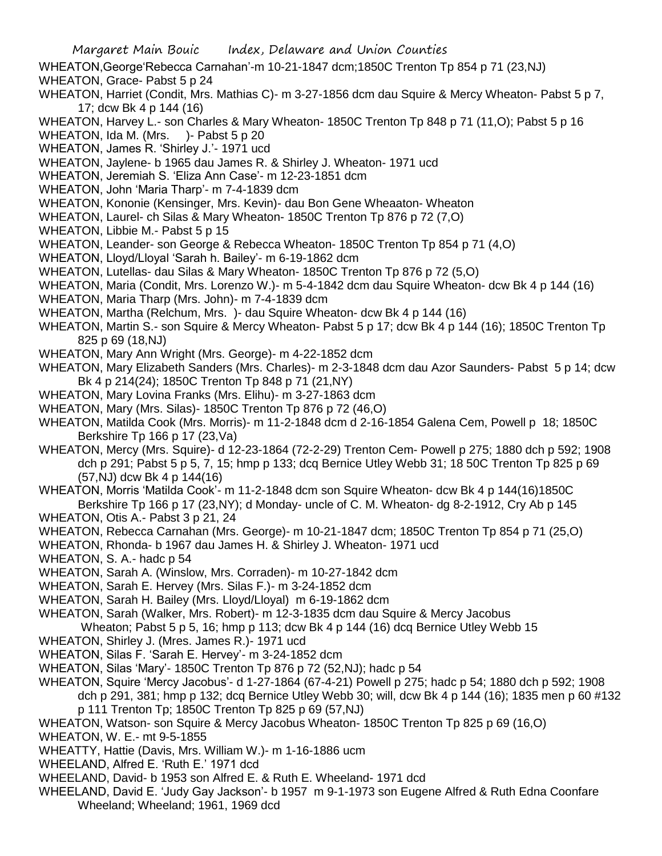- Margaret Main Bouic Index, Delaware and Union Counties WHEATON,George'Rebecca Carnahan'-m 10-21-1847 dcm;1850C Trenton Tp 854 p 71 (23,NJ) WHEATON, Grace- Pabst 5 p 24 WHEATON, Harriet (Condit, Mrs. Mathias C)- m 3-27-1856 dcm dau Squire & Mercy Wheaton- Pabst 5 p 7, 17; dcw Bk 4 p 144 (16) WHEATON, Harvey L.- son Charles & Mary Wheaton- 1850C Trenton Tp 848 p 71 (11, O); Pabst 5 p 16 WHEATON, Ida M. (Mrs. )- Pabst 5 p 20 WHEATON, James R. 'Shirley J.'- 1971 ucd WHEATON, Jaylene- b 1965 dau James R. & Shirley J. Wheaton- 1971 ucd WHEATON, Jeremiah S. 'Eliza Ann Case'- m 12-23-1851 dcm WHEATON, John 'Maria Tharp'- m 7-4-1839 dcm WHEATON, Kononie (Kensinger, Mrs. Kevin)- dau Bon Gene Wheaaton- Wheaton WHEATON, Laurel- ch Silas & Mary Wheaton- 1850C Trenton Tp 876 p 72 (7,O) WHEATON, Libbie M.- Pabst 5 p 15 WHEATON, Leander- son George & Rebecca Wheaton- 1850C Trenton Tp 854 p 71 (4,O) WHEATON, Lloyd/Lloyal 'Sarah h. Bailey'- m 6-19-1862 dcm WHEATON, Lutellas- dau Silas & Mary Wheaton- 1850C Trenton Tp 876 p 72 (5,O) WHEATON, Maria (Condit, Mrs. Lorenzo W.)- m 5-4-1842 dcm dau Squire Wheaton- dcw Bk 4 p 144 (16) WHEATON, Maria Tharp (Mrs. John)- m 7-4-1839 dcm WHEATON, Martha (Relchum, Mrs. )- dau Squire Wheaton- dcw Bk 4 p 144 (16) WHEATON, Martin S.- son Squire & Mercy Wheaton- Pabst 5 p 17; dcw Bk 4 p 144 (16); 1850C Trenton Tp 825 p 69 (18,NJ) WHEATON, Mary Ann Wright (Mrs. George)- m 4-22-1852 dcm WHEATON, Mary Elizabeth Sanders (Mrs. Charles)- m 2-3-1848 dcm dau Azor Saunders- Pabst 5 p 14; dcw Bk 4 p 214(24); 1850C Trenton Tp 848 p 71 (21,NY) WHEATON, Mary Lovina Franks (Mrs. Elihu)- m 3-27-1863 dcm WHEATON, Mary (Mrs. Silas)- 1850C Trenton Tp 876 p 72 (46,O) WHEATON, Matilda Cook (Mrs. Morris)- m 11-2-1848 dcm d 2-16-1854 Galena Cem, Powell p 18; 1850C Berkshire Tp 166 p 17 (23,Va) WHEATON, Mercy (Mrs. Squire)- d 12-23-1864 (72-2-29) Trenton Cem- Powell p 275; 1880 dch p 592; 1908 dch p 291; Pabst 5 p 5, 7, 15; hmp p 133; dcq Bernice Utley Webb 31; 18 50C Trenton Tp 825 p 69 (57,NJ) dcw Bk 4 p 144(16) WHEATON, Morris 'Matilda Cook'- m 11-2-1848 dcm son Squire Wheaton- dcw Bk 4 p 144(16)1850C Berkshire Tp 166 p 17 (23,NY); d Monday- uncle of C. M. Wheaton- dg 8-2-1912, Cry Ab p 145 WHEATON, Otis A.- Pabst 3 p 21, 24 WHEATON, Rebecca Carnahan (Mrs. George)- m 10-21-1847 dcm; 1850C Trenton Tp 854 p 71 (25,O) WHEATON, Rhonda- b 1967 dau James H. & Shirley J. Wheaton- 1971 ucd WHEATON, S. A.- hadc p 54 WHEATON, Sarah A. (Winslow, Mrs. Corraden)- m 10-27-1842 dcm WHEATON, Sarah E. Hervey (Mrs. Silas F.)- m 3-24-1852 dcm WHEATON, Sarah H. Bailey (Mrs. Lloyd/Lloyal) m 6-19-1862 dcm WHEATON, Sarah (Walker, Mrs. Robert)- m 12-3-1835 dcm dau Squire & Mercy Jacobus Wheaton; Pabst 5 p 5, 16; hmp p 113; dcw Bk 4 p 144 (16) dcq Bernice Utley Webb 15 WHEATON, Shirley J. (Mres. James R.)- 1971 ucd WHEATON, Silas F. 'Sarah E. Hervey'- m 3-24-1852 dcm WHEATON, Silas 'Mary'- 1850C Trenton Tp 876 p 72 (52,NJ); hadc p 54 WHEATON, Squire 'Mercy Jacobus'- d 1-27-1864 (67-4-21) Powell p 275; hadc p 54; 1880 dch p 592; 1908 dch p 291, 381; hmp p 132; dcq Bernice Utley Webb 30; will, dcw Bk 4 p 144 (16); 1835 men p 60 #132
	- p 111 Trenton Tp; 1850C Trenton Tp 825 p 69 (57,NJ)
- WHEATON, Watson- son Squire & Mercy Jacobus Wheaton- 1850C Trenton Tp 825 p 69 (16,O)
- WHEATON, W. E.- mt 9-5-1855
- WHEATTY, Hattie (Davis, Mrs. William W.)- m 1-16-1886 ucm
- WHEELAND, Alfred E. 'Ruth E.' 1971 dcd
- WHEELAND, David- b 1953 son Alfred E. & Ruth E. Wheeland- 1971 dcd
- WHEELAND, David E. 'Judy Gay Jackson'- b 1957 m 9-1-1973 son Eugene Alfred & Ruth Edna Coonfare Wheeland; Wheeland; 1961, 1969 dcd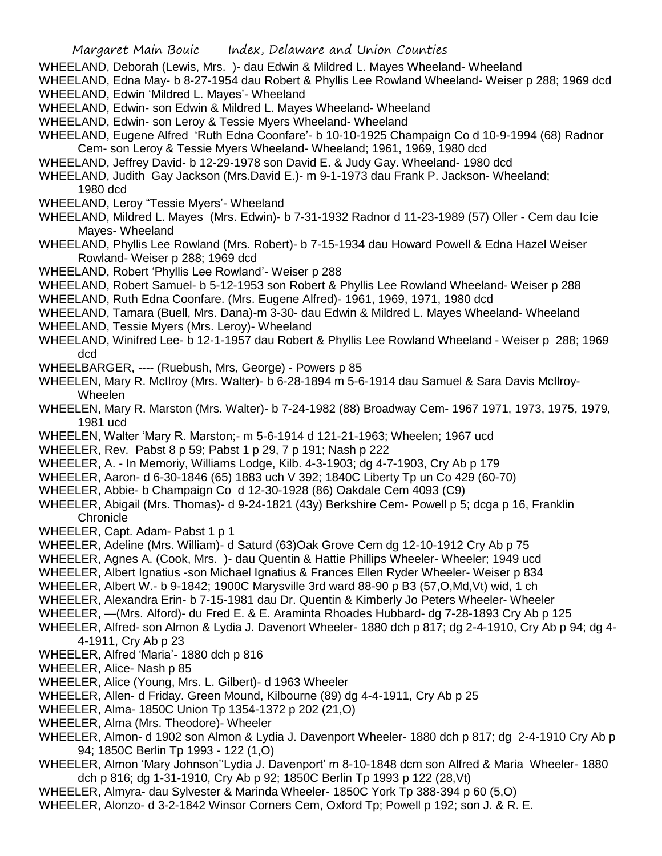- WHEELAND, Deborah (Lewis, Mrs. )- dau Edwin & Mildred L. Mayes Wheeland- Wheeland
- WHEELAND, Edna May- b 8-27-1954 dau Robert & Phyllis Lee Rowland Wheeland- Weiser p 288; 1969 dcd WHEELAND, Edwin 'Mildred L. Mayes'- Wheeland
- WHEELAND, Edwin- son Edwin & Mildred L. Mayes Wheeland- Wheeland
- WHEELAND, Edwin- son Leroy & Tessie Myers Wheeland- Wheeland
- WHEELAND, Eugene Alfred 'Ruth Edna Coonfare'- b 10-10-1925 Champaign Co d 10-9-1994 (68) Radnor Cem- son Leroy & Tessie Myers Wheeland- Wheeland; 1961, 1969, 1980 dcd
- WHEELAND, Jeffrey David- b 12-29-1978 son David E. & Judy Gay. Wheeland- 1980 dcd
- WHEELAND, Judith Gay Jackson (Mrs.David E.)- m 9-1-1973 dau Frank P. Jackson- Wheeland; 1980 dcd
- WHEELAND, Leroy "Tessie Myers'- Wheeland
- WHEELAND, Mildred L. Mayes (Mrs. Edwin)- b 7-31-1932 Radnor d 11-23-1989 (57) Oller Cem dau Icie Mayes- Wheeland
- WHEELAND, Phyllis Lee Rowland (Mrs. Robert)- b 7-15-1934 dau Howard Powell & Edna Hazel Weiser Rowland- Weiser p 288; 1969 dcd
- WHEELAND, Robert 'Phyllis Lee Rowland'- Weiser p 288
- WHEELAND, Robert Samuel- b 5-12-1953 son Robert & Phyllis Lee Rowland Wheeland- Weiser p 288
- WHEELAND, Ruth Edna Coonfare. (Mrs. Eugene Alfred)- 1961, 1969, 1971, 1980 dcd
- WHEELAND, Tamara (Buell, Mrs. Dana)-m 3-30- dau Edwin & Mildred L. Mayes Wheeland- Wheeland WHEELAND, Tessie Myers (Mrs. Leroy)- Wheeland
- WHEELAND, Winifred Lee- b 12-1-1957 dau Robert & Phyllis Lee Rowland Wheeland Weiser p 288; 1969 dcd
- WHEELBARGER, ---- (Ruebush, Mrs, George) Powers p 85
- WHEELEN, Mary R. McIlroy (Mrs. Walter)- b 6-28-1894 m 5-6-1914 dau Samuel & Sara Davis McIlroy-Wheelen
- WHEELEN, Mary R. Marston (Mrs. Walter)- b 7-24-1982 (88) Broadway Cem- 1967 1971, 1973, 1975, 1979, 1981 ucd
- WHEELEN, Walter 'Mary R. Marston;- m 5-6-1914 d 121-21-1963; Wheelen; 1967 ucd
- WHEELER, Rev. Pabst 8 p 59; Pabst 1 p 29, 7 p 191; Nash p 222
- WHEELER, A. In Memoriy, Williams Lodge, Kilb. 4-3-1903; dg 4-7-1903, Cry Ab p 179
- WHEELER, Aaron- d 6-30-1846 (65) 1883 uch V 392; 1840C Liberty Tp un Co 429 (60-70)
- WHEELER, Abbie- b Champaign Co d 12-30-1928 (86) Oakdale Cem 4093 (C9)
- WHEELER, Abigail (Mrs. Thomas)- d 9-24-1821 (43y) Berkshire Cem- Powell p 5; dcga p 16, Franklin **Chronicle**
- WHEELER, Capt. Adam- Pabst 1 p 1
- WHEELER, Adeline (Mrs. William)- d Saturd (63)Oak Grove Cem dg 12-10-1912 Cry Ab p 75
- WHEELER, Agnes A. (Cook, Mrs. )- dau Quentin & Hattie Phillips Wheeler- Wheeler; 1949 ucd
- WHEELER, Albert Ignatius -son Michael Ignatius & Frances Ellen Ryder Wheeler- Weiser p 834
- WHEELER, Albert W.- b 9-1842; 1900C Marysville 3rd ward 88-90 p B3 (57,O,Md,Vt) wid, 1 ch
- WHEELER, Alexandra Erin- b 7-15-1981 dau Dr. Quentin & Kimberly Jo Peters Wheeler- Wheeler
- WHEELER, —(Mrs. Alford)- du Fred E. & E. Araminta Rhoades Hubbard- dg 7-28-1893 Cry Ab p 125
- WHEELER, Alfred- son Almon & Lydia J. Davenort Wheeler- 1880 dch p 817; dg 2-4-1910, Cry Ab p 94; dg 4- 4-1911, Cry Ab p 23
- WHEELER, Alfred 'Maria'- 1880 dch p 816
- WHEELER, Alice- Nash p 85
- WHEELER, Alice (Young, Mrs. L. Gilbert)- d 1963 Wheeler
- WHEELER, Allen- d Friday. Green Mound, Kilbourne (89) dg 4-4-1911, Cry Ab p 25
- WHEELER, Alma- 1850C Union Tp 1354-1372 p 202 (21,O)
- WHEELER, Alma (Mrs. Theodore)- Wheeler
- WHEELER, Almon- d 1902 son Almon & Lydia J. Davenport Wheeler- 1880 dch p 817; dg 2-4-1910 Cry Ab p 94; 1850C Berlin Tp 1993 - 122 (1,O)
- WHEELER, Almon 'Mary Johnson''Lydia J. Davenport' m 8-10-1848 dcm son Alfred & Maria Wheeler- 1880 dch p 816; dg 1-31-1910, Cry Ab p 92; 1850C Berlin Tp 1993 p 122 (28,Vt)
- WHEELER, Almyra- dau Sylvester & Marinda Wheeler- 1850C York Tp 388-394 p 60 (5,O)
- WHEELER, Alonzo- d 3-2-1842 Winsor Corners Cem, Oxford Tp; Powell p 192; son J. & R. E.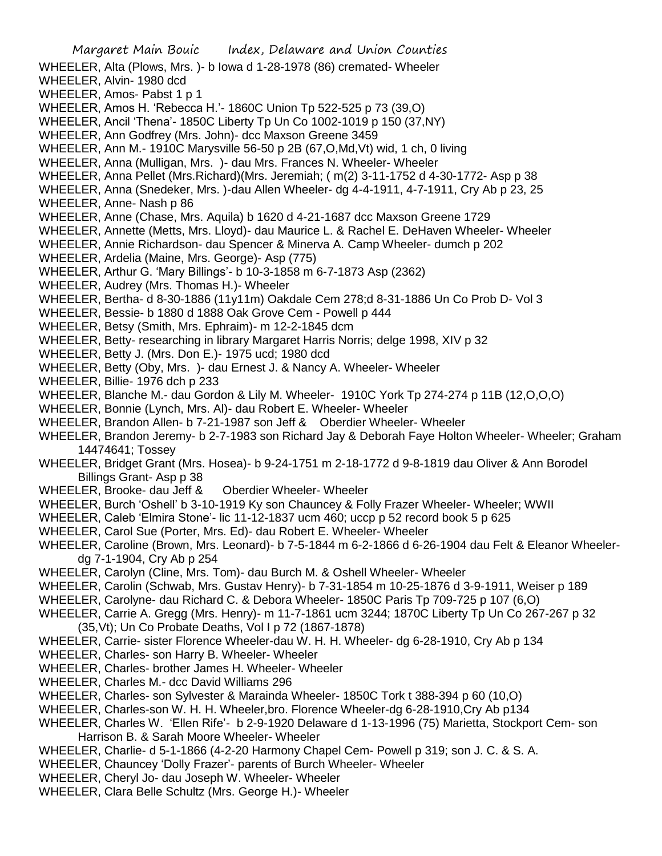- Margaret Main Bouic Index, Delaware and Union Counties WHEELER, Alta (Plows, Mrs. )- b Iowa d 1-28-1978 (86) cremated- Wheeler WHEELER, Alvin- 1980 dcd WHEELER, Amos- Pabst 1 p 1 WHEELER, Amos H. 'Rebecca H.'- 1860C Union Tp 522-525 p 73 (39,O) WHEELER, Ancil 'Thena'- 1850C Liberty Tp Un Co 1002-1019 p 150 (37,NY) WHEELER, Ann Godfrey (Mrs. John)- dcc Maxson Greene 3459 WHEELER, Ann M.- 1910C Marysville 56-50 p 2B (67,O,Md,Vt) wid, 1 ch, 0 living WHEELER, Anna (Mulligan, Mrs. )- dau Mrs. Frances N. Wheeler- Wheeler WHEELER, Anna Pellet (Mrs.Richard)(Mrs. Jeremiah; ( m(2) 3-11-1752 d 4-30-1772- Asp p 38 WHEELER, Anna (Snedeker, Mrs. )-dau Allen Wheeler- dg 4-4-1911, 4-7-1911, Cry Ab p 23, 25 WHEELER, Anne- Nash p 86 WHEELER, Anne (Chase, Mrs. Aquila) b 1620 d 4-21-1687 dcc Maxson Greene 1729 WHEELER, Annette (Metts, Mrs. Lloyd)- dau Maurice L. & Rachel E. DeHaven Wheeler- Wheeler WHEELER, Annie Richardson- dau Spencer & Minerva A. Camp Wheeler- dumch p 202 WHEELER, Ardelia (Maine, Mrs. George)- Asp (775) WHEELER, Arthur G. 'Mary Billings'- b 10-3-1858 m 6-7-1873 Asp (2362) WHEELER, Audrey (Mrs. Thomas H.)- Wheeler WHEELER, Bertha- d 8-30-1886 (11y11m) Oakdale Cem 278;d 8-31-1886 Un Co Prob D- Vol 3 WHEELER, Bessie- b 1880 d 1888 Oak Grove Cem - Powell p 444 WHEELER, Betsy (Smith, Mrs. Ephraim)- m 12-2-1845 dcm WHEELER, Betty- researching in library Margaret Harris Norris; delge 1998, XIV p 32 WHEELER, Betty J. (Mrs. Don E.)- 1975 ucd; 1980 dcd WHEELER, Betty (Oby, Mrs. )- dau Ernest J. & Nancy A. Wheeler- Wheeler WHEELER, Billie- 1976 dch p 233 WHEELER, Blanche M.- dau Gordon & Lily M. Wheeler- 1910C York Tp 274-274 p 11B (12,O,O,O) WHEELER, Bonnie (Lynch, Mrs. Al)- dau Robert E. Wheeler- Wheeler WHEELER, Brandon Allen- b 7-21-1987 son Jeff & Oberdier Wheeler- Wheeler WHEELER, Brandon Jeremy- b 2-7-1983 son Richard Jay & Deborah Faye Holton Wheeler- Wheeler; Graham 14474641; Tossey WHEELER, Bridget Grant (Mrs. Hosea)- b 9-24-1751 m 2-18-1772 d 9-8-1819 dau Oliver & Ann Borodel Billings Grant- Asp p 38 WHEELER, Brooke- dau Jeff & Oberdier Wheeler- Wheeler WHEELER, Burch 'Oshell' b 3-10-1919 Ky son Chauncey & Folly Frazer Wheeler- Wheeler; WWII WHEELER, Caleb 'Elmira Stone'- lic 11-12-1837 ucm 460; uccp p 52 record book 5 p 625 WHEELER, Carol Sue (Porter, Mrs. Ed)- dau Robert E. Wheeler- Wheeler WHEELER, Caroline (Brown, Mrs. Leonard)- b 7-5-1844 m 6-2-1866 d 6-26-1904 dau Felt & Eleanor Wheelerdg 7-1-1904, Cry Ab p 254 WHEELER, Carolyn (Cline, Mrs. Tom)- dau Burch M. & Oshell Wheeler- Wheeler WHEELER, Carolin (Schwab, Mrs. Gustav Henry)- b 7-31-1854 m 10-25-1876 d 3-9-1911, Weiser p 189 WHEELER, Carolyne- dau Richard C. & Debora Wheeler- 1850C Paris Tp 709-725 p 107 (6,O) WHEELER, Carrie A. Gregg (Mrs. Henry)- m 11-7-1861 ucm 3244; 1870C Liberty Tp Un Co 267-267 p 32 (35,Vt); Un Co Probate Deaths, Vol I p 72 (1867-1878) WHEELER, Carrie- sister Florence Wheeler-dau W. H. H. Wheeler- dg 6-28-1910, Cry Ab p 134 WHEELER, Charles- son Harry B. Wheeler- Wheeler WHEELER, Charles- brother James H. Wheeler- Wheeler WHEELER, Charles M.- dcc David Williams 296 WHEELER, Charles- son Sylvester & Marainda Wheeler- 1850C Tork t 388-394 p 60 (10,O) WHEELER, Charles-son W. H. H. Wheeler,bro. Florence Wheeler-dg 6-28-1910,Cry Ab p134 WHEELER, Charles W. 'Ellen Rife'- b 2-9-1920 Delaware d 1-13-1996 (75) Marietta, Stockport Cem- son
	- Harrison B. & Sarah Moore Wheeler- Wheeler
- WHEELER, Charlie- d 5-1-1866 (4-2-20 Harmony Chapel Cem- Powell p 319; son J. C. & S. A.
- WHEELER, Chauncey 'Dolly Frazer'- parents of Burch Wheeler- Wheeler
- WHEELER, Cheryl Jo- dau Joseph W. Wheeler- Wheeler
- WHEELER, Clara Belle Schultz (Mrs. George H.)- Wheeler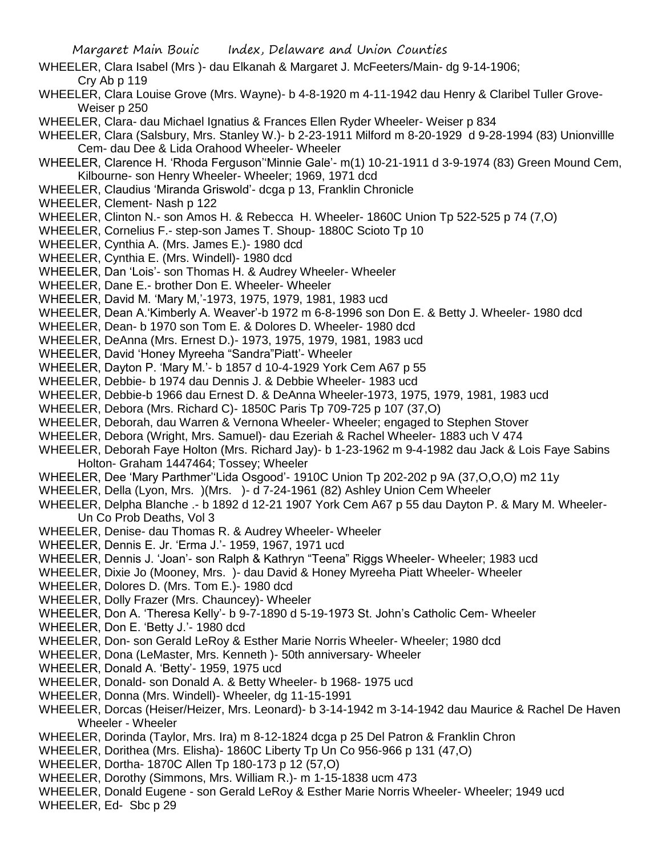- WHEELER, Clara Isabel (Mrs )- dau Elkanah & Margaret J. McFeeters/Main- dg 9-14-1906; Cry Ab p 119
- WHEELER, Clara Louise Grove (Mrs. Wayne)- b 4-8-1920 m 4-11-1942 dau Henry & Claribel Tuller Grove-Weiser p 250
- WHEELER, Clara- dau Michael Ignatius & Frances Ellen Ryder Wheeler- Weiser p 834
- WHEELER, Clara (Salsbury, Mrs. Stanley W.)- b 2-23-1911 Milford m 8-20-1929 d 9-28-1994 (83) Unionvillle Cem- dau Dee & Lida Orahood Wheeler- Wheeler
- WHEELER, Clarence H. 'Rhoda Ferguson''Minnie Gale'- m(1) 10-21-1911 d 3-9-1974 (83) Green Mound Cem, Kilbourne- son Henry Wheeler- Wheeler; 1969, 1971 dcd
- WHEELER, Claudius 'Miranda Griswold'- dcga p 13, Franklin Chronicle
- WHEELER, Clement- Nash p 122
- WHEELER, Clinton N.- son Amos H. & Rebecca H. Wheeler- 1860C Union Tp 522-525 p 74 (7,O)
- WHEELER, Cornelius F.- step-son James T. Shoup- 1880C Scioto Tp 10
- WHEELER, Cynthia A. (Mrs. James E.)- 1980 dcd
- WHEELER, Cynthia E. (Mrs. Windell)- 1980 dcd
- WHEELER, Dan 'Lois'- son Thomas H. & Audrey Wheeler- Wheeler
- WHEELER, Dane E.- brother Don E. Wheeler- Wheeler
- WHEELER, David M. 'Mary M,'-1973, 1975, 1979, 1981, 1983 ucd
- WHEELER, Dean A.'Kimberly A. Weaver'-b 1972 m 6-8-1996 son Don E. & Betty J. Wheeler- 1980 dcd
- WHEELER, Dean- b 1970 son Tom E. & Dolores D. Wheeler- 1980 dcd
- WHEELER, DeAnna (Mrs. Ernest D.)- 1973, 1975, 1979, 1981, 1983 ucd
- WHEELER, David 'Honey Myreeha "Sandra"Piatt'- Wheeler
- WHEELER, Dayton P. 'Mary M.'- b 1857 d 10-4-1929 York Cem A67 p 55
- WHEELER, Debbie- b 1974 dau Dennis J. & Debbie Wheeler- 1983 ucd
- WHEELER, Debbie-b 1966 dau Ernest D. & DeAnna Wheeler-1973, 1975, 1979, 1981, 1983 ucd
- WHEELER, Debora (Mrs. Richard C)- 1850C Paris Tp 709-725 p 107 (37,O)
- WHEELER, Deborah, dau Warren & Vernona Wheeler- Wheeler; engaged to Stephen Stover
- WHEELER, Debora (Wright, Mrs. Samuel)- dau Ezeriah & Rachel Wheeler- 1883 uch V 474
- WHEELER, Deborah Faye Holton (Mrs. Richard Jay)- b 1-23-1962 m 9-4-1982 dau Jack & Lois Faye Sabins Holton- Graham 1447464; Tossey; Wheeler
- WHEELER, Dee 'Mary Parthmer''Lida Osgood'- 1910C Union Tp 202-202 p 9A (37,O,O,O) m2 11y
- WHEELER, Della (Lyon, Mrs. )(Mrs. )- d 7-24-1961 (82) Ashley Union Cem Wheeler
- WHEELER, Delpha Blanche .- b 1892 d 12-21 1907 York Cem A67 p 55 dau Dayton P. & Mary M. Wheeler-Un Co Prob Deaths, Vol 3
- WHEELER, Denise- dau Thomas R. & Audrey Wheeler- Wheeler
- WHEELER, Dennis E. Jr. 'Erma J.'- 1959, 1967, 1971 ucd
- WHEELER, Dennis J. 'Joan'- son Ralph & Kathryn "Teena" Riggs Wheeler- Wheeler; 1983 ucd
- WHEELER, Dixie Jo (Mooney, Mrs. )- dau David & Honey Myreeha Piatt Wheeler- Wheeler
- WHEELER, Dolores D. (Mrs. Tom E.)- 1980 dcd
- WHEELER, Dolly Frazer (Mrs. Chauncey)- Wheeler
- WHEELER, Don A. 'Theresa Kelly'- b 9-7-1890 d 5-19-1973 St. John's Catholic Cem- Wheeler
- WHEELER, Don E. 'Betty J.'- 1980 dcd
- WHEELER, Don- son Gerald LeRoy & Esther Marie Norris Wheeler- Wheeler; 1980 dcd
- WHEELER, Dona (LeMaster, Mrs. Kenneth )- 50th anniversary- Wheeler
- WHEELER, Donald A. 'Betty'- 1959, 1975 ucd
- WHEELER, Donald- son Donald A. & Betty Wheeler- b 1968- 1975 ucd
- WHEELER, Donna (Mrs. Windell)- Wheeler, dg 11-15-1991
- WHEELER, Dorcas (Heiser/Heizer, Mrs. Leonard)- b 3-14-1942 m 3-14-1942 dau Maurice & Rachel De Haven Wheeler - Wheeler
- WHEELER, Dorinda (Taylor, Mrs. Ira) m 8-12-1824 dcga p 25 Del Patron & Franklin Chron
- WHEELER, Dorithea (Mrs. Elisha)- 1860C Liberty Tp Un Co 956-966 p 131 (47,O)
- WHEELER, Dortha- 1870C Allen Tp 180-173 p 12 (57,O)
- WHEELER, Dorothy (Simmons, Mrs. William R.)- m 1-15-1838 ucm 473
- WHEELER, Donald Eugene son Gerald LeRoy & Esther Marie Norris Wheeler- Wheeler; 1949 ucd
- WHEELER, Ed- Sbc p 29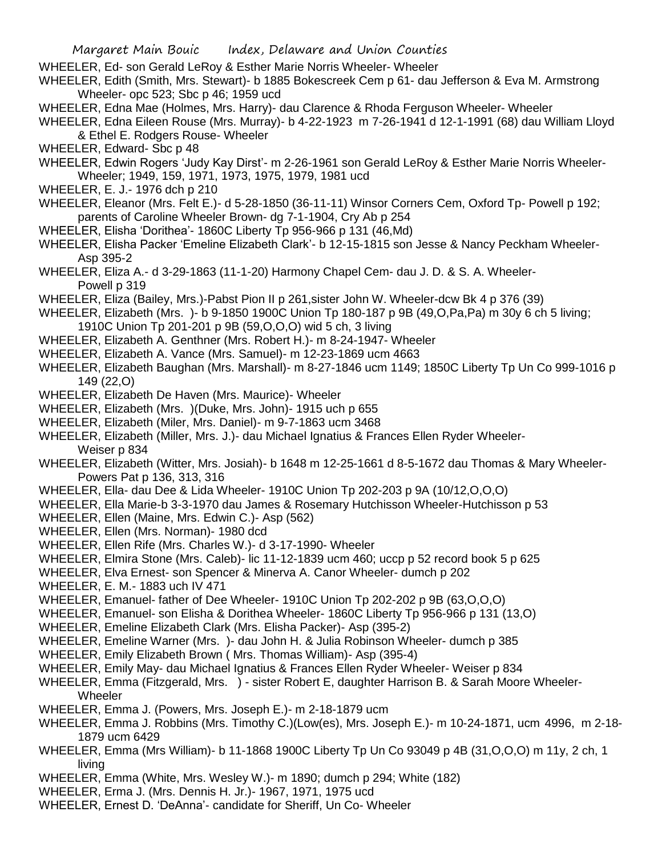- WHEELER, Ed- son Gerald LeRoy & Esther Marie Norris Wheeler- Wheeler
- WHEELER, Edith (Smith, Mrs. Stewart)- b 1885 Bokescreek Cem p 61- dau Jefferson & Eva M. Armstrong Wheeler- opc 523; Sbc p 46; 1959 ucd
- WHEELER, Edna Mae (Holmes, Mrs. Harry)- dau Clarence & Rhoda Ferguson Wheeler- Wheeler
- WHEELER, Edna Eileen Rouse (Mrs. Murray)- b 4-22-1923 m 7-26-1941 d 12-1-1991 (68) dau William Lloyd & Ethel E. Rodgers Rouse- Wheeler
- WHEELER, Edward- Sbc p 48
- WHEELER, Edwin Rogers 'Judy Kay Dirst'- m 2-26-1961 son Gerald LeRoy & Esther Marie Norris Wheeler-Wheeler; 1949, 159, 1971, 1973, 1975, 1979, 1981 ucd
- WHEELER, E. J.- 1976 dch p 210
- WHEELER, Eleanor (Mrs. Felt E.)- d 5-28-1850 (36-11-11) Winsor Corners Cem, Oxford Tp- Powell p 192; parents of Caroline Wheeler Brown- dg 7-1-1904, Cry Ab p 254
- WHEELER, Elisha 'Dorithea'- 1860C Liberty Tp 956-966 p 131 (46,Md)
- WHEELER, Elisha Packer 'Emeline Elizabeth Clark'- b 12-15-1815 son Jesse & Nancy Peckham Wheeler-Asp 395-2
- WHEELER, Eliza A.- d 3-29-1863 (11-1-20) Harmony Chapel Cem- dau J. D. & S. A. Wheeler-Powell p 319
- WHEELER, Eliza (Bailey, Mrs.)-Pabst Pion II p 261,sister John W. Wheeler-dcw Bk 4 p 376 (39)
- WHEELER, Elizabeth (Mrs. )- b 9-1850 1900C Union Tp 180-187 p 9B (49,O,Pa,Pa) m 30y 6 ch 5 living; 1910C Union Tp 201-201 p 9B (59,O,O,O) wid 5 ch, 3 living
- WHEELER, Elizabeth A. Genthner (Mrs. Robert H.)- m 8-24-1947- Wheeler
- WHEELER, Elizabeth A. Vance (Mrs. Samuel)- m 12-23-1869 ucm 4663
- WHEELER, Elizabeth Baughan (Mrs. Marshall)- m 8-27-1846 ucm 1149; 1850C Liberty Tp Un Co 999-1016 p 149 (22,O)
- WHEELER, Elizabeth De Haven (Mrs. Maurice)- Wheeler
- WHEELER, Elizabeth (Mrs. )(Duke, Mrs. John)- 1915 uch p 655
- WHEELER, Elizabeth (Miler, Mrs. Daniel)- m 9-7-1863 ucm 3468
- WHEELER, Elizabeth (Miller, Mrs. J.)- dau Michael Ignatius & Frances Ellen Ryder Wheeler-Weiser p 834
- WHEELER, Elizabeth (Witter, Mrs. Josiah)- b 1648 m 12-25-1661 d 8-5-1672 dau Thomas & Mary Wheeler-Powers Pat p 136, 313, 316
- WHEELER, Ella- dau Dee & Lida Wheeler- 1910C Union Tp 202-203 p 9A (10/12,O,O,O)
- WHEELER, Ella Marie-b 3-3-1970 dau James & Rosemary Hutchisson Wheeler-Hutchisson p 53
- WHEELER, Ellen (Maine, Mrs. Edwin C.)- Asp (562)
- WHEELER, Ellen (Mrs. Norman)- 1980 dcd
- WHEELER, Ellen Rife (Mrs. Charles W.)- d 3-17-1990- Wheeler
- WHEELER, Elmira Stone (Mrs. Caleb)- lic 11-12-1839 ucm 460; uccp p 52 record book 5 p 625
- WHEELER, Elva Ernest- son Spencer & Minerva A. Canor Wheeler- dumch p 202
- WHEELER, E. M.- 1883 uch IV 471
- WHEELER, Emanuel- father of Dee Wheeler- 1910C Union Tp 202-202 p 9B (63,O,O,O)
- WHEELER, Emanuel- son Elisha & Dorithea Wheeler- 1860C Liberty Tp 956-966 p 131 (13,O)
- WHEELER, Emeline Elizabeth Clark (Mrs. Elisha Packer)- Asp (395-2)
- WHEELER, Emeline Warner (Mrs. )- dau John H. & Julia Robinson Wheeler- dumch p 385
- WHEELER, Emily Elizabeth Brown ( Mrs. Thomas William)- Asp (395-4)
- WHEELER, Emily May- dau Michael Ignatius & Frances Ellen Ryder Wheeler- Weiser p 834
- WHEELER, Emma (Fitzgerald, Mrs. ) sister Robert E, daughter Harrison B. & Sarah Moore Wheeler-Wheeler
- WHEELER, Emma J. (Powers, Mrs. Joseph E.)- m 2-18-1879 ucm
- WHEELER, Emma J. Robbins (Mrs. Timothy C.)(Low(es), Mrs. Joseph E.)- m 10-24-1871, ucm 4996, m 2-18- 1879 ucm 6429
- WHEELER, Emma (Mrs William)- b 11-1868 1900C Liberty Tp Un Co 93049 p 4B (31,O,O,O) m 11y, 2 ch, 1 living
- WHEELER, Emma (White, Mrs. Wesley W.)- m 1890; dumch p 294; White (182)
- WHEELER, Erma J. (Mrs. Dennis H. Jr.)- 1967, 1971, 1975 ucd
- WHEELER, Ernest D. 'DeAnna'- candidate for Sheriff, Un Co- Wheeler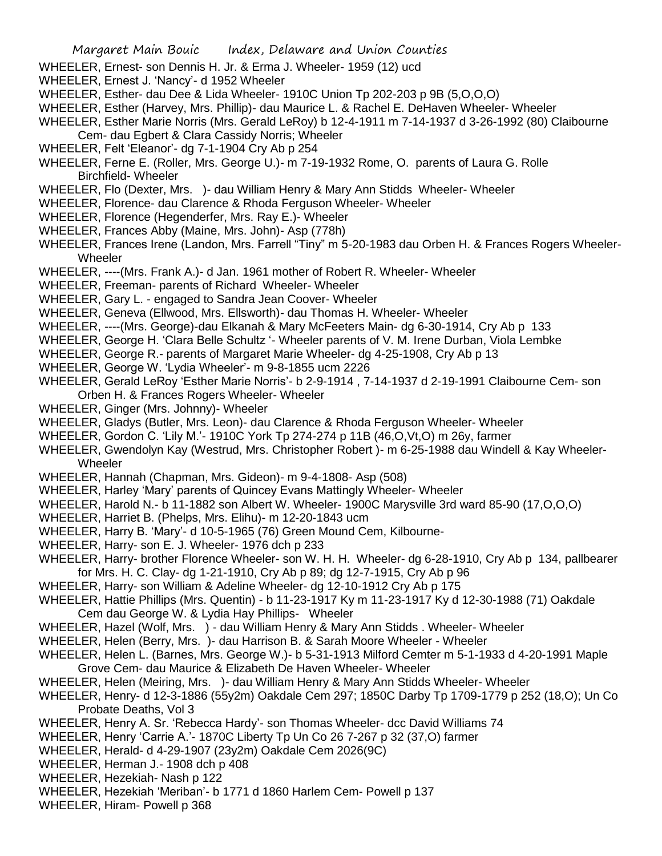- WHEELER, Ernest- son Dennis H. Jr. & Erma J. Wheeler- 1959 (12) ucd
- WHEELER, Ernest J. 'Nancy'- d 1952 Wheeler
- WHEELER, Esther- dau Dee & Lida Wheeler- 1910C Union Tp 202-203 p 9B (5,O,O,O)
- WHEELER, Esther (Harvey, Mrs. Phillip)- dau Maurice L. & Rachel E. DeHaven Wheeler- Wheeler
- WHEELER, Esther Marie Norris (Mrs. Gerald LeRoy) b 12-4-1911 m 7-14-1937 d 3-26-1992 (80) Claibourne
- Cem- dau Egbert & Clara Cassidy Norris; Wheeler
- WHEELER, Felt 'Eleanor'- dg 7-1-1904 Cry Ab p 254
- WHEELER, Ferne E. (Roller, Mrs. George U.)- m 7-19-1932 Rome, O. parents of Laura G. Rolle Birchfield- Wheeler
- WHEELER, Flo (Dexter, Mrs. )- dau William Henry & Mary Ann Stidds Wheeler- Wheeler
- WHEELER, Florence- dau Clarence & Rhoda Ferguson Wheeler- Wheeler
- WHEELER, Florence (Hegenderfer, Mrs. Ray E.)- Wheeler
- WHEELER, Frances Abby (Maine, Mrs. John)- Asp (778h)
- WHEELER, Frances Irene (Landon, Mrs. Farrell "Tiny" m 5-20-1983 dau Orben H. & Frances Rogers Wheeler-**Wheeler**
- WHEELER, ----(Mrs. Frank A.)- d Jan. 1961 mother of Robert R. Wheeler- Wheeler
- WHEELER, Freeman- parents of Richard Wheeler- Wheeler
- WHEELER, Gary L. engaged to Sandra Jean Coover- Wheeler
- WHEELER, Geneva (Ellwood, Mrs. Ellsworth)- dau Thomas H. Wheeler- Wheeler
- WHEELER, ----(Mrs. George)-dau Elkanah & Mary McFeeters Main- dg 6-30-1914, Cry Ab p 133
- WHEELER, George H. 'Clara Belle Schultz '- Wheeler parents of V. M. Irene Durban, Viola Lembke
- WHEELER, George R.- parents of Margaret Marie Wheeler- dg 4-25-1908, Cry Ab p 13
- WHEELER, George W. 'Lydia Wheeler'- m 9-8-1855 ucm 2226
- WHEELER, Gerald LeRoy 'Esther Marie Norris'- b 2-9-1914 , 7-14-1937 d 2-19-1991 Claibourne Cem- son Orben H. & Frances Rogers Wheeler- Wheeler
- WHEELER, Ginger (Mrs. Johnny)- Wheeler
- WHEELER, Gladys (Butler, Mrs. Leon)- dau Clarence & Rhoda Ferguson Wheeler- Wheeler
- WHEELER, Gordon C. 'Lily M.'- 1910C York Tp 274-274 p 11B (46,O,Vt,O) m 26y, farmer
- WHEELER, Gwendolyn Kay (Westrud, Mrs. Christopher Robert )- m 6-25-1988 dau Windell & Kay Wheeler-**Wheeler**
- WHEELER, Hannah (Chapman, Mrs. Gideon)- m 9-4-1808- Asp (508)
- WHEELER, Harley 'Mary' parents of Quincey Evans Mattingly Wheeler- Wheeler
- WHEELER, Harold N.- b 11-1882 son Albert W. Wheeler- 1900C Marysville 3rd ward 85-90 (17,O,O,O)
- WHEELER, Harriet B. (Phelps, Mrs. Elihu)- m 12-20-1843 ucm
- WHEELER, Harry B. 'Mary'- d 10-5-1965 (76) Green Mound Cem, Kilbourne-
- WHEELER, Harry- son E. J. Wheeler- 1976 dch p 233
- WHEELER, Harry- brother Florence Wheeler- son W. H. H. Wheeler- dg 6-28-1910, Cry Ab p 134, pallbearer for Mrs. H. C. Clay- dg 1-21-1910, Cry Ab p 89; dg 12-7-1915, Cry Ab p 96
- WHEELER, Harry- son William & Adeline Wheeler- dg 12-10-1912 Cry Ab p 175
- WHEELER, Hattie Phillips (Mrs. Quentin) b 11-23-1917 Ky m 11-23-1917 Ky d 12-30-1988 (71) Oakdale Cem dau George W. & Lydia Hay Phillips- Wheeler
- WHEELER, Hazel (Wolf, Mrs. ) dau William Henry & Mary Ann Stidds . Wheeler- Wheeler
- WHEELER, Helen (Berry, Mrs. )- dau Harrison B. & Sarah Moore Wheeler Wheeler
- WHEELER, Helen L. (Barnes, Mrs. George W.)- b 5-31-1913 Milford Cemter m 5-1-1933 d 4-20-1991 Maple Grove Cem- dau Maurice & Elizabeth De Haven Wheeler- Wheeler
- WHEELER, Helen (Meiring, Mrs. )- dau William Henry & Mary Ann Stidds Wheeler- Wheeler
- WHEELER, Henry- d 12-3-1886 (55y2m) Oakdale Cem 297; 1850C Darby Tp 1709-1779 p 252 (18,O); Un Co Probate Deaths, Vol 3
- WHEELER, Henry A. Sr. 'Rebecca Hardy'- son Thomas Wheeler- dcc David Williams 74
- WHEELER, Henry 'Carrie A.'- 1870C Liberty Tp Un Co 26 7-267 p 32 (37,O) farmer
- WHEELER, Herald- d 4-29-1907 (23y2m) Oakdale Cem 2026(9C)
- WHEELER, Herman J.- 1908 dch p 408
- WHEELER, Hezekiah- Nash p 122
- WHEELER, Hezekiah 'Meriban'- b 1771 d 1860 Harlem Cem- Powell p 137
- WHEELER, Hiram- Powell p 368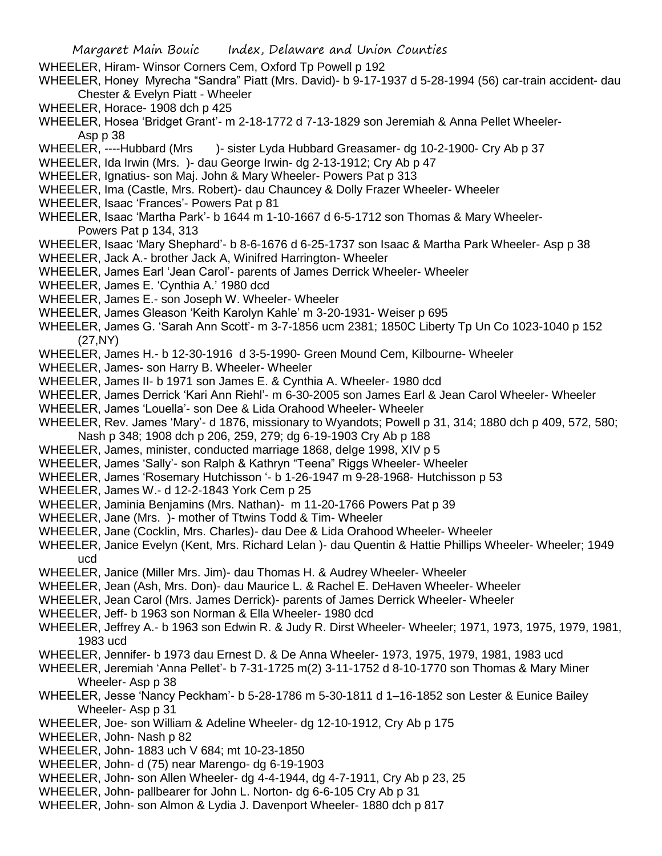- WHEELER, Hiram- Winsor Corners Cem, Oxford Tp Powell p 192
- WHEELER, Honey Myrecha "Sandra" Piatt (Mrs. David)- b 9-17-1937 d 5-28-1994 (56) car-train accident- dau Chester & Evelyn Piatt - Wheeler
- WHEELER, Horace- 1908 dch p 425
- WHEELER, Hosea 'Bridget Grant'- m 2-18-1772 d 7-13-1829 son Jeremiah & Anna Pellet Wheeler-Asp p 38
- WHEELER, ----Hubbard (Mrs )- sister Lyda Hubbard Greasamer- dg 10-2-1900- Cry Ab p 37
- WHEELER, Ida Irwin (Mrs. )- dau George Irwin- dg 2-13-1912; Cry Ab p 47
- WHEELER, Ignatius- son Maj. John & Mary Wheeler- Powers Pat p 313
- WHEELER, Ima (Castle, Mrs. Robert)- dau Chauncey & Dolly Frazer Wheeler- Wheeler
- WHEELER, Isaac 'Frances'- Powers Pat p 81
- WHEELER, Isaac 'Martha Park'- b 1644 m 1-10-1667 d 6-5-1712 son Thomas & Mary Wheeler-Powers Pat p 134, 313
- WHEELER, Isaac 'Mary Shephard'- b 8-6-1676 d 6-25-1737 son Isaac & Martha Park Wheeler- Asp p 38
- WHEELER, Jack A.- brother Jack A, Winifred Harrington- Wheeler
- WHEELER, James Earl 'Jean Carol'- parents of James Derrick Wheeler- Wheeler
- WHEELER, James E. 'Cynthia A.' 1980 dcd
- WHEELER, James E.- son Joseph W. Wheeler- Wheeler
- WHEELER, James Gleason 'Keith Karolyn Kahle' m 3-20-1931- Weiser p 695
- WHEELER, James G. 'Sarah Ann Scott'- m 3-7-1856 ucm 2381; 1850C Liberty Tp Un Co 1023-1040 p 152 (27,NY)
- WHEELER, James H.- b 12-30-1916 d 3-5-1990- Green Mound Cem, Kilbourne- Wheeler
- WHEELER, James- son Harry B. Wheeler- Wheeler
- WHEELER, James II- b 1971 son James E. & Cynthia A. Wheeler- 1980 dcd
- WHEELER, James Derrick 'Kari Ann Riehl'- m 6-30-2005 son James Earl & Jean Carol Wheeler- Wheeler
- WHEELER, James 'Louella'- son Dee & Lida Orahood Wheeler- Wheeler
- WHEELER, Rev. James 'Mary'- d 1876, missionary to Wyandots; Powell p 31, 314; 1880 dch p 409, 572, 580; Nash p 348; 1908 dch p 206, 259, 279; dg 6-19-1903 Cry Ab p 188
- WHEELER, James, minister, conducted marriage 1868, delge 1998, XIV p 5
- WHEELER, James 'Sally'- son Ralph & Kathryn "Teena" Riggs Wheeler- Wheeler
- WHEELER, James 'Rosemary Hutchisson '- b 1-26-1947 m 9-28-1968- Hutchisson p 53
- WHEELER, James W.- d 12-2-1843 York Cem p 25
- WHEELER, Jaminia Benjamins (Mrs. Nathan)- m 11-20-1766 Powers Pat p 39
- WHEELER, Jane (Mrs. )- mother of Ttwins Todd & Tim- Wheeler
- WHEELER, Jane (Cocklin, Mrs. Charles)- dau Dee & Lida Orahood Wheeler- Wheeler
- WHEELER, Janice Evelyn (Kent, Mrs. Richard Lelan )- dau Quentin & Hattie Phillips Wheeler- Wheeler; 1949 ucd
- WHEELER, Janice (Miller Mrs. Jim)- dau Thomas H. & Audrey Wheeler- Wheeler
- WHEELER, Jean (Ash, Mrs. Don)- dau Maurice L. & Rachel E. DeHaven Wheeler- Wheeler
- WHEELER, Jean Carol (Mrs. James Derrick)- parents of James Derrick Wheeler- Wheeler
- WHEELER, Jeff- b 1963 son Norman & Ella Wheeler- 1980 dcd
- WHEELER, Jeffrey A.- b 1963 son Edwin R. & Judy R. Dirst Wheeler- Wheeler; 1971, 1973, 1975, 1979, 1981, 1983 ucd
- WHEELER, Jennifer- b 1973 dau Ernest D. & De Anna Wheeler- 1973, 1975, 1979, 1981, 1983 ucd
- WHEELER, Jeremiah 'Anna Pellet'- b 7-31-1725 m(2) 3-11-1752 d 8-10-1770 son Thomas & Mary Miner Wheeler- Asp p 38
- WHEELER, Jesse 'Nancy Peckham'- b 5-28-1786 m 5-30-1811 d 1–16-1852 son Lester & Eunice Bailey Wheeler-Asp p 31
- WHEELER, Joe- son William & Adeline Wheeler- dg 12-10-1912, Cry Ab p 175
- WHEELER, John- Nash p 82
- WHEELER, John- 1883 uch V 684; mt 10-23-1850
- WHEELER, John- d (75) near Marengo- dg 6-19-1903
- WHEELER, John- son Allen Wheeler- dg 4-4-1944, dg 4-7-1911, Cry Ab p 23, 25
- WHEELER, John- pallbearer for John L. Norton- dg 6-6-105 Cry Ab p 31
- WHEELER, John- son Almon & Lydia J. Davenport Wheeler- 1880 dch p 817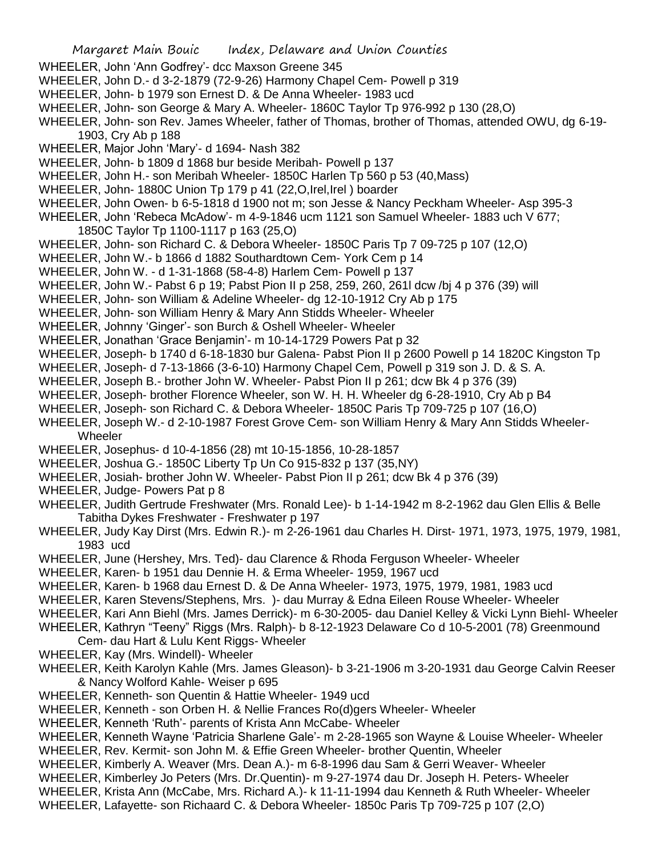- WHEELER, John 'Ann Godfrey'- dcc Maxson Greene 345
- WHEELER, John D.- d 3-2-1879 (72-9-26) Harmony Chapel Cem- Powell p 319
- WHEELER, John- b 1979 son Ernest D. & De Anna Wheeler- 1983 ucd
- WHEELER, John- son George & Mary A. Wheeler- 1860C Taylor Tp 976-992 p 130 (28,O)
- WHEELER, John- son Rev. James Wheeler, father of Thomas, brother of Thomas, attended OWU, dg 6-19- 1903, Cry Ab p 188
- WHEELER, Major John 'Mary'- d 1694- Nash 382
- WHEELER, John- b 1809 d 1868 bur beside Meribah- Powell p 137
- WHEELER, John H.- son Meribah Wheeler- 1850C Harlen Tp 560 p 53 (40,Mass)
- WHEELER, John- 1880C Union Tp 179 p 41 (22,O,Irel,Irel ) boarder
- WHEELER, John Owen- b 6-5-1818 d 1900 not m; son Jesse & Nancy Peckham Wheeler- Asp 395-3
- WHEELER, John 'Rebeca McAdow'- m 4-9-1846 ucm 1121 son Samuel Wheeler- 1883 uch V 677;
	- 1850C Taylor Tp 1100-1117 p 163 (25,O)
- WHEELER, John- son Richard C. & Debora Wheeler- 1850C Paris Tp 7 09-725 p 107 (12,O)
- WHEELER, John W.- b 1866 d 1882 Southardtown Cem- York Cem p 14
- WHEELER, John W. d 1-31-1868 (58-4-8) Harlem Cem- Powell p 137
- WHEELER, John W.- Pabst 6 p 19; Pabst Pion II p 258, 259, 260, 261l dcw /bj 4 p 376 (39) will
- WHEELER, John- son William & Adeline Wheeler- dg 12-10-1912 Cry Ab p 175
- WHEELER, John- son William Henry & Mary Ann Stidds Wheeler- Wheeler
- WHEELER, Johnny 'Ginger'- son Burch & Oshell Wheeler- Wheeler
- WHEELER, Jonathan 'Grace Benjamin'- m 10-14-1729 Powers Pat p 32
- WHEELER, Joseph- b 1740 d 6-18-1830 bur Galena- Pabst Pion II p 2600 Powell p 14 1820C Kingston Tp
- WHEELER, Joseph- d 7-13-1866 (3-6-10) Harmony Chapel Cem, Powell p 319 son J. D. & S. A.
- WHEELER, Joseph B.- brother John W. Wheeler- Pabst Pion II p 261; dcw Bk 4 p 376 (39)
- WHEELER, Joseph- brother Florence Wheeler, son W. H. H. Wheeler dg 6-28-1910, Cry Ab p B4
- WHEELER, Joseph- son Richard C. & Debora Wheeler- 1850C Paris Tp 709-725 p 107 (16,O)
- WHEELER, Joseph W.- d 2-10-1987 Forest Grove Cem- son William Henry & Mary Ann Stidds Wheeler-Wheeler
- WHEELER, Josephus- d 10-4-1856 (28) mt 10-15-1856, 10-28-1857
- WHEELER, Joshua G.- 1850C Liberty Tp Un Co 915-832 p 137 (35,NY)
- WHEELER, Josiah- brother John W. Wheeler- Pabst Pion II p 261; dcw Bk 4 p 376 (39)
- WHEELER, Judge- Powers Pat p 8
- WHEELER, Judith Gertrude Freshwater (Mrs. Ronald Lee)- b 1-14-1942 m 8-2-1962 dau Glen Ellis & Belle Tabitha Dykes Freshwater - Freshwater p 197
- WHEELER, Judy Kay Dirst (Mrs. Edwin R.)- m 2-26-1961 dau Charles H. Dirst- 1971, 1973, 1975, 1979, 1981, 1983 ucd
- WHEELER, June (Hershey, Mrs. Ted)- dau Clarence & Rhoda Ferguson Wheeler- Wheeler
- WHEELER, Karen- b 1951 dau Dennie H. & Erma Wheeler- 1959, 1967 ucd
- WHEELER, Karen- b 1968 dau Ernest D. & De Anna Wheeler- 1973, 1975, 1979, 1981, 1983 ucd
- WHEELER, Karen Stevens/Stephens, Mrs. )- dau Murray & Edna Eileen Rouse Wheeler- Wheeler
- WHEELER, Kari Ann Biehl (Mrs. James Derrick)- m 6-30-2005- dau Daniel Kelley & Vicki Lynn Biehl- Wheeler
- WHEELER, Kathryn "Teeny" Riggs (Mrs. Ralph)- b 8-12-1923 Delaware Co d 10-5-2001 (78) Greenmound Cem- dau Hart & Lulu Kent Riggs- Wheeler
- WHEELER, Kay (Mrs. Windell)- Wheeler
- WHEELER, Keith Karolyn Kahle (Mrs. James Gleason)- b 3-21-1906 m 3-20-1931 dau George Calvin Reeser & Nancy Wolford Kahle- Weiser p 695
- WHEELER, Kenneth- son Quentin & Hattie Wheeler- 1949 ucd
- WHEELER, Kenneth son Orben H. & Nellie Frances Ro(d)gers Wheeler- Wheeler
- WHEELER, Kenneth 'Ruth'- parents of Krista Ann McCabe- Wheeler
- WHEELER, Kenneth Wayne 'Patricia Sharlene Gale'- m 2-28-1965 son Wayne & Louise Wheeler- Wheeler WHEELER, Rev. Kermit- son John M. & Effie Green Wheeler- brother Quentin, Wheeler
- WHEELER, Kimberly A. Weaver (Mrs. Dean A.)- m 6-8-1996 dau Sam & Gerri Weaver- Wheeler
- WHEELER, Kimberley Jo Peters (Mrs. Dr.Quentin)- m 9-27-1974 dau Dr. Joseph H. Peters- Wheeler
- WHEELER, Krista Ann (McCabe, Mrs. Richard A.)- k 11-11-1994 dau Kenneth & Ruth Wheeler- Wheeler
- 
- WHEELER, Lafayette- son Richaard C. & Debora Wheeler- 1850c Paris Tp 709-725 p 107 (2,O)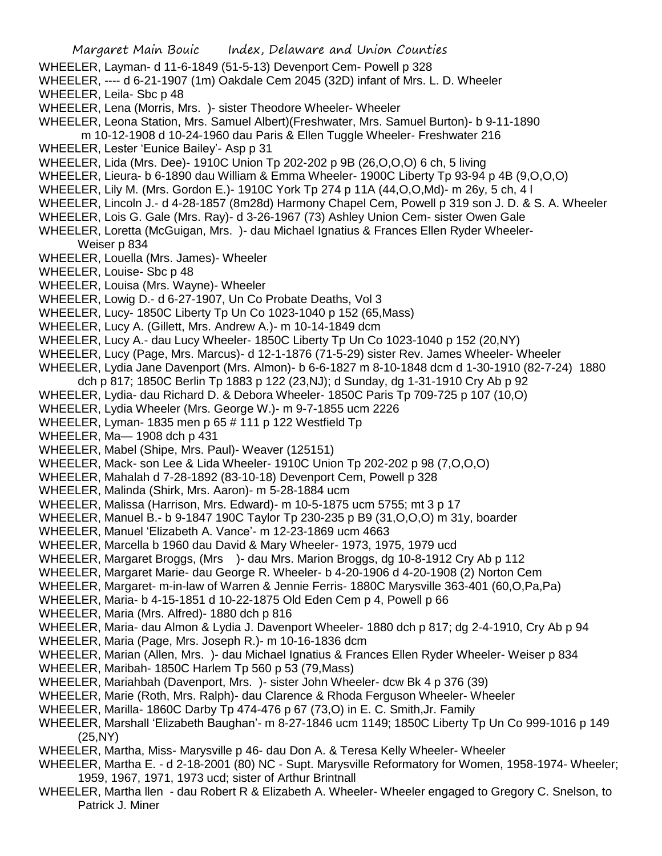- WHEELER, Layman- d 11-6-1849 (51-5-13) Devenport Cem- Powell p 328
- WHEELER, ---- d 6-21-1907 (1m) Oakdale Cem 2045 (32D) infant of Mrs. L. D. Wheeler WHEELER, Leila- Sbc p 48
- 
- WHEELER, Lena (Morris, Mrs. )- sister Theodore Wheeler- Wheeler
- WHEELER, Leona Station, Mrs. Samuel Albert)(Freshwater, Mrs. Samuel Burton)- b 9-11-1890
- m 10-12-1908 d 10-24-1960 dau Paris & Ellen Tuggle Wheeler- Freshwater 216
- WHEELER, Lester 'Eunice Bailey'- Asp p 31
- WHEELER, Lida (Mrs. Dee)- 1910C Union Tp 202-202 p 9B (26,O,O,O) 6 ch, 5 living
- WHEELER, Lieura- b 6-1890 dau William & Emma Wheeler- 1900C Liberty Tp 93-94 p 4B (9,O,O,O)
- WHEELER, Lily M. (Mrs. Gordon E.)- 1910C York Tp 274 p 11A (44,O,O,Md)- m 26y, 5 ch, 4 l
- WHEELER, Lincoln J.- d 4-28-1857 (8m28d) Harmony Chapel Cem, Powell p 319 son J. D. & S. A. Wheeler
- WHEELER, Lois G. Gale (Mrs. Ray)- d 3-26-1967 (73) Ashley Union Cem- sister Owen Gale
- WHEELER, Loretta (McGuigan, Mrs. )- dau Michael Ignatius & Frances Ellen Ryder Wheeler-Weiser p 834
- WHEELER, Louella (Mrs. James)- Wheeler
- WHEELER, Louise- Sbc p 48
- WHEELER, Louisa (Mrs. Wayne)- Wheeler
- WHEELER, Lowig D.- d 6-27-1907, Un Co Probate Deaths, Vol 3
- WHEELER, Lucy- 1850C Liberty Tp Un Co 1023-1040 p 152 (65,Mass)
- WHEELER, Lucy A. (Gillett, Mrs. Andrew A.)- m 10-14-1849 dcm
- WHEELER, Lucy A.- dau Lucy Wheeler- 1850C Liberty Tp Un Co 1023-1040 p 152 (20,NY)
- WHEELER, Lucy (Page, Mrs. Marcus)- d 12-1-1876 (71-5-29) sister Rev. James Wheeler- Wheeler
- WHEELER, Lydia Jane Davenport (Mrs. Almon)- b 6-6-1827 m 8-10-1848 dcm d 1-30-1910 (82-7-24) 1880
- dch p 817; 1850C Berlin Tp 1883 p 122 (23,NJ); d Sunday, dg 1-31-1910 Cry Ab p 92
- WHEELER, Lydia- dau Richard D. & Debora Wheeler- 1850C Paris Tp 709-725 p 107 (10,O)
- WHEELER, Lydia Wheeler (Mrs. George W.)- m 9-7-1855 ucm 2226
- WHEELER, Lyman- 1835 men p 65 # 111 p 122 Westfield Tp
- WHEELER, Ma— 1908 dch p 431
- WHEELER, Mabel (Shipe, Mrs. Paul)- Weaver (125151)
- WHEELER, Mack- son Lee & Lida Wheeler- 1910C Union Tp 202-202 p 98 (7,O,O,O)
- WHEELER, Mahalah d 7-28-1892 (83-10-18) Devenport Cem, Powell p 328
- WHEELER, Malinda (Shirk, Mrs. Aaron)- m 5-28-1884 ucm
- WHEELER, Malissa (Harrison, Mrs. Edward)- m 10-5-1875 ucm 5755; mt 3 p 17
- WHEELER, Manuel B.- b 9-1847 190C Taylor Tp 230-235 p B9 (31,O,O,O) m 31y, boarder
- WHEELER, Manuel 'Elizabeth A. Vance'- m 12-23-1869 ucm 4663
- WHEELER, Marcella b 1960 dau David & Mary Wheeler- 1973, 1975, 1979 ucd
- WHEELER, Margaret Broggs, (Mrs )- dau Mrs. Marion Broggs, dg 10-8-1912 Cry Ab p 112
- WHEELER, Margaret Marie- dau George R. Wheeler- b 4-20-1906 d 4-20-1908 (2) Norton Cem
- WHEELER, Margaret- m-in-law of Warren & Jennie Ferris- 1880C Marysville 363-401 (60,O,Pa,Pa)
- WHEELER, Maria- b 4-15-1851 d 10-22-1875 Old Eden Cem p 4, Powell p 66
- WHEELER, Maria (Mrs. Alfred)- 1880 dch p 816
- WHEELER, Maria- dau Almon & Lydia J. Davenport Wheeler- 1880 dch p 817; dg 2-4-1910, Cry Ab p 94
- WHEELER, Maria (Page, Mrs. Joseph R.)- m 10-16-1836 dcm
- WHEELER, Marian (Allen, Mrs. )- dau Michael Ignatius & Frances Ellen Ryder Wheeler- Weiser p 834
- WHEELER, Maribah- 1850C Harlem Tp 560 p 53 (79,Mass)
- WHEELER, Mariahbah (Davenport, Mrs. )- sister John Wheeler- dcw Bk 4 p 376 (39)
- WHEELER, Marie (Roth, Mrs. Ralph)- dau Clarence & Rhoda Ferguson Wheeler- Wheeler
- WHEELER, Marilla- 1860C Darby Tp 474-476 p 67 (73,O) in E. C. Smith,Jr. Family
- WHEELER, Marshall 'Elizabeth Baughan'- m 8-27-1846 ucm 1149; 1850C Liberty Tp Un Co 999-1016 p 149 (25,NY)
- WHEELER, Martha, Miss- Marysville p 46- dau Don A. & Teresa Kelly Wheeler- Wheeler
- WHEELER, Martha E. d 2-18-2001 (80) NC Supt. Marysville Reformatory for Women, 1958-1974- Wheeler; 1959, 1967, 1971, 1973 ucd; sister of Arthur Brintnall
- WHEELER, Martha llen dau Robert R & Elizabeth A. Wheeler- Wheeler engaged to Gregory C. Snelson, to Patrick J. Miner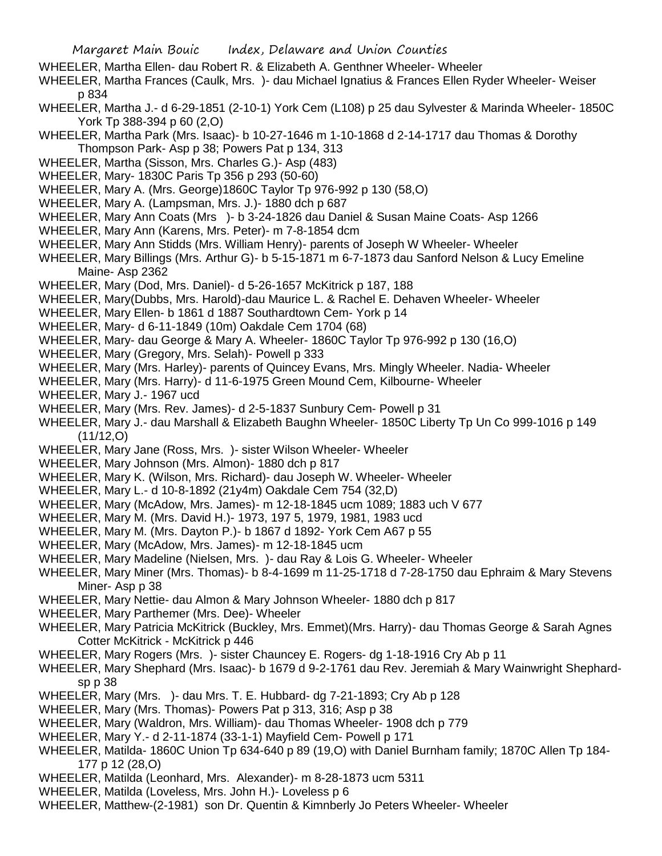- WHEELER, Martha Ellen- dau Robert R. & Elizabeth A. Genthner Wheeler- Wheeler
- WHEELER, Martha Frances (Caulk, Mrs. )- dau Michael Ignatius & Frances Ellen Ryder Wheeler- Weiser p 834
- WHEELER, Martha J.- d 6-29-1851 (2-10-1) York Cem (L108) p 25 dau Sylvester & Marinda Wheeler- 1850C York Tp 388-394 p 60 (2,O)
- WHEELER, Martha Park (Mrs. Isaac)- b 10-27-1646 m 1-10-1868 d 2-14-1717 dau Thomas & Dorothy Thompson Park- Asp p 38; Powers Pat p 134, 313
- WHEELER, Martha (Sisson, Mrs. Charles G.)- Asp (483)
- WHEELER, Mary- 1830C Paris Tp 356 p 293 (50-60)
- WHEELER, Mary A. (Mrs. George)1860C Taylor Tp 976-992 p 130 (58,O)
- WHEELER, Mary A. (Lampsman, Mrs. J.)- 1880 dch p 687
- WHEELER, Mary Ann Coats (Mrs )- b 3-24-1826 dau Daniel & Susan Maine Coats- Asp 1266
- WHEELER, Mary Ann (Karens, Mrs. Peter)- m 7-8-1854 dcm
- WHEELER, Mary Ann Stidds (Mrs. William Henry)- parents of Joseph W Wheeler- Wheeler
- WHEELER, Mary Billings (Mrs. Arthur G)- b 5-15-1871 m 6-7-1873 dau Sanford Nelson & Lucy Emeline Maine- Asp 2362
- WHEELER, Mary (Dod, Mrs. Daniel)- d 5-26-1657 McKitrick p 187, 188
- WHEELER, Mary(Dubbs, Mrs. Harold)-dau Maurice L. & Rachel E. Dehaven Wheeler- Wheeler
- WHEELER, Mary Ellen- b 1861 d 1887 Southardtown Cem- York p 14
- WHEELER, Mary- d 6-11-1849 (10m) Oakdale Cem 1704 (68)
- WHEELER, Mary- dau George & Mary A. Wheeler- 1860C Taylor Tp 976-992 p 130 (16,O)
- WHEELER, Mary (Gregory, Mrs. Selah)- Powell p 333
- WHEELER, Mary (Mrs. Harley)- parents of Quincey Evans, Mrs. Mingly Wheeler. Nadia- Wheeler
- WHEELER, Mary (Mrs. Harry)- d 11-6-1975 Green Mound Cem, Kilbourne- Wheeler
- WHEELER, Mary J.- 1967 ucd
- WHEELER, Mary (Mrs. Rev. James)- d 2-5-1837 Sunbury Cem- Powell p 31
- WHEELER, Mary J.- dau Marshall & Elizabeth Baughn Wheeler- 1850C Liberty Tp Un Co 999-1016 p 149 (11/12,O)
- WHEELER, Mary Jane (Ross, Mrs. )- sister Wilson Wheeler- Wheeler
- WHEELER, Mary Johnson (Mrs. Almon)- 1880 dch p 817
- WHEELER, Mary K. (Wilson, Mrs. Richard)- dau Joseph W. Wheeler- Wheeler
- WHEELER, Mary L.- d 10-8-1892 (21y4m) Oakdale Cem 754 (32,D)
- WHEELER, Mary (McAdow, Mrs. James)- m 12-18-1845 ucm 1089; 1883 uch V 677
- WHEELER, Mary M. (Mrs. David H.)- 1973, 197 5, 1979, 1981, 1983 ucd
- WHEELER, Mary M. (Mrs. Dayton P.)- b 1867 d 1892- York Cem A67 p 55
- WHEELER, Mary (McAdow, Mrs. James)- m 12-18-1845 ucm
- WHEELER, Mary Madeline (Nielsen, Mrs. )- dau Ray & Lois G. Wheeler- Wheeler
- WHEELER, Mary Miner (Mrs. Thomas)- b 8-4-1699 m 11-25-1718 d 7-28-1750 dau Ephraim & Mary Stevens Miner- Asp p 38
- WHEELER, Mary Nettie- dau Almon & Mary Johnson Wheeler- 1880 dch p 817
- WHEELER, Mary Parthemer (Mrs. Dee)- Wheeler
- WHEELER, Mary Patricia McKitrick (Buckley, Mrs. Emmet)(Mrs. Harry)- dau Thomas George & Sarah Agnes Cotter McKitrick - McKitrick p 446
- WHEELER, Mary Rogers (Mrs. )- sister Chauncey E. Rogers- dg 1-18-1916 Cry Ab p 11
- WHEELER, Mary Shephard (Mrs. Isaac)- b 1679 d 9-2-1761 dau Rev. Jeremiah & Mary Wainwright Shephardsp p 38
- WHEELER, Mary (Mrs. )- dau Mrs. T. E. Hubbard- dg 7-21-1893; Cry Ab p 128
- WHEELER, Mary (Mrs. Thomas)- Powers Pat p 313, 316; Asp p 38
- WHEELER, Mary (Waldron, Mrs. William)- dau Thomas Wheeler- 1908 dch p 779
- WHEELER, Mary Y.- d 2-11-1874 (33-1-1) Mayfield Cem- Powell p 171
- WHEELER, Matilda- 1860C Union Tp 634-640 p 89 (19,O) with Daniel Burnham family; 1870C Allen Tp 184- 177 p 12 (28,O)
- WHEELER, Matilda (Leonhard, Mrs. Alexander)- m 8-28-1873 ucm 5311
- WHEELER, Matilda (Loveless, Mrs. John H.)- Loveless p 6
- WHEELER, Matthew-(2-1981) son Dr. Quentin & Kimnberly Jo Peters Wheeler- Wheeler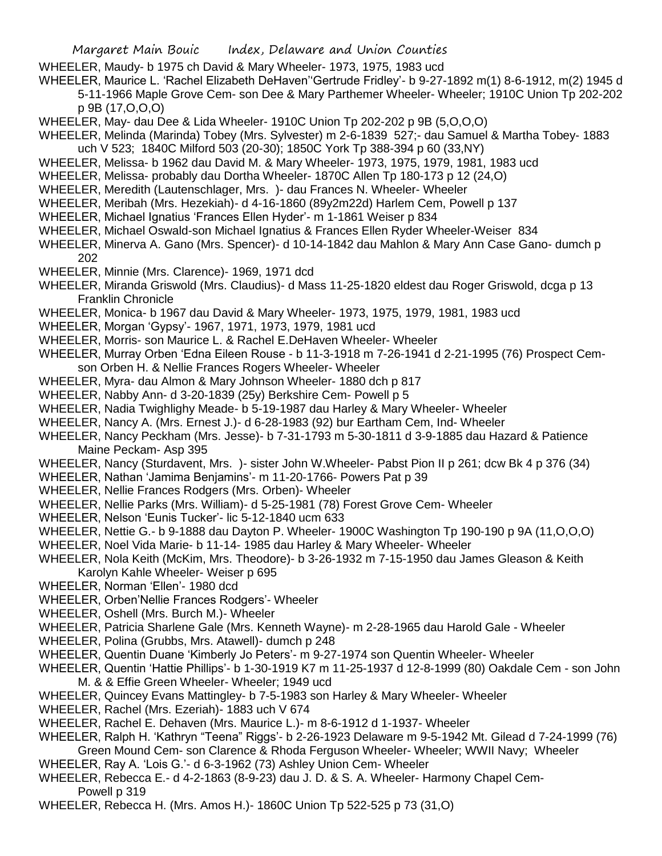- WHEELER, Maudy- b 1975 ch David & Mary Wheeler- 1973, 1975, 1983 ucd
- WHEELER, Maurice L. 'Rachel Elizabeth DeHaven''Gertrude Fridley'- b 9-27-1892 m(1) 8-6-1912, m(2) 1945 d 5-11-1966 Maple Grove Cem- son Dee & Mary Parthemer Wheeler- Wheeler; 1910C Union Tp 202-202 p 9B (17,O,O,O)
- WHEELER, May- dau Dee & Lida Wheeler- 1910C Union Tp 202-202 p 9B (5,O,O,O)
- WHEELER, Melinda (Marinda) Tobey (Mrs. Sylvester) m 2-6-1839 527;- dau Samuel & Martha Tobey- 1883 uch V 523; 1840C Milford 503 (20-30); 1850C York Tp 388-394 p 60 (33,NY)
- WHEELER, Melissa- b 1962 dau David M. & Mary Wheeler- 1973, 1975, 1979, 1981, 1983 ucd
- WHEELER, Melissa- probably dau Dortha Wheeler- 1870C Allen Tp 180-173 p 12 (24,O)
- WHEELER, Meredith (Lautenschlager, Mrs. )- dau Frances N. Wheeler- Wheeler
- WHEELER, Meribah (Mrs. Hezekiah)- d 4-16-1860 (89y2m22d) Harlem Cem, Powell p 137
- WHEELER, Michael Ignatius 'Frances Ellen Hyder'- m 1-1861 Weiser p 834
- WHEELER, Michael Oswald-son Michael Ignatius & Frances Ellen Ryder Wheeler-Weiser 834
- WHEELER, Minerva A. Gano (Mrs. Spencer)- d 10-14-1842 dau Mahlon & Mary Ann Case Gano- dumch p 202
- WHEELER, Minnie (Mrs. Clarence)- 1969, 1971 dcd
- WHEELER, Miranda Griswold (Mrs. Claudius)- d Mass 11-25-1820 eldest dau Roger Griswold, dcga p 13 Franklin Chronicle
- WHEELER, Monica- b 1967 dau David & Mary Wheeler- 1973, 1975, 1979, 1981, 1983 ucd
- WHEELER, Morgan 'Gypsy'- 1967, 1971, 1973, 1979, 1981 ucd
- WHEELER, Morris- son Maurice L. & Rachel E.DeHaven Wheeler- Wheeler
- WHEELER, Murray Orben 'Edna Eileen Rouse b 11-3-1918 m 7-26-1941 d 2-21-1995 (76) Prospect Cem-
- son Orben H. & Nellie Frances Rogers Wheeler- Wheeler
- WHEELER, Myra- dau Almon & Mary Johnson Wheeler- 1880 dch p 817
- WHEELER, Nabby Ann- d 3-20-1839 (25y) Berkshire Cem- Powell p 5
- WHEELER, Nadia Twighlighy Meade- b 5-19-1987 dau Harley & Mary Wheeler- Wheeler
- WHEELER, Nancy A. (Mrs. Ernest J.)- d 6-28-1983 (92) bur Eartham Cem, Ind- Wheeler
- WHEELER, Nancy Peckham (Mrs. Jesse)- b 7-31-1793 m 5-30-1811 d 3-9-1885 dau Hazard & Patience Maine Peckam- Asp 395
- WHEELER, Nancy (Sturdavent, Mrs. )- sister John W.Wheeler- Pabst Pion II p 261; dcw Bk 4 p 376 (34)
- WHEELER, Nathan 'Jamima Benjamins'- m 11-20-1766- Powers Pat p 39
- WHEELER, Nellie Frances Rodgers (Mrs. Orben)- Wheeler
- WHEELER, Nellie Parks (Mrs. William)- d 5-25-1981 (78) Forest Grove Cem- Wheeler
- WHEELER, Nelson 'Eunis Tucker'- lic 5-12-1840 ucm 633
- WHEELER, Nettie G.- b 9-1888 dau Dayton P. Wheeler- 1900C Washington Tp 190-190 p 9A (11,O,O,O)
- WHEELER, Noel Vida Marie- b 11-14- 1985 dau Harley & Mary Wheeler- Wheeler
- WHEELER, Nola Keith (McKim, Mrs. Theodore)- b 3-26-1932 m 7-15-1950 dau James Gleason & Keith Karolyn Kahle Wheeler- Weiser p 695
- WHEELER, Norman 'Ellen'- 1980 dcd
- WHEELER, Orben'Nellie Frances Rodgers'- Wheeler
- WHEELER, Oshell (Mrs. Burch M.)- Wheeler
- WHEELER, Patricia Sharlene Gale (Mrs. Kenneth Wayne)- m 2-28-1965 dau Harold Gale Wheeler
- WHEELER, Polina (Grubbs, Mrs. Atawell)- dumch p 248
- WHEELER, Quentin Duane 'Kimberly Jo Peters'- m 9-27-1974 son Quentin Wheeler- Wheeler
- WHEELER, Quentin 'Hattie Phillips'- b 1-30-1919 K7 m 11-25-1937 d 12-8-1999 (80) Oakdale Cem son John M. & & Effie Green Wheeler- Wheeler; 1949 ucd
- WHEELER, Quincey Evans Mattingley- b 7-5-1983 son Harley & Mary Wheeler- Wheeler
- WHEELER, Rachel (Mrs. Ezeriah)- 1883 uch V 674
- WHEELER, Rachel E. Dehaven (Mrs. Maurice L.)- m 8-6-1912 d 1-1937- Wheeler
- WHEELER, Ralph H. 'Kathryn "Teena" Riggs'- b 2-26-1923 Delaware m 9-5-1942 Mt. Gilead d 7-24-1999 (76) Green Mound Cem- son Clarence & Rhoda Ferguson Wheeler- Wheeler; WWII Navy; Wheeler
- WHEELER, Ray A. 'Lois G.'- d 6-3-1962 (73) Ashley Union Cem- Wheeler
- WHEELER, Rebecca E.- d 4-2-1863 (8-9-23) dau J. D. & S. A. Wheeler- Harmony Chapel Cem-Powell p 319
- WHEELER, Rebecca H. (Mrs. Amos H.)- 1860C Union Tp 522-525 p 73 (31,O)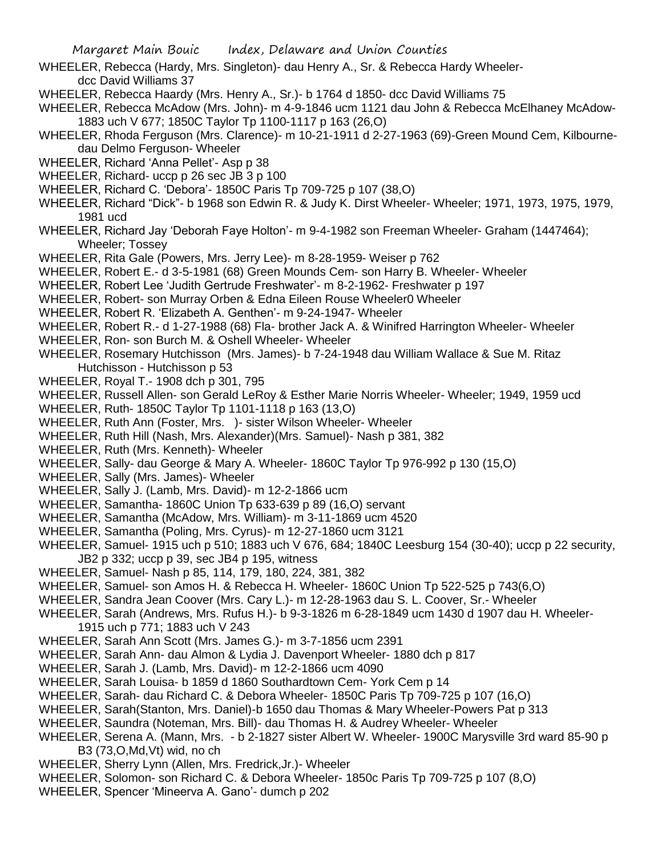- WHEELER, Rebecca (Hardy, Mrs. Singleton)- dau Henry A., Sr. & Rebecca Hardy Wheelerdcc David Williams 37
- WHEELER, Rebecca Haardy (Mrs. Henry A., Sr.)- b 1764 d 1850- dcc David Williams 75
- WHEELER, Rebecca McAdow (Mrs. John)- m 4-9-1846 ucm 1121 dau John & Rebecca McElhaney McAdow-1883 uch V 677; 1850C Taylor Tp 1100-1117 p 163 (26,O)
- WHEELER, Rhoda Ferguson (Mrs. Clarence)- m 10-21-1911 d 2-27-1963 (69)-Green Mound Cem, Kilbournedau Delmo Ferguson- Wheeler
- WHEELER, Richard 'Anna Pellet'- Asp p 38
- WHEELER, Richard- uccp p 26 sec JB 3 p 100
- WHEELER, Richard C. 'Debora'- 1850C Paris Tp 709-725 p 107 (38,O)
- WHEELER, Richard "Dick"- b 1968 son Edwin R. & Judy K. Dirst Wheeler- Wheeler; 1971, 1973, 1975, 1979, 1981 ucd
- WHEELER, Richard Jay 'Deborah Faye Holton'- m 9-4-1982 son Freeman Wheeler- Graham (1447464); Wheeler; Tossey
- WHEELER, Rita Gale (Powers, Mrs. Jerry Lee)- m 8-28-1959- Weiser p 762
- WHEELER, Robert E.- d 3-5-1981 (68) Green Mounds Cem- son Harry B. Wheeler- Wheeler
- WHEELER, Robert Lee 'Judith Gertrude Freshwater'- m 8-2-1962- Freshwater p 197
- WHEELER, Robert- son Murray Orben & Edna Eileen Rouse Wheeler0 Wheeler
- WHEELER, Robert R. 'Elizabeth A. Genthen'- m 9-24-1947- Wheeler
- WHEELER, Robert R.- d 1-27-1988 (68) Fla- brother Jack A. & Winifred Harrington Wheeler- Wheeler
- WHEELER, Ron- son Burch M. & Oshell Wheeler- Wheeler
- WHEELER, Rosemary Hutchisson (Mrs. James)- b 7-24-1948 dau William Wallace & Sue M. Ritaz Hutchisson - Hutchisson p 53
- WHEELER, Royal T.- 1908 dch p 301, 795
- WHEELER, Russell Allen- son Gerald LeRoy & Esther Marie Norris Wheeler- Wheeler; 1949, 1959 ucd
- WHEELER, Ruth- 1850C Taylor Tp 1101-1118 p 163 (13,O)
- WHEELER, Ruth Ann (Foster, Mrs. )- sister Wilson Wheeler- Wheeler
- WHEELER, Ruth Hill (Nash, Mrs. Alexander)(Mrs. Samuel)- Nash p 381, 382
- WHEELER, Ruth (Mrs. Kenneth)- Wheeler
- WHEELER, Sally- dau George & Mary A. Wheeler- 1860C Taylor Tp 976-992 p 130 (15,O)
- WHEELER, Sally (Mrs. James)- Wheeler
- WHEELER, Sally J. (Lamb, Mrs. David)- m 12-2-1866 ucm
- WHEELER, Samantha- 1860C Union Tp 633-639 p 89 (16,O) servant
- WHEELER, Samantha (McAdow, Mrs. William)- m 3-11-1869 ucm 4520
- WHEELER, Samantha (Poling, Mrs. Cyrus)- m 12-27-1860 ucm 3121
- WHEELER, Samuel- 1915 uch p 510; 1883 uch V 676, 684; 1840C Leesburg 154 (30-40); uccp p 22 security, JB2 p 332; uccp p 39, sec JB4 p 195, witness
- WHEELER, Samuel- Nash p 85, 114, 179, 180, 224, 381, 382
- WHEELER, Samuel- son Amos H. & Rebecca H. Wheeler- 1860C Union Tp 522-525 p 743(6,O)
- WHEELER, Sandra Jean Coover (Mrs. Cary L.)- m 12-28-1963 dau S. L. Coover, Sr.- Wheeler
- WHEELER, Sarah (Andrews, Mrs. Rufus H.)- b 9-3-1826 m 6-28-1849 ucm 1430 d 1907 dau H. Wheeler-1915 uch p 771; 1883 uch V 243
- WHEELER, Sarah Ann Scott (Mrs. James G.)- m 3-7-1856 ucm 2391
- WHEELER, Sarah Ann- dau Almon & Lydia J. Davenport Wheeler- 1880 dch p 817
- WHEELER, Sarah J. (Lamb, Mrs. David)- m 12-2-1866 ucm 4090
- WHEELER, Sarah Louisa- b 1859 d 1860 Southardtown Cem- York Cem p 14
- WHEELER, Sarah- dau Richard C. & Debora Wheeler- 1850C Paris Tp 709-725 p 107 (16,O)
- WHEELER, Sarah(Stanton, Mrs. Daniel)-b 1650 dau Thomas & Mary Wheeler-Powers Pat p 313
- WHEELER, Saundra (Noteman, Mrs. Bill)- dau Thomas H. & Audrey Wheeler- Wheeler
- WHEELER, Serena A. (Mann, Mrs. b 2-1827 sister Albert W. Wheeler- 1900C Marysville 3rd ward 85-90 p B3 (73,O,Md,Vt) wid, no ch
- WHEELER, Sherry Lynn (Allen, Mrs. Fredrick,Jr.)- Wheeler
- WHEELER, Solomon- son Richard C. & Debora Wheeler- 1850c Paris Tp 709-725 p 107 (8,O)
- WHEELER, Spencer 'Mineerva A. Gano'- dumch p 202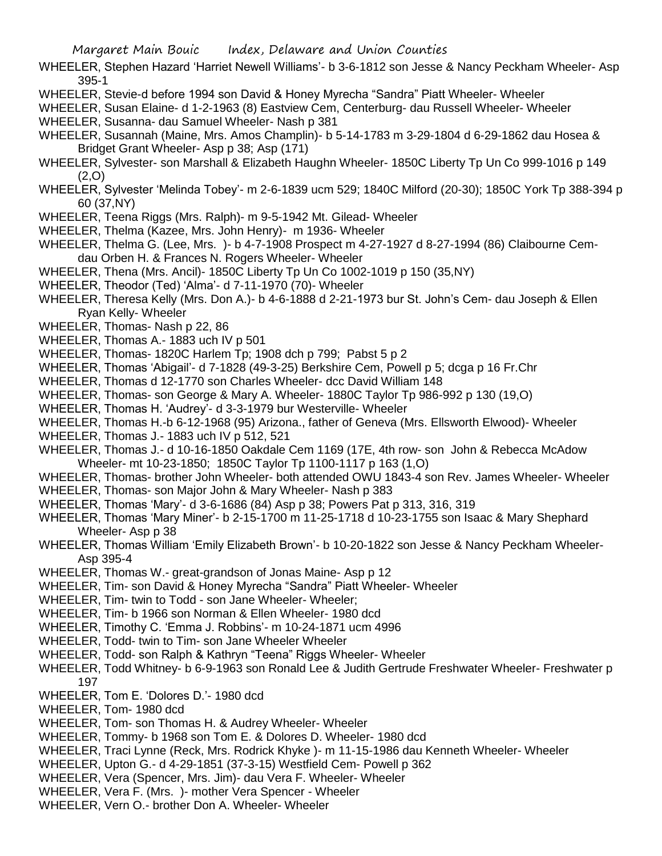- WHEELER, Stephen Hazard 'Harriet Newell Williams'- b 3-6-1812 son Jesse & Nancy Peckham Wheeler- Asp 395-1
- WHEELER, Stevie-d before 1994 son David & Honey Myrecha "Sandra" Piatt Wheeler- Wheeler
- WHEELER, Susan Elaine- d 1-2-1963 (8) Eastview Cem, Centerburg- dau Russell Wheeler- Wheeler WHEELER, Susanna- dau Samuel Wheeler- Nash p 381
- WHEELER, Susannah (Maine, Mrs. Amos Champlin)- b 5-14-1783 m 3-29-1804 d 6-29-1862 dau Hosea & Bridget Grant Wheeler- Asp p 38; Asp (171)
- WHEELER, Sylvester- son Marshall & Elizabeth Haughn Wheeler- 1850C Liberty Tp Un Co 999-1016 p 149 (2,O)
- WHEELER, Sylvester 'Melinda Tobey'- m 2-6-1839 ucm 529; 1840C Milford (20-30); 1850C York Tp 388-394 p 60 (37,NY)
- WHEELER, Teena Riggs (Mrs. Ralph)- m 9-5-1942 Mt. Gilead- Wheeler
- WHEELER, Thelma (Kazee, Mrs. John Henry)- m 1936- Wheeler
- WHEELER, Thelma G. (Lee, Mrs. )- b 4-7-1908 Prospect m 4-27-1927 d 8-27-1994 (86) Claibourne Cemdau Orben H. & Frances N. Rogers Wheeler- Wheeler
- WHEELER, Thena (Mrs. Ancil)- 1850C Liberty Tp Un Co 1002-1019 p 150 (35,NY)
- WHEELER, Theodor (Ted) 'Alma'- d 7-11-1970 (70)- Wheeler
- WHEELER, Theresa Kelly (Mrs. Don A.)- b 4-6-1888 d 2-21-1973 bur St. John's Cem- dau Joseph & Ellen Ryan Kelly- Wheeler
- WHEELER, Thomas- Nash p 22, 86
- WHEELER, Thomas A.- 1883 uch IV p 501
- WHEELER, Thomas- 1820C Harlem Tp; 1908 dch p 799; Pabst 5 p 2
- WHEELER, Thomas 'Abigail'- d 7-1828 (49-3-25) Berkshire Cem, Powell p 5; dcga p 16 Fr.Chr
- WHEELER, Thomas d 12-1770 son Charles Wheeler- dcc David William 148
- WHEELER, Thomas- son George & Mary A. Wheeler- 1880C Taylor Tp 986-992 p 130 (19,O)
- WHEELER, Thomas H. 'Audrey'- d 3-3-1979 bur Westerville- Wheeler
- WHEELER, Thomas H.-b 6-12-1968 (95) Arizona., father of Geneva (Mrs. Ellsworth Elwood)- Wheeler
- WHEELER, Thomas J.- 1883 uch IV p 512, 521
- WHEELER, Thomas J.- d 10-16-1850 Oakdale Cem 1169 (17E, 4th row- son John & Rebecca McAdow Wheeler- mt 10-23-1850; 1850C Taylor Tp 1100-1117 p 163 (1,O)
- WHEELER, Thomas- brother John Wheeler- both attended OWU 1843-4 son Rev. James Wheeler- Wheeler
- WHEELER, Thomas- son Major John & Mary Wheeler- Nash p 383
- WHEELER, Thomas 'Mary'- d 3-6-1686 (84) Asp p 38; Powers Pat p 313, 316, 319
- WHEELER, Thomas 'Mary Miner'- b 2-15-1700 m 11-25-1718 d 10-23-1755 son Isaac & Mary Shephard Wheeler- Asp p 38
- WHEELER, Thomas William 'Emily Elizabeth Brown'- b 10-20-1822 son Jesse & Nancy Peckham Wheeler-Asp 395-4
- WHEELER, Thomas W.- great-grandson of Jonas Maine- Asp p 12
- WHEELER, Tim- son David & Honey Myrecha "Sandra" Piatt Wheeler- Wheeler
- WHEELER, Tim- twin to Todd son Jane Wheeler- Wheeler;
- WHEELER, Tim- b 1966 son Norman & Ellen Wheeler- 1980 dcd
- WHEELER, Timothy C. 'Emma J. Robbins'- m 10-24-1871 ucm 4996
- WHEELER, Todd- twin to Tim- son Jane Wheeler Wheeler
- WHEELER, Todd- son Ralph & Kathryn "Teena" Riggs Wheeler- Wheeler
- WHEELER, Todd Whitney- b 6-9-1963 son Ronald Lee & Judith Gertrude Freshwater Wheeler- Freshwater p 197
- WHEELER, Tom E. 'Dolores D.'- 1980 dcd
- WHEELER, Tom- 1980 dcd
- WHEELER, Tom- son Thomas H. & Audrey Wheeler- Wheeler
- WHEELER, Tommy- b 1968 son Tom E. & Dolores D. Wheeler- 1980 dcd
- WHEELER, Traci Lynne (Reck, Mrs. Rodrick Khyke )- m 11-15-1986 dau Kenneth Wheeler- Wheeler
- WHEELER, Upton G.- d 4-29-1851 (37-3-15) Westfield Cem- Powell p 362
- WHEELER, Vera (Spencer, Mrs. Jim)- dau Vera F. Wheeler- Wheeler
- WHEELER, Vera F. (Mrs. )- mother Vera Spencer Wheeler
- WHEELER, Vern O.- brother Don A. Wheeler- Wheeler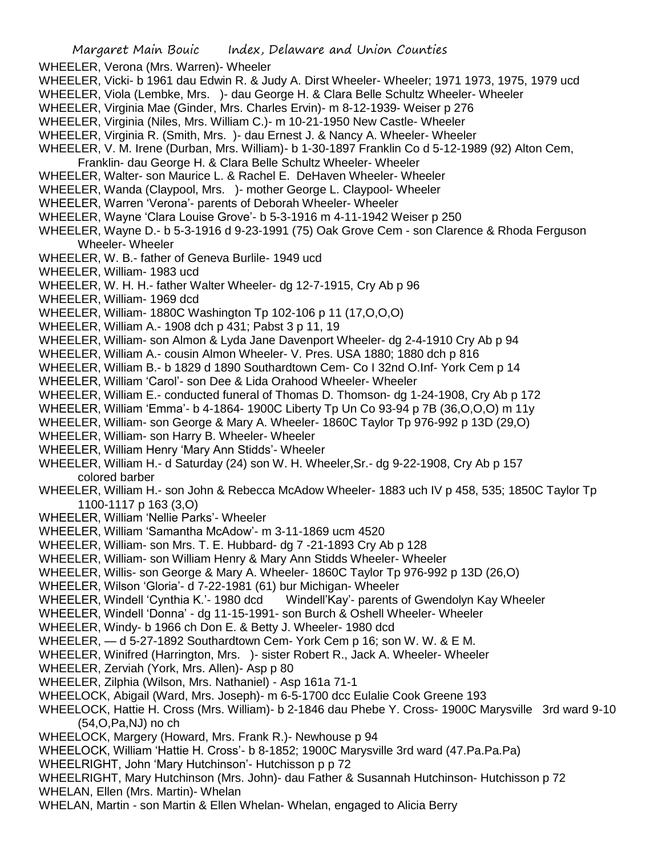WHEELER, Verona (Mrs. Warren)- Wheeler

- WHEELER, Vicki- b 1961 dau Edwin R. & Judy A. Dirst Wheeler- Wheeler; 1971 1973, 1975, 1979 ucd
- WHEELER, Viola (Lembke, Mrs. )- dau George H. & Clara Belle Schultz Wheeler- Wheeler
- WHEELER, Virginia Mae (Ginder, Mrs. Charles Ervin)- m 8-12-1939- Weiser p 276
- WHEELER, Virginia (Niles, Mrs. William C.)- m 10-21-1950 New Castle- Wheeler
- WHEELER, Virginia R. (Smith, Mrs. )- dau Ernest J. & Nancy A. Wheeler- Wheeler
- WHEELER, V. M. Irene (Durban, Mrs. William)- b 1-30-1897 Franklin Co d 5-12-1989 (92) Alton Cem,
- Franklin- dau George H. & Clara Belle Schultz Wheeler- Wheeler WHEELER, Walter- son Maurice L. & Rachel E. DeHaven Wheeler- Wheeler
- WHEELER, Wanda (Claypool, Mrs. )- mother George L. Claypool- Wheeler
- WHEELER, Warren 'Verona'- parents of Deborah Wheeler- Wheeler
- WHEELER, Wayne 'Clara Louise Grove'- b 5-3-1916 m 4-11-1942 Weiser p 250
- WHEELER, Wayne D.- b 5-3-1916 d 9-23-1991 (75) Oak Grove Cem son Clarence & Rhoda Ferguson Wheeler- Wheeler
- WHEELER, W. B.- father of Geneva Burlile- 1949 ucd
- WHEELER, William- 1983 ucd
- WHEELER, W. H. H.- father Walter Wheeler- dg 12-7-1915, Cry Ab p 96
- WHEELER, William- 1969 dcd
- WHEELER, William- 1880C Washington Tp 102-106 p 11 (17,O,O,O)
- WHEELER, William A.- 1908 dch p 431; Pabst 3 p 11, 19
- WHEELER, William- son Almon & Lyda Jane Davenport Wheeler- dg 2-4-1910 Cry Ab p 94
- WHEELER, William A.- cousin Almon Wheeler- V. Pres. USA 1880; 1880 dch p 816
- WHEELER, William B.- b 1829 d 1890 Southardtown Cem- Co I 32nd O.Inf- York Cem p 14
- WHEELER, William 'Carol'- son Dee & Lida Orahood Wheeler- Wheeler
- WHEELER, William E.- conducted funeral of Thomas D. Thomson- dg 1-24-1908, Cry Ab p 172
- WHEELER, William 'Emma'- b 4-1864- 1900C Liberty Tp Un Co 93-94 p 7B (36,O,O,O) m 11y
- WHEELER, William- son George & Mary A. Wheeler- 1860C Taylor Tp 976-992 p 13D (29,O)
- WHEELER, William- son Harry B. Wheeler- Wheeler
- WHEELER, William Henry 'Mary Ann Stidds'- Wheeler
- WHEELER, William H.- d Saturday (24) son W. H. Wheeler,Sr.- dg 9-22-1908, Cry Ab p 157 colored barber
- WHEELER, William H.- son John & Rebecca McAdow Wheeler- 1883 uch IV p 458, 535; 1850C Taylor Tp 1100-1117 p 163 (3,O)
- WHEELER, William 'Nellie Parks'- Wheeler
- WHEELER, William 'Samantha McAdow'- m 3-11-1869 ucm 4520
- WHEELER, William- son Mrs. T. E. Hubbard- dg 7 -21-1893 Cry Ab p 128
- WHEELER, William- son William Henry & Mary Ann Stidds Wheeler- Wheeler
- WHEELER, Willis- son George & Mary A. Wheeler- 1860C Taylor Tp 976-992 p 13D (26,O)
- WHEELER, Wilson 'Gloria'- d 7-22-1981 (61) bur Michigan- Wheeler
- WHEELER, Windell 'Cynthia K.'- 1980 dcd Windell'Kay'- parents of Gwendolyn Kay Wheeler
- WHEELER, Windell 'Donna' dg 11-15-1991- son Burch & Oshell Wheeler- Wheeler
- WHEELER, Windy- b 1966 ch Don E. & Betty J. Wheeler- 1980 dcd
- WHEELER, d 5-27-1892 Southardtown Cem- York Cem p 16; son W. W. & E M.
- WHEELER, Winifred (Harrington, Mrs. )- sister Robert R., Jack A. Wheeler- Wheeler
- WHEELER, Zerviah (York, Mrs. Allen)- Asp p 80
- WHEELER, Zilphia (Wilson, Mrs. Nathaniel) Asp 161a 71-1
- WHEELOCK, Abigail (Ward, Mrs. Joseph)- m 6-5-1700 dcc Eulalie Cook Greene 193
- WHEELOCK, Hattie H. Cross (Mrs. William)- b 2-1846 dau Phebe Y. Cross- 1900C Marysville 3rd ward 9-10 (54,O,Pa,NJ) no ch
- WHEELOCK, Margery (Howard, Mrs. Frank R.)- Newhouse p 94
- WHEELOCK, William 'Hattie H. Cross'- b 8-1852; 1900C Marysville 3rd ward (47.Pa.Pa.Pa)
- WHEELRIGHT, John 'Mary Hutchinson'- Hutchisson p p 72
- WHEELRIGHT, Mary Hutchinson (Mrs. John)- dau Father & Susannah Hutchinson- Hutchisson p 72 WHELAN, Ellen (Mrs. Martin)- Whelan
- 
- WHELAN, Martin son Martin & Ellen Whelan- Whelan, engaged to Alicia Berry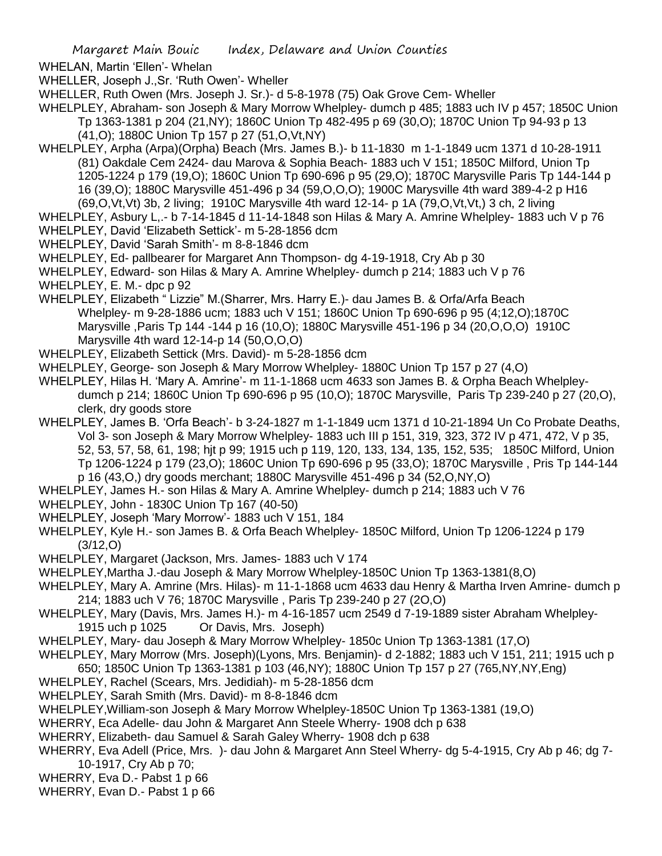WHELAN, Martin 'Ellen'- Whelan

WHELLER, Joseph J.,Sr. 'Ruth Owen'- Wheller

WHELLER, Ruth Owen (Mrs. Joseph J. Sr.)- d 5-8-1978 (75) Oak Grove Cem- Wheller

WHELPLEY, Abraham- son Joseph & Mary Morrow Whelpley- dumch p 485; 1883 uch IV p 457; 1850C Union Tp 1363-1381 p 204 (21,NY); 1860C Union Tp 482-495 p 69 (30,O); 1870C Union Tp 94-93 p 13 (41,O); 1880C Union Tp 157 p 27 (51,O,Vt,NY)

WHELPLEY, Arpha (Arpa)(Orpha) Beach (Mrs. James B.)- b 11-1830 m 1-1-1849 ucm 1371 d 10-28-1911 (81) Oakdale Cem 2424- dau Marova & Sophia Beach- 1883 uch V 151; 1850C Milford, Union Tp 1205-1224 p 179 (19,O); 1860C Union Tp 690-696 p 95 (29,O); 1870C Marysville Paris Tp 144-144 p 16 (39,O); 1880C Marysville 451-496 p 34 (59,O,O,O); 1900C Marysville 4th ward 389-4-2 p H16  $(69,0,\forall t,\forall t)$  3b, 2 living; 1910C Marysville 4th ward 12-14- p 1A  $(79,0,\forall t,\forall t)$  3 ch, 2 living

WHELPLEY, Asbury L<sub>1</sub>.- b 7-14-1845 d 11-14-1848 son Hilas & Mary A. Amrine Whelpley- 1883 uch V p 76

- WHELPLEY, David 'Elizabeth Settick'- m 5-28-1856 dcm
- WHELPLEY, David 'Sarah Smith'- m 8-8-1846 dcm

WHELPLEY, Ed- pallbearer for Margaret Ann Thompson- dg 4-19-1918, Cry Ab p 30

WHELPLEY, Edward- son Hilas & Mary A. Amrine Whelpley- dumch p 214; 1883 uch V p 76

WHELPLEY, E. M.- dpc p 92

- WHELPLEY, Elizabeth " Lizzie" M.(Sharrer, Mrs. Harry E.)- dau James B. & Orfa/Arfa Beach Whelpley- m 9-28-1886 ucm; 1883 uch V 151; 1860C Union Tp 690-696 p 95 (4;12,O);1870C Marysville ,Paris Tp 144 -144 p 16 (10,O); 1880C Marysville 451-196 p 34 (20,O,O,O) 1910C Marysville 4th ward 12-14-p 14 (50,O,O,O)
- WHELPLEY, Elizabeth Settick (Mrs. David)- m 5-28-1856 dcm

WHELPLEY, George- son Joseph & Mary Morrow Whelpley- 1880C Union Tp 157 p 27 (4,O)

WHELPLEY, Hilas H. 'Mary A. Amrine'- m 11-1-1868 ucm 4633 son James B. & Orpha Beach Whelpleydumch p 214; 1860C Union Tp 690-696 p 95 (10,O); 1870C Marysville, Paris Tp 239-240 p 27 (20,O), clerk, dry goods store

- WHELPLEY, James B. 'Orfa Beach'- b 3-24-1827 m 1-1-1849 ucm 1371 d 10-21-1894 Un Co Probate Deaths, Vol 3- son Joseph & Mary Morrow Whelpley- 1883 uch III p 151, 319, 323, 372 IV p 471, 472, V p 35, 52, 53, 57, 58, 61, 198; hjt p 99; 1915 uch p 119, 120, 133, 134, 135, 152, 535; 1850C Milford, Union Tp 1206-1224 p 179 (23,O); 1860C Union Tp 690-696 p 95 (33,O); 1870C Marysville , Pris Tp 144-144 p 16 (43,O,) dry goods merchant; 1880C Marysville 451-496 p 34 (52,O,NY,O)
- WHELPLEY, James H.- son Hilas & Mary A. Amrine Whelpley- dumch p 214; 1883 uch V 76
- WHELPLEY, John 1830C Union Tp 167 (40-50)
- WHELPLEY, Joseph 'Mary Morrow'- 1883 uch V 151, 184
- WHELPLEY, Kyle H.- son James B. & Orfa Beach Whelpley- 1850C Milford, Union Tp 1206-1224 p 179 (3/12,O)
- WHELPLEY, Margaret (Jackson, Mrs. James- 1883 uch V 174
- WHELPLEY,Martha J.-dau Joseph & Mary Morrow Whelpley-1850C Union Tp 1363-1381(8,O)
- WHELPLEY, Mary A. Amrine (Mrs. Hilas)- m 11-1-1868 ucm 4633 dau Henry & Martha Irven Amrine- dumch p 214; 1883 uch V 76; 1870C Marysville , Paris Tp 239-240 p 27 (2O,O)
- WHELPLEY, Mary (Davis, Mrs. James H.)- m 4-16-1857 ucm 2549 d 7-19-1889 sister Abraham Whelpley-1915 uch p 1025 Or Davis, Mrs. Joseph)
- WHELPLEY, Mary- dau Joseph & Mary Morrow Whelpley- 1850c Union Tp 1363-1381 (17,O)
- WHELPLEY, Mary Morrow (Mrs. Joseph)(Lyons, Mrs. Benjamin)- d 2-1882; 1883 uch V 151, 211; 1915 uch p
- 650; 1850C Union Tp 1363-1381 p 103 (46,NY); 1880C Union Tp 157 p 27 (765,NY,NY,Eng)
- WHELPLEY, Rachel (Scears, Mrs. Jedidiah)- m 5-28-1856 dcm
- WHELPLEY, Sarah Smith (Mrs. David)- m 8-8-1846 dcm
- WHELPLEY,William-son Joseph & Mary Morrow Whelpley-1850C Union Tp 1363-1381 (19,O)
- WHERRY, Eca Adelle- dau John & Margaret Ann Steele Wherry- 1908 dch p 638
- WHERRY, Elizabeth- dau Samuel & Sarah Galey Wherry- 1908 dch p 638
- WHERRY, Eva Adell (Price, Mrs. )- dau John & Margaret Ann Steel Wherry- dg 5-4-1915, Cry Ab p 46; dg 7- 10-1917, Cry Ab p 70;
- WHERRY, Eva D.- Pabst 1 p 66
- WHERRY, Evan D.- Pabst 1 p 66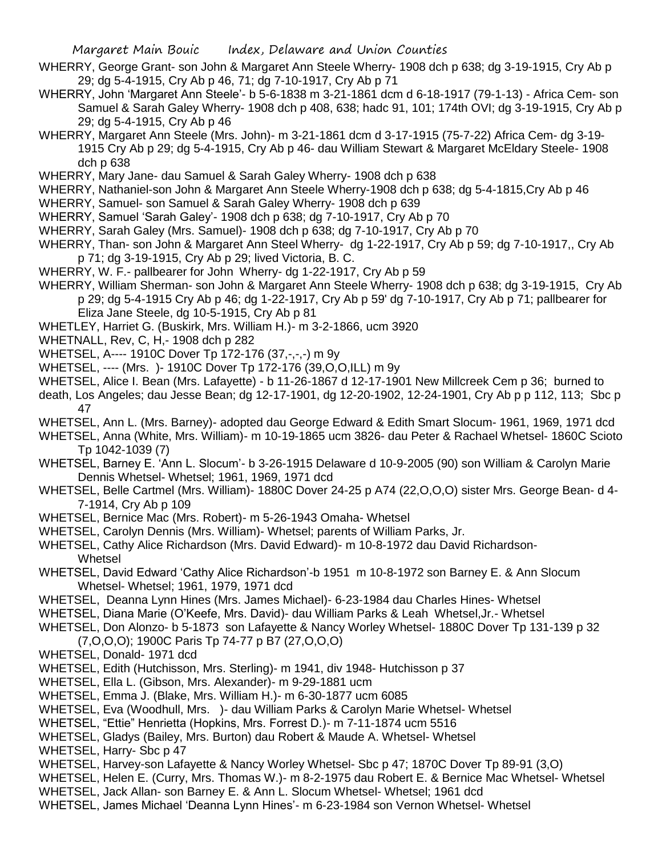- WHERRY, George Grant- son John & Margaret Ann Steele Wherry- 1908 dch p 638; dg 3-19-1915, Cry Ab p 29; dg 5-4-1915, Cry Ab p 46, 71; dg 7-10-1917, Cry Ab p 71
- WHERRY, John 'Margaret Ann Steele'- b 5-6-1838 m 3-21-1861 dcm d 6-18-1917 (79-1-13) Africa Cem- son Samuel & Sarah Galey Wherry- 1908 dch p 408, 638; hadc 91, 101; 174th OVI; dg 3-19-1915, Cry Ab p 29; dg 5-4-1915, Cry Ab p 46
- WHERRY, Margaret Ann Steele (Mrs. John)- m 3-21-1861 dcm d 3-17-1915 (75-7-22) Africa Cem- dg 3-19- 1915 Cry Ab p 29; dg 5-4-1915, Cry Ab p 46- dau William Stewart & Margaret McEldary Steele- 1908 dch p 638
- WHERRY, Mary Jane- dau Samuel & Sarah Galey Wherry- 1908 dch p 638
- WHERRY, Nathaniel-son John & Margaret Ann Steele Wherry-1908 dch p 638; dg 5-4-1815,Cry Ab p 46
- WHERRY, Samuel- son Samuel & Sarah Galey Wherry- 1908 dch p 639
- WHERRY, Samuel 'Sarah Galey'- 1908 dch p 638; dg 7-10-1917, Cry Ab p 70
- WHERRY, Sarah Galey (Mrs. Samuel)- 1908 dch p 638; dg 7-10-1917, Cry Ab p 70
- WHERRY, Than- son John & Margaret Ann Steel Wherry- dg 1-22-1917, Cry Ab p 59; dg 7-10-1917,, Cry Ab p 71; dg 3-19-1915, Cry Ab p 29; lived Victoria, B. C.
- WHERRY, W. F.- pallbearer for John Wherry- dg 1-22-1917, Cry Ab p 59
- WHERRY, William Sherman- son John & Margaret Ann Steele Wherry- 1908 dch p 638; dg 3-19-1915, Cry Ab p 29; dg 5-4-1915 Cry Ab p 46; dg 1-22-1917, Cry Ab p 59' dg 7-10-1917, Cry Ab p 71; pallbearer for Eliza Jane Steele, dg 10-5-1915, Cry Ab p 81
- WHETLEY, Harriet G. (Buskirk, Mrs. William H.)- m 3-2-1866, ucm 3920
- WHETNALL, Rev, C, H,- 1908 dch p 282
- WHETSEL, A---- 1910C Dover Tp 172-176 (37,-,-,-) m 9y
- WHETSEL, ---- (Mrs. )- 1910C Dover Tp 172-176 (39,O,O,ILL) m 9y
- WHETSEL, Alice I. Bean (Mrs. Lafayette) b 11-26-1867 d 12-17-1901 New Millcreek Cem p 36; burned to
- death, Los Angeles; dau Jesse Bean; dg 12-17-1901, dg 12-20-1902, 12-24-1901, Cry Ab p p 112, 113; Sbc p 47
- WHETSEL, Ann L. (Mrs. Barney)- adopted dau George Edward & Edith Smart Slocum- 1961, 1969, 1971 dcd
- WHETSEL, Anna (White, Mrs. William)- m 10-19-1865 ucm 3826- dau Peter & Rachael Whetsel- 1860C Scioto Tp 1042-1039 (7)
- WHETSEL, Barney E. 'Ann L. Slocum'- b 3-26-1915 Delaware d 10-9-2005 (90) son William & Carolyn Marie Dennis Whetsel- Whetsel; 1961, 1969, 1971 dcd
- WHETSEL, Belle Cartmel (Mrs. William)- 1880C Dover 24-25 p A74 (22,O,O,O) sister Mrs. George Bean- d 4- 7-1914, Cry Ab p 109
- WHETSEL, Bernice Mac (Mrs. Robert)- m 5-26-1943 Omaha- Whetsel
- WHETSEL, Carolyn Dennis (Mrs. William)- Whetsel; parents of William Parks, Jr.
- WHETSEL, Cathy Alice Richardson (Mrs. David Edward)- m 10-8-1972 dau David Richardson-Whetsel
- WHETSEL, David Edward 'Cathy Alice Richardson'-b 1951 m 10-8-1972 son Barney E. & Ann Slocum Whetsel- Whetsel; 1961, 1979, 1971 dcd
- WHETSEL, Deanna Lynn Hines (Mrs. James Michael)- 6-23-1984 dau Charles Hines- Whetsel
- WHETSEL, Diana Marie (O'Keefe, Mrs. David)- dau William Parks & Leah Whetsel,Jr.- Whetsel
- WHETSEL, Don Alonzo- b 5-1873 son Lafayette & Nancy Worley Whetsel- 1880C Dover Tp 131-139 p 32 (7,O,O,O); 1900C Paris Tp 74-77 p B7 (27,O,O,O)
- WHETSEL, Donald- 1971 dcd
- WHETSEL, Edith (Hutchisson, Mrs. Sterling)- m 1941, div 1948- Hutchisson p 37
- WHETSEL, Ella L. (Gibson, Mrs. Alexander)- m 9-29-1881 ucm
- WHETSEL, Emma J. (Blake, Mrs. William H.)- m 6-30-1877 ucm 6085
- WHETSEL, Eva (Woodhull, Mrs. )- dau William Parks & Carolyn Marie Whetsel- Whetsel
- WHETSEL, "Ettie" Henrietta (Hopkins, Mrs. Forrest D.)- m 7-11-1874 ucm 5516
- WHETSEL, Gladys (Bailey, Mrs. Burton) dau Robert & Maude A. Whetsel- Whetsel
- WHETSEL, Harry- Sbc p 47
- WHETSEL, Harvey-son Lafayette & Nancy Worley Whetsel- Sbc p 47; 1870C Dover Tp 89-91 (3,O)
- WHETSEL, Helen E. (Curry, Mrs. Thomas W.)- m 8-2-1975 dau Robert E. & Bernice Mac Whetsel- Whetsel
- WHETSEL, Jack Allan- son Barney E. & Ann L. Slocum Whetsel- Whetsel; 1961 dcd
- WHETSEL, James Michael 'Deanna Lynn Hines'- m 6-23-1984 son Vernon Whetsel- Whetsel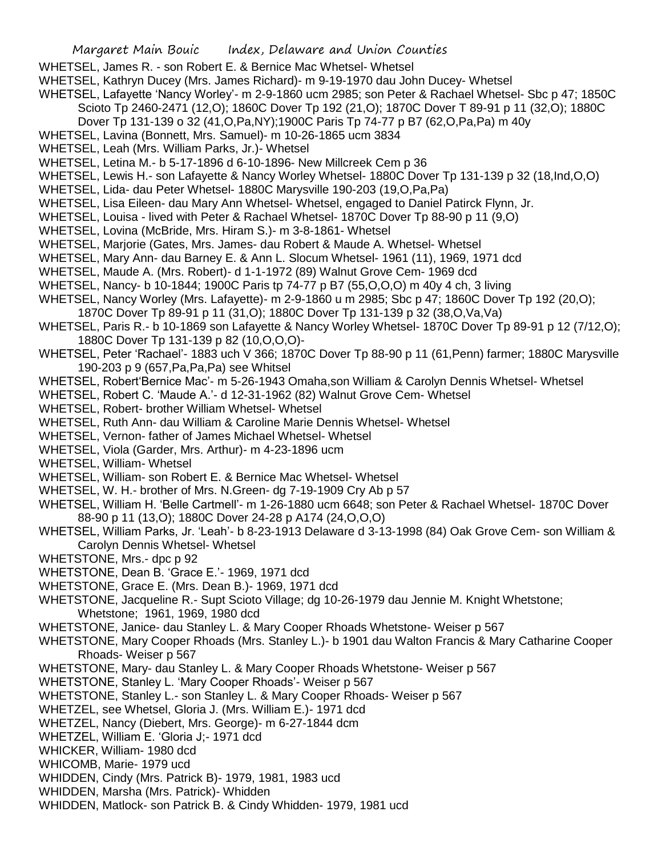- WHETSEL, James R. son Robert E. & Bernice Mac Whetsel- Whetsel
- WHETSEL, Kathryn Ducey (Mrs. James Richard)- m 9-19-1970 dau John Ducey- Whetsel
- WHETSEL, Lafayette 'Nancy Worley'- m 2-9-1860 ucm 2985; son Peter & Rachael Whetsel- Sbc p 47; 1850C Scioto Tp 2460-2471 (12,O); 1860C Dover Tp 192 (21,O); 1870C Dover T 89-91 p 11 (32,O); 1880C
	- Dover Tp 131-139 o 32 (41,O,Pa,NY);1900C Paris Tp 74-77 p B7 (62,O,Pa,Pa) m 40y
- WHETSEL, Lavina (Bonnett, Mrs. Samuel)- m 10-26-1865 ucm 3834
- WHETSEL, Leah (Mrs. William Parks, Jr.)- Whetsel
- WHETSEL, Letina M.- b 5-17-1896 d 6-10-1896- New Millcreek Cem p 36
- WHETSEL, Lewis H.- son Lafayette & Nancy Worley Whetsel- 1880C Dover Tp 131-139 p 32 (18,Ind,O,O)
- WHETSEL, Lida- dau Peter Whetsel- 1880C Marysville 190-203 (19,O,Pa,Pa)
- WHETSEL, Lisa Eileen- dau Mary Ann Whetsel- Whetsel, engaged to Daniel Patirck Flynn, Jr.
- WHETSEL, Louisa lived with Peter & Rachael Whetsel- 1870C Dover Tp 88-90 p 11 (9,O)
- WHETSEL, Lovina (McBride, Mrs. Hiram S.)- m 3-8-1861- Whetsel
- WHETSEL, Marjorie (Gates, Mrs. James- dau Robert & Maude A. Whetsel- Whetsel
- WHETSEL, Mary Ann- dau Barney E. & Ann L. Slocum Whetsel- 1961 (11), 1969, 1971 dcd
- WHETSEL, Maude A. (Mrs. Robert)- d 1-1-1972 (89) Walnut Grove Cem- 1969 dcd
- WHETSEL, Nancy- b 10-1844; 1900C Paris tp 74-77 p B7 (55,O,O,O) m 40y 4 ch, 3 living
- WHETSEL, Nancy Worley (Mrs. Lafayette)- m 2-9-1860 u m 2985; Sbc p 47; 1860C Dover Tp 192 (20,O);
- 1870C Dover Tp 89-91 p 11 (31,O); 1880C Dover Tp 131-139 p 32 (38,O,Va,Va)
- WHETSEL, Paris R.- b 10-1869 son Lafayette & Nancy Worley Whetsel- 1870C Dover Tp 89-91 p 12 (7/12,O); 1880C Dover Tp 131-139 p 82 (10,O,O,O)-
- WHETSEL, Peter 'Rachael'- 1883 uch V 366; 1870C Dover Tp 88-90 p 11 (61,Penn) farmer; 1880C Marysville 190-203 p 9 (657,Pa,Pa,Pa) see Whitsel
- WHETSEL, Robert'Bernice Mac'- m 5-26-1943 Omaha,son William & Carolyn Dennis Whetsel- Whetsel
- WHETSEL, Robert C. 'Maude A.'- d 12-31-1962 (82) Walnut Grove Cem- Whetsel
- WHETSEL, Robert- brother William Whetsel- Whetsel
- WHETSEL, Ruth Ann- dau William & Caroline Marie Dennis Whetsel- Whetsel
- WHETSEL, Vernon- father of James Michael Whetsel- Whetsel
- WHETSEL, Viola (Garder, Mrs. Arthur)- m 4-23-1896 ucm
- WHETSEL, William- Whetsel
- WHETSEL, William- son Robert E. & Bernice Mac Whetsel- Whetsel
- WHETSEL, W. H.- brother of Mrs. N.Green- dg 7-19-1909 Cry Ab p 57
- WHETSEL, William H. 'Belle Cartmell'- m 1-26-1880 ucm 6648; son Peter & Rachael Whetsel- 1870C Dover 88-90 p 11 (13,O); 1880C Dover 24-28 p A174 (24,O,O,O)
- WHETSEL, William Parks, Jr. 'Leah'- b 8-23-1913 Delaware d 3-13-1998 (84) Oak Grove Cem- son William & Carolyn Dennis Whetsel- Whetsel
- WHETSTONE, Mrs.- dpc p 92
- WHETSTONE, Dean B. 'Grace E.'- 1969, 1971 dcd
- WHETSTONE, Grace E. (Mrs. Dean B.)- 1969, 1971 dcd
- WHETSTONE, Jacqueline R.- Supt Scioto Village; dg 10-26-1979 dau Jennie M. Knight Whetstone; Whetstone; 1961, 1969, 1980 dcd
- WHETSTONE, Janice- dau Stanley L. & Mary Cooper Rhoads Whetstone- Weiser p 567
- WHETSTONE, Mary Cooper Rhoads (Mrs. Stanley L.)- b 1901 dau Walton Francis & Mary Catharine Cooper Rhoads- Weiser p 567
- WHETSTONE, Mary- dau Stanley L. & Mary Cooper Rhoads Whetstone- Weiser p 567
- WHETSTONE, Stanley L. 'Mary Cooper Rhoads'- Weiser p 567
- WHETSTONE, Stanley L.- son Stanley L. & Mary Cooper Rhoads- Weiser p 567
- WHETZEL, see Whetsel, Gloria J. (Mrs. William E.)- 1971 dcd
- WHETZEL, Nancy (Diebert, Mrs. George)- m 6-27-1844 dcm
- WHETZEL, William E. 'Gloria J;- 1971 dcd
- WHICKER, William- 1980 dcd
- WHICOMB, Marie- 1979 ucd
- WHIDDEN, Cindy (Mrs. Patrick B)- 1979, 1981, 1983 ucd
- WHIDDEN, Marsha (Mrs. Patrick)- Whidden
- WHIDDEN, Matlock- son Patrick B. & Cindy Whidden- 1979, 1981 ucd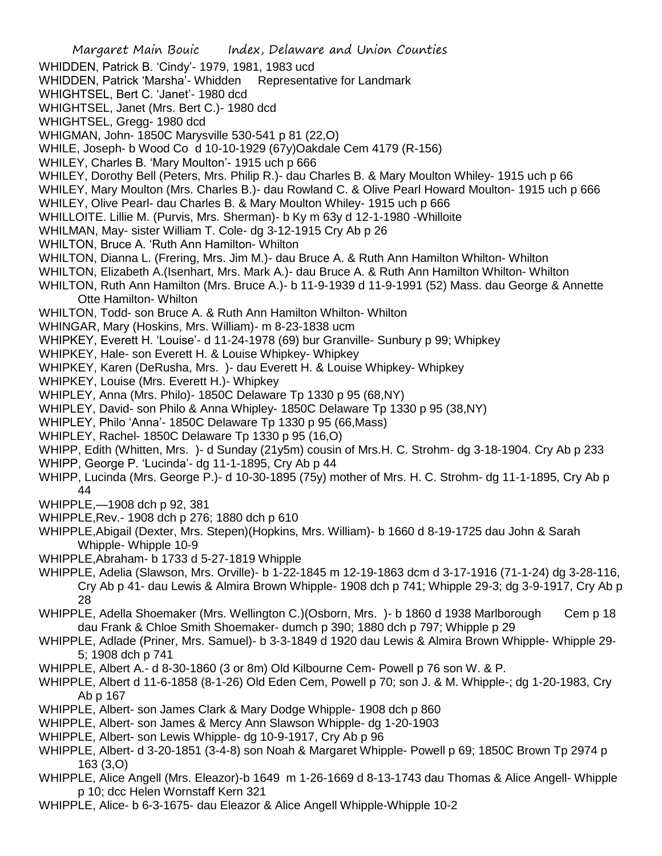Margaret Main Bouic Index, Delaware and Union Counties WHIDDEN, Patrick B. 'Cindy'- 1979, 1981, 1983 ucd WHIDDEN, Patrick 'Marsha'- Whidden Representative for Landmark WHIGHTSEL, Bert C. 'Janet'- 1980 dcd WHIGHTSEL, Janet (Mrs. Bert C.)- 1980 dcd WHIGHTSEL, Gregg- 1980 dcd WHIGMAN, John- 1850C Marysville 530-541 p 81 (22,O) WHILE, Joseph- b Wood Co d 10-10-1929 (67y)Oakdale Cem 4179 (R-156) WHILEY, Charles B. 'Mary Moulton'- 1915 uch p 666 WHILEY, Dorothy Bell (Peters, Mrs. Philip R.)- dau Charles B. & Mary Moulton Whiley- 1915 uch p 66 WHILEY, Mary Moulton (Mrs. Charles B.)- dau Rowland C. & Olive Pearl Howard Moulton- 1915 uch p 666 WHILEY, Olive Pearl- dau Charles B. & Mary Moulton Whiley- 1915 uch p 666 WHILLOITE. Lillie M. (Purvis, Mrs. Sherman)- b Ky m 63y d 12-1-1980 -Whilloite WHILMAN, May- sister William T. Cole- dg 3-12-1915 Cry Ab p 26 WHILTON, Bruce A. 'Ruth Ann Hamilton- Whilton WHILTON, Dianna L. (Frering, Mrs. Jim M.)- dau Bruce A. & Ruth Ann Hamilton Whilton- Whilton WHILTON, Elizabeth A.(Isenhart, Mrs. Mark A.)- dau Bruce A. & Ruth Ann Hamilton Whilton- Whilton WHILTON, Ruth Ann Hamilton (Mrs. Bruce A.)- b 11-9-1939 d 11-9-1991 (52) Mass. dau George & Annette Otte Hamilton- Whilton WHILTON, Todd- son Bruce A. & Ruth Ann Hamilton Whilton- Whilton WHINGAR, Mary (Hoskins, Mrs. William)- m 8-23-1838 ucm WHIPKEY, Everett H. 'Louise'- d 11-24-1978 (69) bur Granville- Sunbury p 99; Whipkey WHIPKEY, Hale- son Everett H. & Louise Whipkey- Whipkey WHIPKEY, Karen (DeRusha, Mrs. )- dau Everett H. & Louise Whipkey- Whipkey WHIPKEY, Louise (Mrs. Everett H.)- Whipkey WHIPLEY, Anna (Mrs. Philo)- 1850C Delaware Tp 1330 p 95 (68,NY) WHIPLEY, David- son Philo & Anna Whipley- 1850C Delaware Tp 1330 p 95 (38,NY) WHIPLEY, Philo 'Anna'- 1850C Delaware Tp 1330 p 95 (66,Mass) WHIPLEY, Rachel- 1850C Delaware Tp 1330 p 95 (16,O) WHIPP, Edith (Whitten, Mrs. )- d Sunday (21y5m) cousin of Mrs.H. C. Strohm- dg 3-18-1904. Cry Ab p 233 WHIPP, George P. 'Lucinda'- dg 11-1-1895, Cry Ab p 44 WHIPP, Lucinda (Mrs. George P.)- d 10-30-1895 (75y) mother of Mrs. H. C. Strohm- dg 11-1-1895, Cry Ab p 44 WHIPPLE,—1908 dch p 92, 381 WHIPPLE,Rev.- 1908 dch p 276; 1880 dch p 610 WHIPPLE,Abigail (Dexter, Mrs. Stepen)(Hopkins, Mrs. William)- b 1660 d 8-19-1725 dau John & Sarah Whipple- Whipple 10-9 WHIPPLE,Abraham- b 1733 d 5-27-1819 Whipple WHIPPLE, Adelia (Slawson, Mrs. Orville)- b 1-22-1845 m 12-19-1863 dcm d 3-17-1916 (71-1-24) dg 3-28-116, Cry Ab p 41- dau Lewis & Almira Brown Whipple- 1908 dch p 741; Whipple 29-3; dg 3-9-1917, Cry Ab p 28 WHIPPLE, Adella Shoemaker (Mrs. Wellington C.)(Osborn, Mrs. )- b 1860 d 1938 Marlborough Cem p 18 dau Frank & Chloe Smith Shoemaker- dumch p 390; 1880 dch p 797; Whipple p 29 WHIPPLE, Adlade (Priner, Mrs. Samuel)- b 3-3-1849 d 1920 dau Lewis & Almira Brown Whipple- Whipple 29- 5; 1908 dch p 741 WHIPPLE, Albert A.- d 8-30-1860 (3 or 8m) Old Kilbourne Cem- Powell p 76 son W. & P. WHIPPLE, Albert d 11-6-1858 (8-1-26) Old Eden Cem, Powell p 70; son J. & M. Whipple-; dg 1-20-1983, Cry Ab p 167 WHIPPLE, Albert- son James Clark & Mary Dodge Whipple- 1908 dch p 860 WHIPPLE, Albert- son James & Mercy Ann Slawson Whipple- dg 1-20-1903 WHIPPLE, Albert- son Lewis Whipple- dg 10-9-1917, Cry Ab p 96 WHIPPLE, Albert- d 3-20-1851 (3-4-8) son Noah & Margaret Whipple- Powell p 69; 1850C Brown Tp 2974 p 163 (3,O)

- WHIPPLE, Alice Angell (Mrs. Eleazor)-b 1649 m 1-26-1669 d 8-13-1743 dau Thomas & Alice Angell- Whipple p 10; dcc Helen Wornstaff Kern 321
- WHIPPLE, Alice- b 6-3-1675- dau Eleazor & Alice Angell Whipple-Whipple 10-2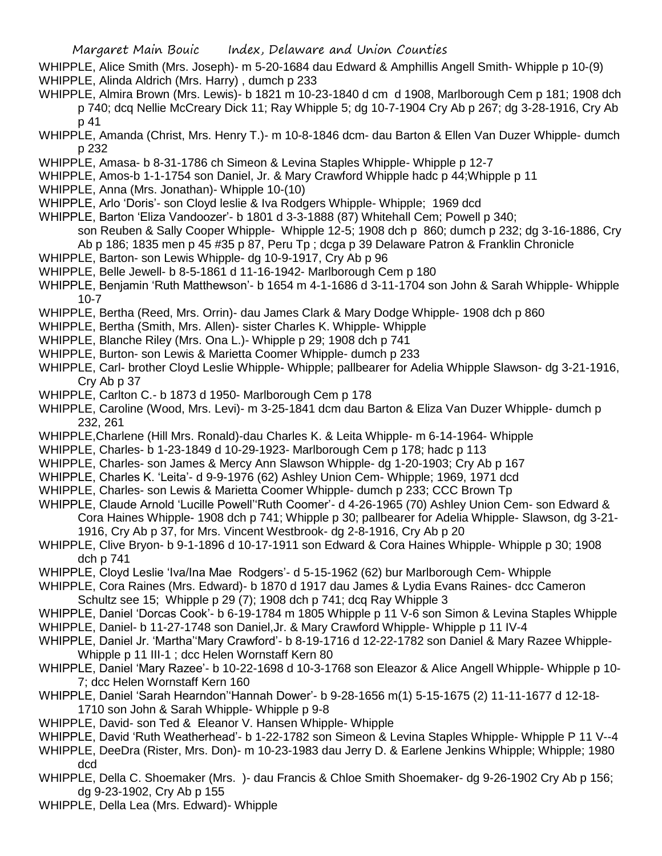- WHIPPLE, Alice Smith (Mrs. Joseph)- m 5-20-1684 dau Edward & Amphillis Angell Smith- Whipple p 10-(9) WHIPPLE, Alinda Aldrich (Mrs. Harry) , dumch p 233
- WHIPPLE, Almira Brown (Mrs. Lewis)- b 1821 m 10-23-1840 d cm d 1908, Marlborough Cem p 181; 1908 dch p 740; dcq Nellie McCreary Dick 11; Ray Whipple 5; dg 10-7-1904 Cry Ab p 267; dg 3-28-1916, Cry Ab p 41
- WHIPPLE, Amanda (Christ, Mrs. Henry T.)- m 10-8-1846 dcm- dau Barton & Ellen Van Duzer Whipple- dumch p 232
- WHIPPLE, Amasa- b 8-31-1786 ch Simeon & Levina Staples Whipple- Whipple p 12-7
- WHIPPLE, Amos-b 1-1-1754 son Daniel, Jr. & Mary Crawford Whipple hadc p 44;Whipple p 11
- WHIPPLE, Anna (Mrs. Jonathan)- Whipple 10-(10)
- WHIPPLE, Arlo 'Doris'- son Cloyd leslie & Iva Rodgers Whipple- Whipple; 1969 dcd
- WHIPPLE, Barton 'Eliza Vandoozer'- b 1801 d 3-3-1888 (87) Whitehall Cem; Powell p 340;
	- son Reuben & Sally Cooper Whipple- Whipple 12-5; 1908 dch p 860; dumch p 232; dg 3-16-1886, Cry
	- Ab p 186; 1835 men p 45 #35 p 87, Peru Tp ; dcga p 39 Delaware Patron & Franklin Chronicle
- WHIPPLE, Barton- son Lewis Whipple- dg 10-9-1917, Cry Ab p 96
- WHIPPLE, Belle Jewell- b 8-5-1861 d 11-16-1942- Marlborough Cem p 180
- WHIPPLE, Benjamin 'Ruth Matthewson'- b 1654 m 4-1-1686 d 3-11-1704 son John & Sarah Whipple- Whipple 10-7
- WHIPPLE, Bertha (Reed, Mrs. Orrin)- dau James Clark & Mary Dodge Whipple- 1908 dch p 860
- WHIPPLE, Bertha (Smith, Mrs. Allen)- sister Charles K. Whipple- Whipple
- WHIPPLE, Blanche Riley (Mrs. Ona L.)- Whipple p 29; 1908 dch p 741
- WHIPPLE, Burton- son Lewis & Marietta Coomer Whipple- dumch p 233
- WHIPPLE, Carl- brother Cloyd Leslie Whipple- Whipple; pallbearer for Adelia Whipple Slawson- dg 3-21-1916, Cry Ab p 37
- WHIPPLE, Carlton C.- b 1873 d 1950- Marlborough Cem p 178
- WHIPPLE, Caroline (Wood, Mrs. Levi)- m 3-25-1841 dcm dau Barton & Eliza Van Duzer Whipple- dumch p 232, 261
- WHIPPLE,Charlene (Hill Mrs. Ronald)-dau Charles K. & Leita Whipple- m 6-14-1964- Whipple
- WHIPPLE, Charles- b 1-23-1849 d 10-29-1923- Marlborough Cem p 178; hadc p 113
- WHIPPLE, Charles- son James & Mercy Ann Slawson Whipple- dg 1-20-1903; Cry Ab p 167
- WHIPPLE, Charles K. 'Leita'- d 9-9-1976 (62) Ashley Union Cem- Whipple; 1969, 1971 dcd
- WHIPPLE, Charles- son Lewis & Marietta Coomer Whipple- dumch p 233; CCC Brown Tp
- WHIPPLE, Claude Arnold 'Lucille Powell''Ruth Coomer'- d 4-26-1965 (70) Ashley Union Cem- son Edward & Cora Haines Whipple- 1908 dch p 741; Whipple p 30; pallbearer for Adelia Whipple- Slawson, dg 3-21- 1916, Cry Ab p 37, for Mrs. Vincent Westbrook- dg 2-8-1916, Cry Ab p 20
- WHIPPLE, Clive Bryon- b 9-1-1896 d 10-17-1911 son Edward & Cora Haines Whipple- Whipple p 30; 1908 dch p 741
- WHIPPLE, Cloyd Leslie 'Iva/Ina Mae Rodgers'- d 5-15-1962 (62) bur Marlborough Cem- Whipple
- WHIPPLE, Cora Raines (Mrs. Edward)- b 1870 d 1917 dau James & Lydia Evans Raines- dcc Cameron Schultz see 15; Whipple p 29 (7); 1908 dch p 741; dcq Ray Whipple 3
- WHIPPLE, Daniel 'Dorcas Cook'- b 6-19-1784 m 1805 Whipple p 11 V-6 son Simon & Levina Staples Whipple
- WHIPPLE, Daniel- b 11-27-1748 son Daniel,Jr. & Mary Crawford Whipple- Whipple p 11 IV-4
- WHIPPLE, Daniel Jr. 'Martha''Mary Crawford'- b 8-19-1716 d 12-22-1782 son Daniel & Mary Razee Whipple-Whipple p 11 III-1 ; dcc Helen Wornstaff Kern 80
- WHIPPLE, Daniel 'Mary Razee'- b 10-22-1698 d 10-3-1768 son Eleazor & Alice Angell Whipple- Whipple p 10- 7; dcc Helen Wornstaff Kern 160
- WHIPPLE, Daniel 'Sarah Hearndon''Hannah Dower'- b 9-28-1656 m(1) 5-15-1675 (2) 11-11-1677 d 12-18- 1710 son John & Sarah Whipple- Whipple p 9-8
- WHIPPLE, David- son Ted & Eleanor V. Hansen Whipple- Whipple
- WHIPPLE, David 'Ruth Weatherhead'- b 1-22-1782 son Simeon & Levina Staples Whipple- Whipple P 11 V--4
- WHIPPLE, DeeDra (Rister, Mrs. Don)- m 10-23-1983 dau Jerry D. & Earlene Jenkins Whipple; Whipple; 1980 dcd
- WHIPPLE, Della C. Shoemaker (Mrs. )- dau Francis & Chloe Smith Shoemaker- dg 9-26-1902 Cry Ab p 156; dg 9-23-1902, Cry Ab p 155
- WHIPPLE, Della Lea (Mrs. Edward)- Whipple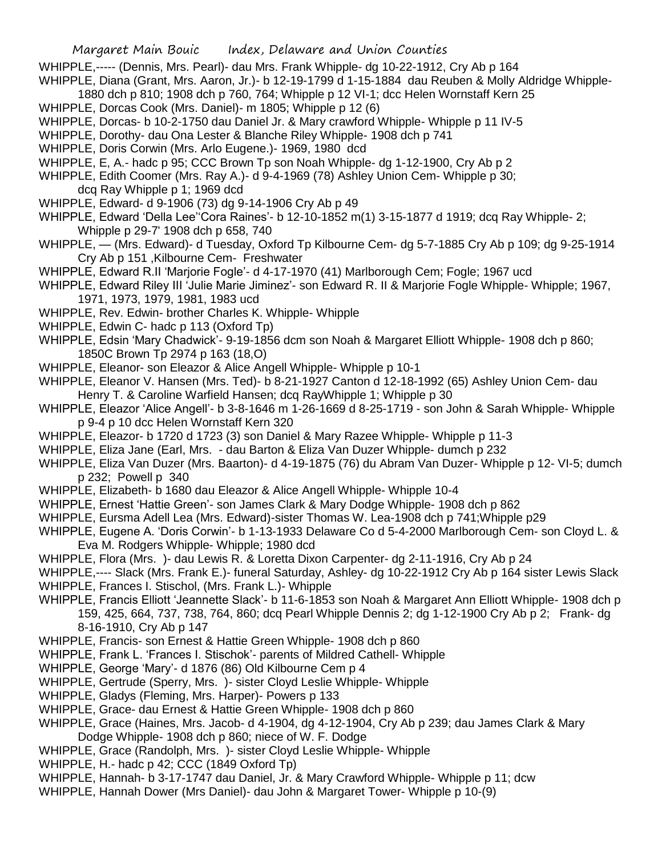- WHIPPLE,----- (Dennis, Mrs. Pearl)- dau Mrs. Frank Whipple- dg 10-22-1912, Cry Ab p 164
- WHIPPLE, Diana (Grant, Mrs. Aaron, Jr.)- b 12-19-1799 d 1-15-1884 dau Reuben & Molly Aldridge Whipple-
- 1880 dch p 810; 1908 dch p 760, 764; Whipple p 12 VI-1; dcc Helen Wornstaff Kern 25
- WHIPPLE, Dorcas Cook (Mrs. Daniel)- m 1805; Whipple p 12 (6)
- WHIPPLE, Dorcas- b 10-2-1750 dau Daniel Jr. & Mary crawford Whipple- Whipple p 11 IV-5
- WHIPPLE, Dorothy- dau Ona Lester & Blanche Riley Whipple- 1908 dch p 741
- WHIPPLE, Doris Corwin (Mrs. Arlo Eugene.)- 1969, 1980 dcd
- WHIPPLE, E, A.- hadc p 95; CCC Brown Tp son Noah Whipple- dg 1-12-1900, Cry Ab p 2
- WHIPPLE, Edith Coomer (Mrs. Ray A.)- d 9-4-1969 (78) Ashley Union Cem- Whipple p 30; dcq Ray Whipple p 1; 1969 dcd
- WHIPPLE, Edward- d 9-1906 (73) dg 9-14-1906 Cry Ab p 49
- WHIPPLE, Edward 'Della Lee''Cora Raines'- b 12-10-1852 m(1) 3-15-1877 d 1919; dcq Ray Whipple- 2; Whipple p 29-7' 1908 dch p 658, 740
- WHIPPLE, (Mrs. Edward)- d Tuesday, Oxford Tp Kilbourne Cem- dg 5-7-1885 Cry Ab p 109; dg 9-25-1914 Cry Ab p 151 ,Kilbourne Cem- Freshwater
- WHIPPLE, Edward R.II 'Marjorie Fogle'- d 4-17-1970 (41) Marlborough Cem; Fogle; 1967 ucd
- WHIPPLE, Edward Riley III 'Julie Marie Jiminez'- son Edward R. II & Marjorie Fogle Whipple- Whipple; 1967, 1971, 1973, 1979, 1981, 1983 ucd
- WHIPPLE, Rev. Edwin- brother Charles K. Whipple- Whipple
- WHIPPLE, Edwin C- hadc p 113 (Oxford Tp)
- WHIPPLE, Edsin 'Mary Chadwick'- 9-19-1856 dcm son Noah & Margaret Elliott Whipple- 1908 dch p 860; 1850C Brown Tp 2974 p 163 (18,O)
- WHIPPLE, Eleanor- son Eleazor & Alice Angell Whipple- Whipple p 10-1
- WHIPPLE, Eleanor V. Hansen (Mrs. Ted)- b 8-21-1927 Canton d 12-18-1992 (65) Ashley Union Cem- dau Henry T. & Caroline Warfield Hansen; dcq RayWhipple 1; Whipple p 30
- WHIPPLE, Eleazor 'Alice Angell'- b 3-8-1646 m 1-26-1669 d 8-25-1719 son John & Sarah Whipple- Whipple p 9-4 p 10 dcc Helen Wornstaff Kern 320
- WHIPPLE, Eleazor- b 1720 d 1723 (3) son Daniel & Mary Razee Whipple- Whipple p 11-3
- WHIPPLE, Eliza Jane (Earl, Mrs. dau Barton & Eliza Van Duzer Whipple- dumch p 232
- WHIPPLE, Eliza Van Duzer (Mrs. Baarton)- d 4-19-1875 (76) du Abram Van Duzer- Whipple p 12- VI-5; dumch p 232; Powell p 340
- WHIPPLE, Elizabeth- b 1680 dau Eleazor & Alice Angell Whipple- Whipple 10-4
- WHIPPLE, Ernest 'Hattie Green'- son James Clark & Mary Dodge Whipple- 1908 dch p 862
- WHIPPLE, Eursma Adell Lea (Mrs. Edward)-sister Thomas W. Lea-1908 dch p 741;Whipple p29
- WHIPPLE, Eugene A. 'Doris Corwin'- b 1-13-1933 Delaware Co d 5-4-2000 Marlborough Cem- son Cloyd L. & Eva M. Rodgers Whipple- Whipple; 1980 dcd
- WHIPPLE, Flora (Mrs. )- dau Lewis R. & Loretta Dixon Carpenter- dg 2-11-1916, Cry Ab p 24
- WHIPPLE,---- Slack (Mrs. Frank E.)- funeral Saturday, Ashley- dg 10-22-1912 Cry Ab p 164 sister Lewis Slack
- WHIPPLE, Frances I. Stischol, (Mrs. Frank L.)- Whipple
- WHIPPLE, Francis Elliott 'Jeannette Slack'- b 11-6-1853 son Noah & Margaret Ann Elliott Whipple- 1908 dch p 159, 425, 664, 737, 738, 764, 860; dcq Pearl Whipple Dennis 2; dg 1-12-1900 Cry Ab p 2; Frank- dg 8-16-1910, Cry Ab p 147
- WHIPPLE, Francis- son Ernest & Hattie Green Whipple- 1908 dch p 860
- WHIPPLE, Frank L. 'Frances I. Stischok'- parents of Mildred Cathell- Whipple
- WHIPPLE, George 'Mary'- d 1876 (86) Old Kilbourne Cem p 4
- WHIPPLE, Gertrude (Sperry, Mrs. )- sister Cloyd Leslie Whipple- Whipple
- WHIPPLE, Gladys (Fleming, Mrs. Harper)- Powers p 133
- WHIPPLE, Grace- dau Ernest & Hattie Green Whipple- 1908 dch p 860
- WHIPPLE, Grace (Haines, Mrs. Jacob- d 4-1904, dg 4-12-1904, Cry Ab p 239; dau James Clark & Mary Dodge Whipple- 1908 dch p 860; niece of W. F. Dodge
- WHIPPLE, Grace (Randolph, Mrs. )- sister Cloyd Leslie Whipple- Whipple
- WHIPPLE, H.- hadc p 42; CCC (1849 Oxford Tp)
- WHIPPLE, Hannah- b 3-17-1747 dau Daniel, Jr. & Mary Crawford Whipple- Whipple p 11; dcw
- WHIPPLE, Hannah Dower (Mrs Daniel)- dau John & Margaret Tower- Whipple p 10-(9)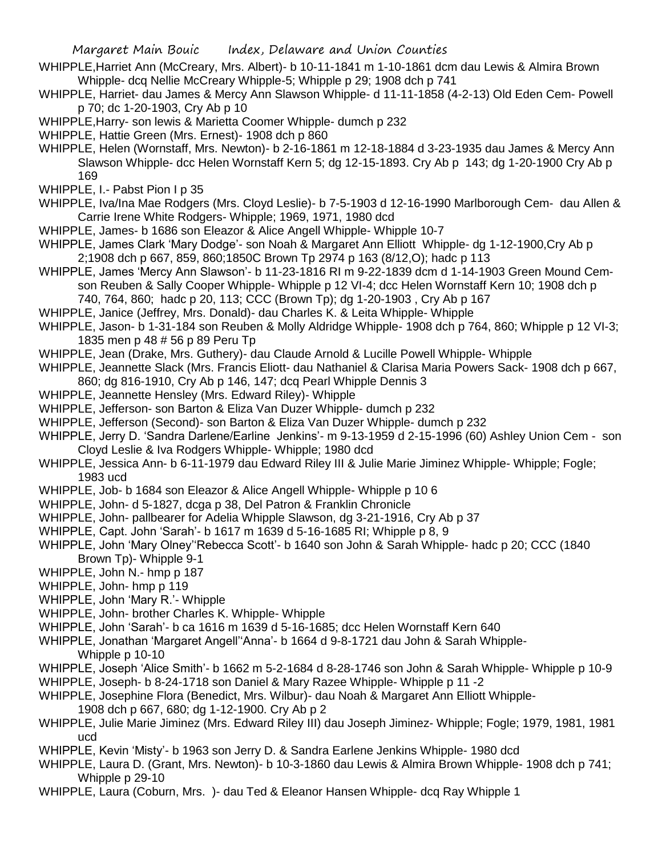- WHIPPLE,Harriet Ann (McCreary, Mrs. Albert)- b 10-11-1841 m 1-10-1861 dcm dau Lewis & Almira Brown Whipple- dcq Nellie McCreary Whipple-5; Whipple p 29; 1908 dch p 741
- WHIPPLE, Harriet- dau James & Mercy Ann Slawson Whipple- d 11-11-1858 (4-2-13) Old Eden Cem- Powell p 70; dc 1-20-1903, Cry Ab p 10
- WHIPPLE,Harry- son lewis & Marietta Coomer Whipple- dumch p 232
- WHIPPLE, Hattie Green (Mrs. Ernest)- 1908 dch p 860
- WHIPPLE, Helen (Wornstaff, Mrs. Newton)- b 2-16-1861 m 12-18-1884 d 3-23-1935 dau James & Mercy Ann Slawson Whipple- dcc Helen Wornstaff Kern 5; dg 12-15-1893. Cry Ab p 143; dg 1-20-1900 Cry Ab p 169
- WHIPPLE, I.- Pabst Pion I p 35
- WHIPPLE, Iva/Ina Mae Rodgers (Mrs. Cloyd Leslie)- b 7-5-1903 d 12-16-1990 Marlborough Cem- dau Allen & Carrie Irene White Rodgers- Whipple; 1969, 1971, 1980 dcd
- WHIPPLE, James- b 1686 son Eleazor & Alice Angell Whipple- Whipple 10-7
- WHIPPLE, James Clark 'Mary Dodge'- son Noah & Margaret Ann Elliott Whipple- dg 1-12-1900,Cry Ab p 2;1908 dch p 667, 859, 860;1850C Brown Tp 2974 p 163 (8/12,O); hadc p 113
- WHIPPLE, James 'Mercy Ann Slawson'- b 11-23-1816 RI m 9-22-1839 dcm d 1-14-1903 Green Mound Cemson Reuben & Sally Cooper Whipple- Whipple p 12 VI-4; dcc Helen Wornstaff Kern 10; 1908 dch p 740, 764, 860; hadc p 20, 113; CCC (Brown Tp); dg 1-20-1903 , Cry Ab p 167
- WHIPPLE, Janice (Jeffrey, Mrs. Donald)- dau Charles K. & Leita Whipple- Whipple
- WHIPPLE, Jason- b 1-31-184 son Reuben & Molly Aldridge Whipple- 1908 dch p 764, 860; Whipple p 12 VI-3; 1835 men p 48 # 56 p 89 Peru Tp
- WHIPPLE, Jean (Drake, Mrs. Guthery)- dau Claude Arnold & Lucille Powell Whipple- Whipple
- WHIPPLE, Jeannette Slack (Mrs. Francis Eliott- dau Nathaniel & Clarisa Maria Powers Sack- 1908 dch p 667,
- 860; dg 816-1910, Cry Ab p 146, 147; dcq Pearl Whipple Dennis 3
- WHIPPLE, Jeannette Hensley (Mrs. Edward Riley)- Whipple
- WHIPPLE, Jefferson- son Barton & Eliza Van Duzer Whipple- dumch p 232
- WHIPPLE, Jefferson (Second)- son Barton & Eliza Van Duzer Whipple- dumch p 232
- WHIPPLE, Jerry D. 'Sandra Darlene/Earline Jenkins'- m 9-13-1959 d 2-15-1996 (60) Ashley Union Cem son Cloyd Leslie & Iva Rodgers Whipple- Whipple; 1980 dcd
- WHIPPLE, Jessica Ann- b 6-11-1979 dau Edward Riley III & Julie Marie Jiminez Whipple- Whipple; Fogle; 1983 ucd
- WHIPPLE, Job- b 1684 son Eleazor & Alice Angell Whipple- Whipple p 10 6
- WHIPPLE, John- d 5-1827, dcga p 38, Del Patron & Franklin Chronicle
- WHIPPLE, John- pallbearer for Adelia Whipple Slawson, dg 3-21-1916, Cry Ab p 37
- WHIPPLE, Capt. John 'Sarah'- b 1617 m 1639 d 5-16-1685 RI; Whipple p 8, 9
- WHIPPLE, John 'Mary Olney''Rebecca Scott'- b 1640 son John & Sarah Whipple- hadc p 20; CCC (1840 Brown Tp)- Whipple 9-1
- WHIPPLE, John N.- hmp p 187
- WHIPPLE, John- hmp p 119
- WHIPPLE, John 'Mary R.'- Whipple
- WHIPPLE, John- brother Charles K. Whipple- Whipple
- WHIPPLE, John 'Sarah'- b ca 1616 m 1639 d 5-16-1685; dcc Helen Wornstaff Kern 640
- WHIPPLE, Jonathan 'Margaret Angell''Anna'- b 1664 d 9-8-1721 dau John & Sarah Whipple-Whipple p 10-10
- WHIPPLE, Joseph 'Alice Smith'- b 1662 m 5-2-1684 d 8-28-1746 son John & Sarah Whipple- Whipple p 10-9
- WHIPPLE, Joseph- b 8-24-1718 son Daniel & Mary Razee Whipple- Whipple p 11 -2
- WHIPPLE, Josephine Flora (Benedict, Mrs. Wilbur)- dau Noah & Margaret Ann Elliott Whipple-1908 dch p 667, 680; dg 1-12-1900. Cry Ab p 2
- WHIPPLE, Julie Marie Jiminez (Mrs. Edward Riley III) dau Joseph Jiminez- Whipple; Fogle; 1979, 1981, 1981 ucd
- WHIPPLE, Kevin 'Misty'- b 1963 son Jerry D. & Sandra Earlene Jenkins Whipple- 1980 dcd
- WHIPPLE, Laura D. (Grant, Mrs. Newton)- b 10-3-1860 dau Lewis & Almira Brown Whipple- 1908 dch p 741; Whipple p 29-10
- WHIPPLE, Laura (Coburn, Mrs. )- dau Ted & Eleanor Hansen Whipple- dcq Ray Whipple 1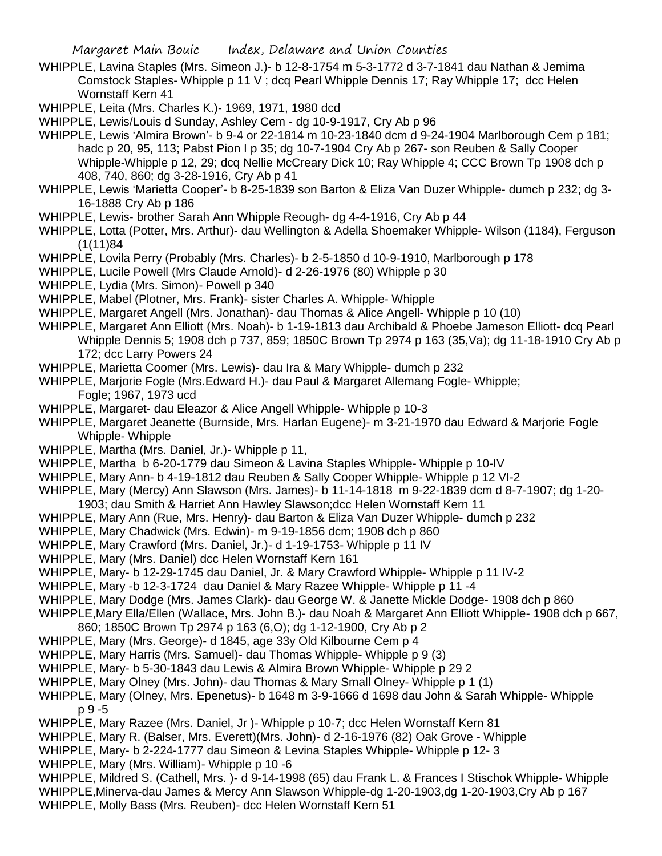- WHIPPLE, Lavina Staples (Mrs. Simeon J.)- b 12-8-1754 m 5-3-1772 d 3-7-1841 dau Nathan & Jemima Comstock Staples- Whipple p 11 V ; dcq Pearl Whipple Dennis 17; Ray Whipple 17; dcc Helen Wornstaff Kern 41
- WHIPPLE, Leita (Mrs. Charles K.)- 1969, 1971, 1980 dcd

WHIPPLE, Lewis/Louis d Sunday, Ashley Cem - dg 10-9-1917, Cry Ab p 96

- WHIPPLE, Lewis 'Almira Brown'- b 9-4 or 22-1814 m 10-23-1840 dcm d 9-24-1904 Marlborough Cem p 181; hadc p 20, 95, 113; Pabst Pion I p 35; dg 10-7-1904 Cry Ab p 267- son Reuben & Sally Cooper Whipple-Whipple p 12, 29; dcq Nellie McCreary Dick 10; Ray Whipple 4; CCC Brown Tp 1908 dch p 408, 740, 860; dg 3-28-1916, Cry Ab p 41
- WHIPPLE, Lewis 'Marietta Cooper'- b 8-25-1839 son Barton & Eliza Van Duzer Whipple- dumch p 232; dg 3- 16-1888 Cry Ab p 186
- WHIPPLE, Lewis- brother Sarah Ann Whipple Reough- dg 4-4-1916, Cry Ab p 44
- WHIPPLE, Lotta (Potter, Mrs. Arthur)- dau Wellington & Adella Shoemaker Whipple- Wilson (1184), Ferguson (1(11)84
- WHIPPLE, Lovila Perry (Probably (Mrs. Charles)- b 2-5-1850 d 10-9-1910, Marlborough p 178
- WHIPPLE, Lucile Powell (Mrs Claude Arnold)- d 2-26-1976 (80) Whipple p 30
- WHIPPLE, Lydia (Mrs. Simon)- Powell p 340
- WHIPPLE, Mabel (Plotner, Mrs. Frank)- sister Charles A. Whipple- Whipple
- WHIPPLE, Margaret Angell (Mrs. Jonathan)- dau Thomas & Alice Angell- Whipple p 10 (10)
- WHIPPLE, Margaret Ann Elliott (Mrs. Noah)- b 1-19-1813 dau Archibald & Phoebe Jameson Elliott- dcq Pearl Whipple Dennis 5; 1908 dch p 737, 859; 1850C Brown Tp 2974 p 163 (35,Va); dg 11-18-1910 Cry Ab p 172; dcc Larry Powers 24
- WHIPPLE, Marietta Coomer (Mrs. Lewis)- dau Ira & Mary Whipple- dumch p 232
- WHIPPLE, Marjorie Fogle (Mrs.Edward H.)- dau Paul & Margaret Allemang Fogle- Whipple; Fogle; 1967, 1973 ucd
- WHIPPLE, Margaret- dau Eleazor & Alice Angell Whipple- Whipple p 10-3
- WHIPPLE, Margaret Jeanette (Burnside, Mrs. Harlan Eugene)- m 3-21-1970 dau Edward & Marjorie Fogle Whipple- Whipple
- WHIPPLE, Martha (Mrs. Daniel, Jr.)- Whipple p 11,
- WHIPPLE, Martha b 6-20-1779 dau Simeon & Lavina Staples Whipple- Whipple p 10-IV
- WHIPPLE, Mary Ann- b 4-19-1812 dau Reuben & Sally Cooper Whipple- Whipple p 12 VI-2
- WHIPPLE, Mary (Mercy) Ann Slawson (Mrs. James)- b 11-14-1818 m 9-22-1839 dcm d 8-7-1907; dg 1-20- 1903; dau Smith & Harriet Ann Hawley Slawson;dcc Helen Wornstaff Kern 11
- WHIPPLE, Mary Ann (Rue, Mrs. Henry)- dau Barton & Eliza Van Duzer Whipple- dumch p 232
- WHIPPLE, Mary Chadwick (Mrs. Edwin)- m 9-19-1856 dcm; 1908 dch p 860
- WHIPPLE, Mary Crawford (Mrs. Daniel, Jr.)- d 1-19-1753- Whipple p 11 IV
- WHIPPLE, Mary (Mrs. Daniel) dcc Helen Wornstaff Kern 161
- WHIPPLE, Mary- b 12-29-1745 dau Daniel, Jr. & Mary Crawford Whipple- Whipple p 11 IV-2
- WHIPPLE, Mary -b 12-3-1724 dau Daniel & Mary Razee Whipple- Whipple p 11 -4
- WHIPPLE, Mary Dodge (Mrs. James Clark)- dau George W. & Janette Mickle Dodge- 1908 dch p 860
- WHIPPLE,Mary Ella/Ellen (Wallace, Mrs. John B.)- dau Noah & Margaret Ann Elliott Whipple- 1908 dch p 667, 860; 1850C Brown Tp 2974 p 163 (6,O); dg 1-12-1900, Cry Ab p 2
- WHIPPLE, Mary (Mrs. George)- d 1845, age 33y Old Kilbourne Cem p 4
- 
- WHIPPLE, Mary Harris (Mrs. Samuel)- dau Thomas Whipple- Whipple p 9 (3)
- WHIPPLE, Mary- b 5-30-1843 dau Lewis & Almira Brown Whipple- Whipple p 29 2
- WHIPPLE, Mary Olney (Mrs. John)- dau Thomas & Mary Small Olney- Whipple p 1 (1)
- WHIPPLE, Mary (Olney, Mrs. Epenetus)- b 1648 m 3-9-1666 d 1698 dau John & Sarah Whipple- Whipple p 9 -5
- WHIPPLE, Mary Razee (Mrs. Daniel, Jr )- Whipple p 10-7; dcc Helen Wornstaff Kern 81
- WHIPPLE, Mary R. (Balser, Mrs. Everett)(Mrs. John)- d 2-16-1976 (82) Oak Grove Whipple
- WHIPPLE, Mary- b 2-224-1777 dau Simeon & Levina Staples Whipple- Whipple p 12- 3
- WHIPPLE, Mary (Mrs. William)- Whipple p 10 -6
- WHIPPLE, Mildred S. (Cathell, Mrs. )- d 9-14-1998 (65) dau Frank L. & Frances I Stischok Whipple- Whipple
- WHIPPLE,Minerva-dau James & Mercy Ann Slawson Whipple-dg 1-20-1903,dg 1-20-1903,Cry Ab p 167
- WHIPPLE, Molly Bass (Mrs. Reuben)- dcc Helen Wornstaff Kern 51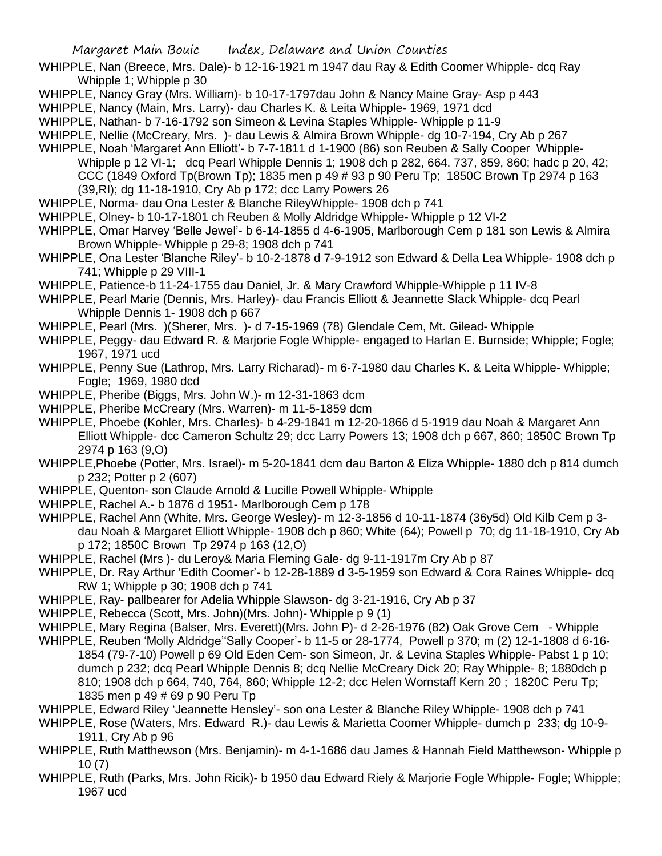- WHIPPLE, Nan (Breece, Mrs. Dale)- b 12-16-1921 m 1947 dau Ray & Edith Coomer Whipple- dcq Ray Whipple 1; Whipple p 30
- WHIPPLE, Nancy Gray (Mrs. William)- b 10-17-1797dau John & Nancy Maine Gray- Asp p 443
- WHIPPLE, Nancy (Main, Mrs. Larry)- dau Charles K. & Leita Whipple- 1969, 1971 dcd
- WHIPPLE, Nathan- b 7-16-1792 son Simeon & Levina Staples Whipple- Whipple p 11-9
- WHIPPLE, Nellie (McCreary, Mrs. )- dau Lewis & Almira Brown Whipple- dg 10-7-194, Cry Ab p 267
- WHIPPLE, Noah 'Margaret Ann Elliott'- b 7-7-1811 d 1-1900 (86) son Reuben & Sally Cooper Whipple-Whipple p 12 VI-1; dcq Pearl Whipple Dennis 1; 1908 dch p 282, 664. 737, 859, 860; hadc p 20, 42; CCC (1849 Oxford Tp(Brown Tp); 1835 men p 49 # 93 p 90 Peru Tp; 1850C Brown Tp 2974 p 163 (39,RI); dg 11-18-1910, Cry Ab p 172; dcc Larry Powers 26
- WHIPPLE, Norma- dau Ona Lester & Blanche RileyWhipple- 1908 dch p 741
- WHIPPLE, Olney- b 10-17-1801 ch Reuben & Molly Aldridge Whipple- Whipple p 12 VI-2
- WHIPPLE, Omar Harvey 'Belle Jewel'- b 6-14-1855 d 4-6-1905, Marlborough Cem p 181 son Lewis & Almira Brown Whipple- Whipple p 29-8; 1908 dch p 741
- WHIPPLE, Ona Lester 'Blanche Riley'- b 10-2-1878 d 7-9-1912 son Edward & Della Lea Whipple- 1908 dch p 741; Whipple p 29 VIII-1
- WHIPPLE, Patience-b 11-24-1755 dau Daniel, Jr. & Mary Crawford Whipple-Whipple p 11 IV-8
- WHIPPLE, Pearl Marie (Dennis, Mrs. Harley)- dau Francis Elliott & Jeannette Slack Whipple- dcq Pearl Whipple Dennis 1- 1908 dch p 667
- WHIPPLE, Pearl (Mrs. )(Sherer, Mrs. )- d 7-15-1969 (78) Glendale Cem, Mt. Gilead- Whipple
- WHIPPLE, Peggy- dau Edward R. & Marjorie Fogle Whipple- engaged to Harlan E. Burnside; Whipple; Fogle; 1967, 1971 ucd
- WHIPPLE, Penny Sue (Lathrop, Mrs. Larry Richarad)- m 6-7-1980 dau Charles K. & Leita Whipple- Whipple; Fogle; 1969, 1980 dcd
- WHIPPLE, Pheribe (Biggs, Mrs. John W.)- m 12-31-1863 dcm
- WHIPPLE, Pheribe McCreary (Mrs. Warren)- m 11-5-1859 dcm
- WHIPPLE, Phoebe (Kohler, Mrs. Charles)- b 4-29-1841 m 12-20-1866 d 5-1919 dau Noah & Margaret Ann Elliott Whipple- dcc Cameron Schultz 29; dcc Larry Powers 13; 1908 dch p 667, 860; 1850C Brown Tp 2974 p 163 (9,O)
- WHIPPLE,Phoebe (Potter, Mrs. Israel)- m 5-20-1841 dcm dau Barton & Eliza Whipple- 1880 dch p 814 dumch p 232; Potter p 2 (607)
- WHIPPLE, Quenton- son Claude Arnold & Lucille Powell Whipple- Whipple
- WHIPPLE, Rachel A.- b 1876 d 1951- Marlborough Cem p 178
- WHIPPLE, Rachel Ann (White, Mrs. George Wesley)- m 12-3-1856 d 10-11-1874 (36y5d) Old Kilb Cem p 3 dau Noah & Margaret Elliott Whipple- 1908 dch p 860; White (64); Powell p 70; dg 11-18-1910, Cry Ab p 172; 1850C Brown Tp 2974 p 163 (12,O)
- WHIPPLE, Rachel (Mrs )- du Leroy& Maria Fleming Gale- dg 9-11-1917m Cry Ab p 87
- WHIPPLE, Dr. Ray Arthur 'Edith Coomer'- b 12-28-1889 d 3-5-1959 son Edward & Cora Raines Whipple- dcq RW 1; Whipple p 30; 1908 dch p 741
- WHIPPLE, Ray- pallbearer for Adelia Whipple Slawson- dg 3-21-1916, Cry Ab p 37
- WHIPPLE, Rebecca (Scott, Mrs. John)(Mrs. John)- Whipple p 9 (1)
- WHIPPLE, Mary Regina (Balser, Mrs. Everett)(Mrs. John P)- d 2-26-1976 (82) Oak Grove Cem Whipple
- WHIPPLE, Reuben 'Molly Aldridge''Sally Cooper'- b 11-5 or 28-1774, Powell p 370; m (2) 12-1-1808 d 6-16- 1854 (79-7-10) Powell p 69 Old Eden Cem- son Simeon, Jr. & Levina Staples Whipple- Pabst 1 p 10; dumch p 232; dcq Pearl Whipple Dennis 8; dcq Nellie McCreary Dick 20; Ray Whipple- 8; 1880dch p 810; 1908 dch p 664, 740, 764, 860; Whipple 12-2; dcc Helen Wornstaff Kern 20 ; 1820C Peru Tp; 1835 men p 49 # 69 p 90 Peru Tp
- WHIPPLE, Edward Riley 'Jeannette Hensley'- son ona Lester & Blanche Riley Whipple- 1908 dch p 741
- WHIPPLE, Rose (Waters, Mrs. Edward R.)- dau Lewis & Marietta Coomer Whipple- dumch p 233; dg 10-9- 1911, Cry Ab p 96
- WHIPPLE, Ruth Matthewson (Mrs. Benjamin)- m 4-1-1686 dau James & Hannah Field Matthewson- Whipple p 10 (7)
- WHIPPLE, Ruth (Parks, Mrs. John Ricik)- b 1950 dau Edward Riely & Marjorie Fogle Whipple- Fogle; Whipple; 1967 ucd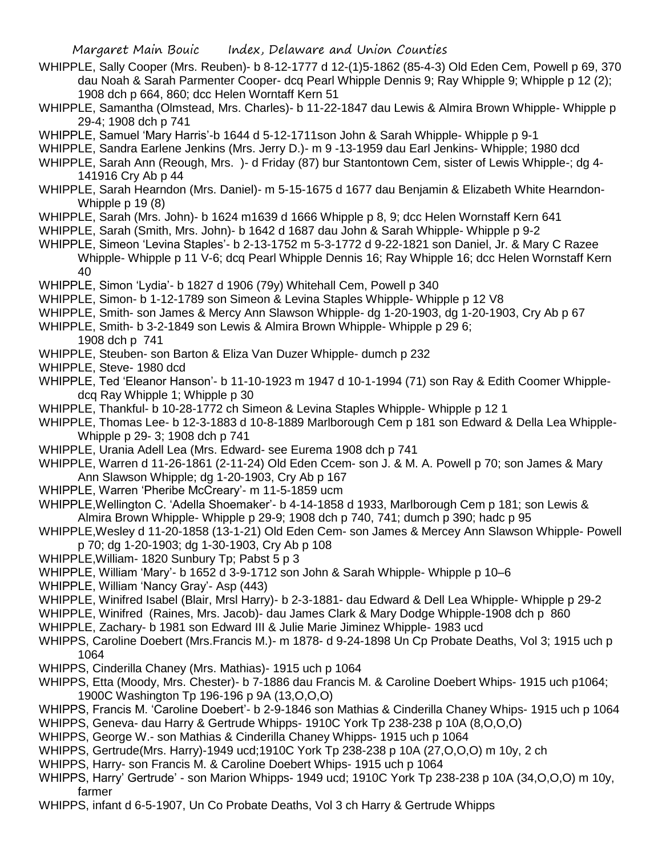- WHIPPLE, Sally Cooper (Mrs. Reuben)- b 8-12-1777 d 12-(1)5-1862 (85-4-3) Old Eden Cem, Powell p 69, 370 dau Noah & Sarah Parmenter Cooper- dcq Pearl Whipple Dennis 9; Ray Whipple 9; Whipple p 12 (2); 1908 dch p 664, 860; dcc Helen Worntaff Kern 51
- WHIPPLE, Samantha (Olmstead, Mrs. Charles)- b 11-22-1847 dau Lewis & Almira Brown Whipple- Whipple p 29-4; 1908 dch p 741
- WHIPPLE, Samuel 'Mary Harris'-b 1644 d 5-12-1711son John & Sarah Whipple- Whipple p 9-1
- WHIPPLE, Sandra Earlene Jenkins (Mrs. Jerry D.)- m 9 -13-1959 dau Earl Jenkins- Whipple; 1980 dcd
- WHIPPLE, Sarah Ann (Reough, Mrs. )- d Friday (87) bur Stantontown Cem, sister of Lewis Whipple-; dg 4- 141916 Cry Ab p 44
- WHIPPLE, Sarah Hearndon (Mrs. Daniel)- m 5-15-1675 d 1677 dau Benjamin & Elizabeth White Hearndon-Whipple p 19 (8)
- WHIPPLE, Sarah (Mrs. John)- b 1624 m1639 d 1666 Whipple p 8, 9; dcc Helen Wornstaff Kern 641
- WHIPPLE, Sarah (Smith, Mrs. John)- b 1642 d 1687 dau John & Sarah Whipple- Whipple p 9-2
- WHIPPLE, Simeon 'Levina Staples'- b 2-13-1752 m 5-3-1772 d 9-22-1821 son Daniel, Jr. & Mary C Razee Whipple- Whipple p 11 V-6; dcq Pearl Whipple Dennis 16; Ray Whipple 16; dcc Helen Wornstaff Kern 40
- WHIPPLE, Simon 'Lydia'- b 1827 d 1906 (79y) Whitehall Cem, Powell p 340
- WHIPPLE, Simon- b 1-12-1789 son Simeon & Levina Staples Whipple- Whipple p 12 V8
- WHIPPLE, Smith- son James & Mercy Ann Slawson Whipple- dg 1-20-1903, dg 1-20-1903, Cry Ab p 67
- WHIPPLE, Smith- b 3-2-1849 son Lewis & Almira Brown Whipple- Whipple p 29 6; 1908 dch p 741
- WHIPPLE, Steuben- son Barton & Eliza Van Duzer Whipple- dumch p 232
- WHIPPLE, Steve- 1980 dcd
- WHIPPLE, Ted 'Eleanor Hanson'- b 11-10-1923 m 1947 d 10-1-1994 (71) son Ray & Edith Coomer Whippledcq Ray Whipple 1; Whipple p 30
- WHIPPLE, Thankful- b 10-28-1772 ch Simeon & Levina Staples Whipple- Whipple p 12 1
- WHIPPLE, Thomas Lee- b 12-3-1883 d 10-8-1889 Marlborough Cem p 181 son Edward & Della Lea Whipple-Whipple p 29- 3; 1908 dch p 741
- WHIPPLE, Urania Adell Lea (Mrs. Edward- see Eurema 1908 dch p 741
- WHIPPLE, Warren d 11-26-1861 (2-11-24) Old Eden Ccem- son J. & M. A. Powell p 70; son James & Mary Ann Slawson Whipple; dg 1-20-1903, Cry Ab p 167
- WHIPPLE, Warren 'Pheribe McCreary'- m 11-5-1859 ucm
- WHIPPLE,Wellington C. 'Adella Shoemaker'- b 4-14-1858 d 1933, Marlborough Cem p 181; son Lewis & Almira Brown Whipple- Whipple p 29-9; 1908 dch p 740, 741; dumch p 390; hadc p 95
- WHIPPLE,Wesley d 11-20-1858 (13-1-21) Old Eden Cem- son James & Mercey Ann Slawson Whipple- Powell p 70; dg 1-20-1903; dg 1-30-1903, Cry Ab p 108
- WHIPPLE,William- 1820 Sunbury Tp; Pabst 5 p 3
- WHIPPLE, William 'Mary'- b 1652 d 3-9-1712 son John & Sarah Whipple- Whipple p 10–6
- WHIPPLE, William 'Nancy Gray'- Asp (443)
- WHIPPLE, Winifred Isabel (Blair, Mrsl Harry)- b 2-3-1881- dau Edward & Dell Lea Whipple- Whipple p 29-2
- WHIPPLE, Winifred (Raines, Mrs. Jacob)- dau James Clark & Mary Dodge Whipple-1908 dch p 860
- WHIPPLE, Zachary- b 1981 son Edward III & Julie Marie Jiminez Whipple- 1983 ucd
- WHIPPS, Caroline Doebert (Mrs.Francis M.)- m 1878- d 9-24-1898 Un Cp Probate Deaths, Vol 3; 1915 uch p 1064
- WHIPPS, Cinderilla Chaney (Mrs. Mathias)- 1915 uch p 1064
- WHIPPS, Etta (Moody, Mrs. Chester)- b 7-1886 dau Francis M. & Caroline Doebert Whips- 1915 uch p1064; 1900C Washington Tp 196-196 p 9A (13,O,O,O)
- WHIPPS, Francis M. 'Caroline Doebert'- b 2-9-1846 son Mathias & Cinderilla Chaney Whips- 1915 uch p 1064 WHIPPS, Geneva- dau Harry & Gertrude Whipps- 1910C York Tp 238-238 p 10A (8,O,O,O)
- WHIPPS, George W.- son Mathias & Cinderilla Chaney Whipps- 1915 uch p 1064
- WHIPPS, Gertrude(Mrs. Harry)-1949 ucd;1910C York Tp 238-238 p 10A (27,O,O,O) m 10y, 2 ch
- WHIPPS, Harry- son Francis M. & Caroline Doebert Whips- 1915 uch p 1064
- WHIPPS, Harry' Gertrude' son Marion Whipps- 1949 ucd; 1910C York Tp 238-238 p 10A (34,O,O,O) m 10y, farmer
- WHIPPS, infant d 6-5-1907, Un Co Probate Deaths, Vol 3 ch Harry & Gertrude Whipps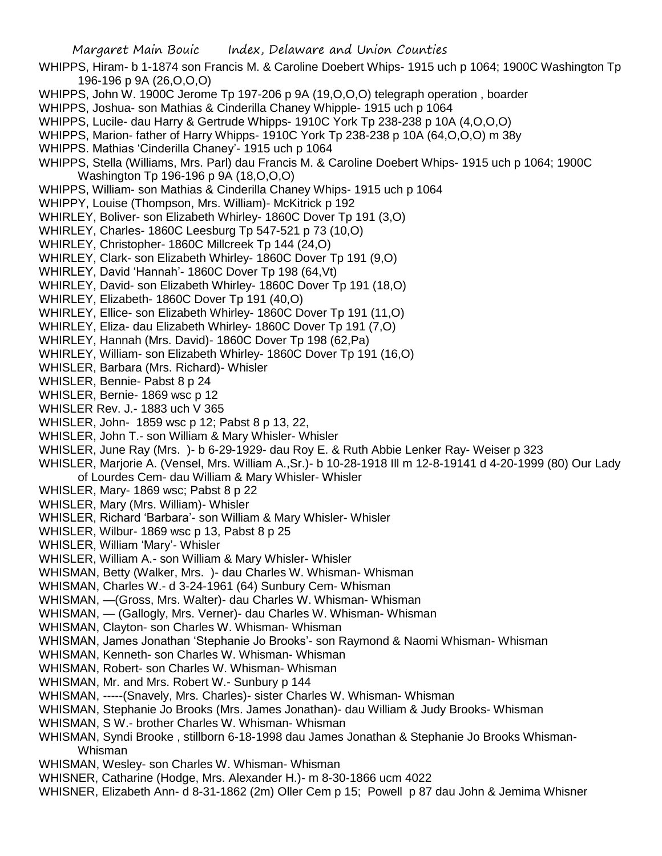- WHIPPS, Hiram- b 1-1874 son Francis M. & Caroline Doebert Whips- 1915 uch p 1064; 1900C Washington Tp 196-196 p 9A (26,O,O,O)
- WHIPPS, John W. 1900C Jerome Tp 197-206 p 9A (19,O,O,O) telegraph operation , boarder
- WHIPPS, Joshua- son Mathias & Cinderilla Chaney Whipple- 1915 uch p 1064
- WHIPPS, Lucile- dau Harry & Gertrude Whipps- 1910C York Tp 238-238 p 10A (4,O,O,O)
- WHIPPS, Marion- father of Harry Whipps- 1910C York Tp 238-238 p 10A (64,O,O,O) m 38y
- WHIPPS. Mathias 'Cinderilla Chaney'- 1915 uch p 1064
- WHIPPS, Stella (Williams, Mrs. Parl) dau Francis M. & Caroline Doebert Whips- 1915 uch p 1064; 1900C Washington Tp 196-196 p 9A (18,O,O,O)
- WHIPPS, William- son Mathias & Cinderilla Chaney Whips- 1915 uch p 1064
- WHIPPY, Louise (Thompson, Mrs. William)- McKitrick p 192
- WHIRLEY, Boliver- son Elizabeth Whirley- 1860C Dover Tp 191 (3,O)
- WHIRLEY, Charles- 1860C Leesburg Tp 547-521 p 73 (10,O)
- WHIRLEY, Christopher- 1860C Millcreek Tp 144 (24,O)
- WHIRLEY, Clark- son Elizabeth Whirley- 1860C Dover Tp 191 (9,O)
- WHIRLEY, David 'Hannah'- 1860C Dover Tp 198 (64,Vt)
- WHIRLEY, David- son Elizabeth Whirley- 1860C Dover Tp 191 (18,O)
- WHIRLEY, Elizabeth- 1860C Dover Tp 191 (40,O)
- WHIRLEY, Ellice- son Elizabeth Whirley- 1860C Dover Tp 191 (11,O)
- WHIRLEY, Eliza- dau Elizabeth Whirley- 1860C Dover Tp 191 (7,O)
- WHIRLEY, Hannah (Mrs. David)- 1860C Dover Tp 198 (62,Pa)
- WHIRLEY, William- son Elizabeth Whirley- 1860C Dover Tp 191 (16,O)
- WHISLER, Barbara (Mrs. Richard)- Whisler
- WHISLER, Bennie- Pabst 8 p 24
- WHISLER, Bernie- 1869 wsc p 12
- WHISLER Rev. J.- 1883 uch V 365
- WHISLER, John- 1859 wsc p 12; Pabst 8 p 13, 22,
- WHISLER, John T.- son William & Mary Whisler- Whisler
- WHISLER, June Ray (Mrs. )- b 6-29-1929- dau Roy E. & Ruth Abbie Lenker Ray- Weiser p 323
- WHISLER, Marjorie A. (Vensel, Mrs. William A.,Sr.)- b 10-28-1918 Ill m 12-8-19141 d 4-20-1999 (80) Our Lady of Lourdes Cem- dau William & Mary Whisler- Whisler
- WHISLER, Mary- 1869 wsc; Pabst 8 p 22
- WHISLER, Mary (Mrs. William)- Whisler
- WHISLER, Richard 'Barbara'- son William & Mary Whisler- Whisler
- WHISLER, Wilbur- 1869 wsc p 13, Pabst 8 p 25
- WHISLER, William 'Mary'- Whisler
- WHISLER, William A.- son William & Mary Whisler- Whisler
- WHISMAN, Betty (Walker, Mrs. )- dau Charles W. Whisman- Whisman
- WHISMAN, Charles W.- d 3-24-1961 (64) Sunbury Cem- Whisman
- WHISMAN, —(Gross, Mrs. Walter)- dau Charles W. Whisman- Whisman
- WHISMAN, (Gallogly, Mrs. Verner)- dau Charles W. Whisman- Whisman
- WHISMAN, Clayton- son Charles W. Whisman- Whisman
- WHISMAN, James Jonathan 'Stephanie Jo Brooks'- son Raymond & Naomi Whisman- Whisman
- WHISMAN, Kenneth- son Charles W. Whisman- Whisman
- WHISMAN, Robert- son Charles W. Whisman- Whisman
- WHISMAN, Mr. and Mrs. Robert W.- Sunbury p 144
- WHISMAN, -----(Snavely, Mrs. Charles)- sister Charles W. Whisman- Whisman
- WHISMAN, Stephanie Jo Brooks (Mrs. James Jonathan)- dau William & Judy Brooks- Whisman
- WHISMAN, S W.- brother Charles W. Whisman- Whisman
- WHISMAN, Syndi Brooke , stillborn 6-18-1998 dau James Jonathan & Stephanie Jo Brooks Whisman-Whisman
- WHISMAN, Wesley- son Charles W. Whisman- Whisman
- WHISNER, Catharine (Hodge, Mrs. Alexander H.)- m 8-30-1866 ucm 4022
- WHISNER, Elizabeth Ann- d 8-31-1862 (2m) Oller Cem p 15; Powell p 87 dau John & Jemima Whisner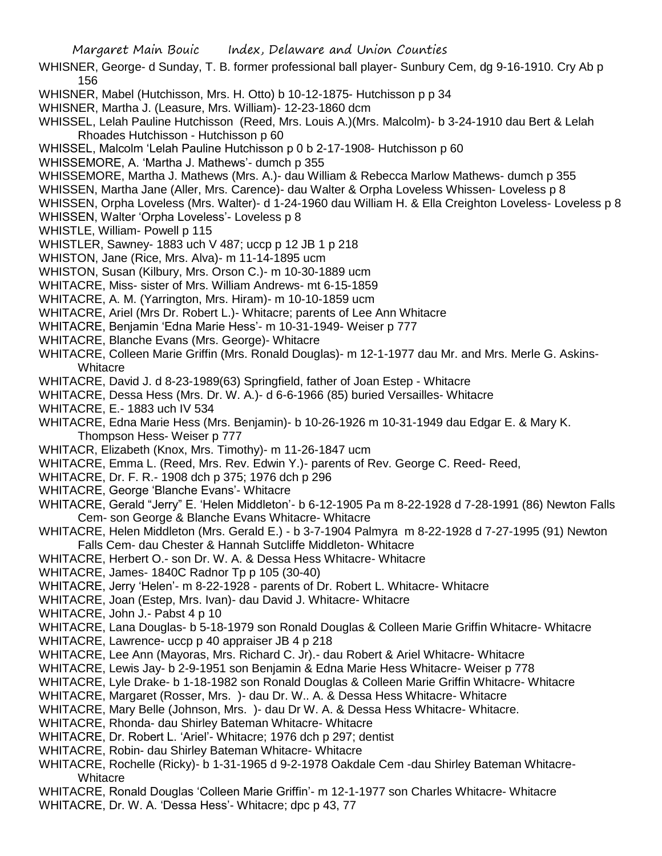WHISNER, George- d Sunday, T. B. former professional ball player- Sunbury Cem, dg 9-16-1910. Cry Ab p 156

- WHISNER, Mabel (Hutchisson, Mrs. H. Otto) b 10-12-1875- Hutchisson p p 34
- WHISNER, Martha J. (Leasure, Mrs. William)- 12-23-1860 dcm
- WHISSEL, Lelah Pauline Hutchisson (Reed, Mrs. Louis A.)(Mrs. Malcolm)- b 3-24-1910 dau Bert & Lelah Rhoades Hutchisson - Hutchisson p 60
- WHISSEL, Malcolm 'Lelah Pauline Hutchisson p 0 b 2-17-1908- Hutchisson p 60
- WHISSEMORE, A. 'Martha J. Mathews'- dumch p 355
- WHISSEMORE, Martha J. Mathews (Mrs. A.)- dau William & Rebecca Marlow Mathews- dumch p 355
- WHISSEN, Martha Jane (Aller, Mrs. Carence)- dau Walter & Orpha Loveless Whissen- Loveless p 8
- WHISSEN, Orpha Loveless (Mrs. Walter)- d 1-24-1960 dau William H. & Ella Creighton Loveless- Loveless p 8
- WHISSEN, Walter 'Orpha Loveless'- Loveless p 8
- WHISTLE, William- Powell p 115
- WHISTLER, Sawney- 1883 uch V 487; uccp p 12 JB 1 p 218
- WHISTON, Jane (Rice, Mrs. Alva)- m 11-14-1895 ucm
- WHISTON, Susan (Kilbury, Mrs. Orson C.)- m 10-30-1889 ucm
- WHITACRE, Miss- sister of Mrs. William Andrews- mt 6-15-1859
- WHITACRE, A. M. (Yarrington, Mrs. Hiram)- m 10-10-1859 ucm
- WHITACRE, Ariel (Mrs Dr. Robert L.)- Whitacre; parents of Lee Ann Whitacre
- WHITACRE, Benjamin 'Edna Marie Hess'- m 10-31-1949- Weiser p 777
- WHITACRE, Blanche Evans (Mrs. George)- Whitacre
- WHITACRE, Colleen Marie Griffin (Mrs. Ronald Douglas)- m 12-1-1977 dau Mr. and Mrs. Merle G. Askins-**Whitacre**
- WHITACRE, David J. d 8-23-1989(63) Springfield, father of Joan Estep Whitacre
- WHITACRE, Dessa Hess (Mrs. Dr. W. A.)- d 6-6-1966 (85) buried Versailles- Whitacre
- WHITACRE, E.- 1883 uch IV 534
- WHITACRE, Edna Marie Hess (Mrs. Benjamin)- b 10-26-1926 m 10-31-1949 dau Edgar E. & Mary K. Thompson Hess- Weiser p 777
- WHITACR, Elizabeth (Knox, Mrs. Timothy)- m 11-26-1847 ucm
- WHITACRE, Emma L. (Reed, Mrs. Rev. Edwin Y.)- parents of Rev. George C. Reed- Reed,
- WHITACRE, Dr. F. R.- 1908 dch p 375; 1976 dch p 296
- WHITACRE, George 'Blanche Evans'- Whitacre
- WHITACRE, Gerald "Jerry" E. 'Helen Middleton'- b 6-12-1905 Pa m 8-22-1928 d 7-28-1991 (86) Newton Falls Cem- son George & Blanche Evans Whitacre- Whitacre
- WHITACRE, Helen Middleton (Mrs. Gerald E.) b 3-7-1904 Palmyra m 8-22-1928 d 7-27-1995 (91) Newton Falls Cem- dau Chester & Hannah Sutcliffe Middleton- Whitacre
- WHITACRE, Herbert O.- son Dr. W. A. & Dessa Hess Whitacre- Whitacre
- WHITACRE, James- 1840C Radnor Tp p 105 (30-40)
- WHITACRE, Jerry 'Helen'- m 8-22-1928 parents of Dr. Robert L. Whitacre- Whitacre
- WHITACRE, Joan (Estep, Mrs. Ivan)- dau David J. Whitacre- Whitacre
- WHITACRE, John J.- Pabst 4 p 10
- WHITACRE, Lana Douglas- b 5-18-1979 son Ronald Douglas & Colleen Marie Griffin Whitacre- Whitacre
- WHITACRE, Lawrence- uccp p 40 appraiser JB 4 p 218
- WHITACRE, Lee Ann (Mayoras, Mrs. Richard C. Jr).- dau Robert & Ariel Whitacre- Whitacre
- WHITACRE, Lewis Jay- b 2-9-1951 son Benjamin & Edna Marie Hess Whitacre- Weiser p 778
- WHITACRE, Lyle Drake- b 1-18-1982 son Ronald Douglas & Colleen Marie Griffin Whitacre- Whitacre
- WHITACRE, Margaret (Rosser, Mrs. )- dau Dr. W.. A. & Dessa Hess Whitacre- Whitacre
- WHITACRE, Mary Belle (Johnson, Mrs. )- dau Dr W. A. & Dessa Hess Whitacre- Whitacre.
- WHITACRE, Rhonda- dau Shirley Bateman Whitacre- Whitacre
- WHITACRE, Dr. Robert L. 'Ariel'- Whitacre; 1976 dch p 297; dentist
- WHITACRE, Robin- dau Shirley Bateman Whitacre- Whitacre
- WHITACRE, Rochelle (Ricky)- b 1-31-1965 d 9-2-1978 Oakdale Cem -dau Shirley Bateman Whitacre-Whitacre
- WHITACRE, Ronald Douglas 'Colleen Marie Griffin'- m 12-1-1977 son Charles Whitacre- Whitacre
- WHITACRE, Dr. W. A. 'Dessa Hess'- Whitacre; dpc p 43, 77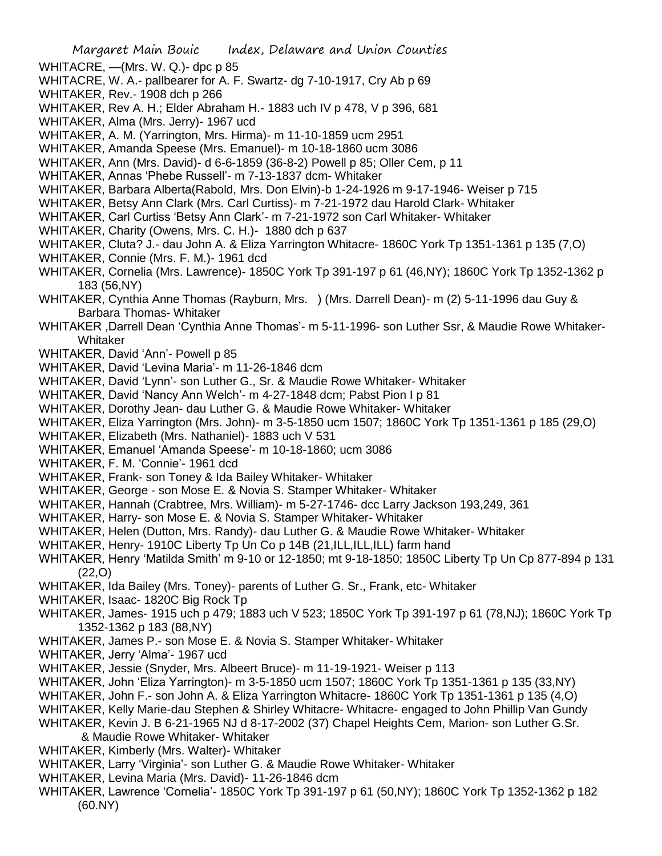- WHITACRE, —(Mrs. W. Q.)- dpc p 85
- WHITACRE, W. A.- pallbearer for A. F. Swartz- dg 7-10-1917, Cry Ab p 69
- WHITAKER, Rev.- 1908 dch p 266
- WHITAKER, Rev A. H.; Elder Abraham H.- 1883 uch IV p 478, V p 396, 681
- WHITAKER, Alma (Mrs. Jerry)- 1967 ucd
- WHITAKER, A. M. (Yarrington, Mrs. Hirma)- m 11-10-1859 ucm 2951
- WHITAKER, Amanda Speese (Mrs. Emanuel)- m 10-18-1860 ucm 3086
- WHITAKER, Ann (Mrs. David)- d 6-6-1859 (36-8-2) Powell p 85; Oller Cem, p 11
- WHITAKER, Annas 'Phebe Russell'- m 7-13-1837 dcm- Whitaker
- WHITAKER, Barbara Alberta(Rabold, Mrs. Don Elvin)-b 1-24-1926 m 9-17-1946- Weiser p 715
- WHITAKER, Betsy Ann Clark (Mrs. Carl Curtiss)- m 7-21-1972 dau Harold Clark- Whitaker
- WHITAKER, Carl Curtiss 'Betsy Ann Clark'- m 7-21-1972 son Carl Whitaker- Whitaker
- WHITAKER, Charity (Owens, Mrs. C. H.)- 1880 dch p 637
- WHITAKER, Cluta? J.- dau John A. & Eliza Yarrington Whitacre- 1860C York Tp 1351-1361 p 135 (7,O)
- WHITAKER, Connie (Mrs. F. M.)- 1961 dcd
- WHITAKER, Cornelia (Mrs. Lawrence)- 1850C York Tp 391-197 p 61 (46,NY); 1860C York Tp 1352-1362 p 183 (56,NY)
- WHITAKER, Cynthia Anne Thomas (Rayburn, Mrs. ) (Mrs. Darrell Dean)- m (2) 5-11-1996 dau Guy & Barbara Thomas- Whitaker
- WHITAKER ,Darrell Dean 'Cynthia Anne Thomas'- m 5-11-1996- son Luther Ssr, & Maudie Rowe Whitaker-Whitaker
- WHITAKER, David 'Ann'- Powell p 85
- WHITAKER, David 'Levina Maria'- m 11-26-1846 dcm
- WHITAKER, David 'Lynn'- son Luther G., Sr. & Maudie Rowe Whitaker- Whitaker
- WHITAKER, David 'Nancy Ann Welch'- m 4-27-1848 dcm; Pabst Pion I p 81
- WHITAKER, Dorothy Jean- dau Luther G. & Maudie Rowe Whitaker- Whitaker
- WHITAKER, Eliza Yarrington (Mrs. John)- m 3-5-1850 ucm 1507; 1860C York Tp 1351-1361 p 185 (29,O)
- WHITAKER, Elizabeth (Mrs. Nathaniel)- 1883 uch V 531
- WHITAKER, Emanuel 'Amanda Speese'- m 10-18-1860; ucm 3086
- WHITAKER, F. M. 'Connie'- 1961 dcd
- WHITAKER, Frank- son Toney & Ida Bailey Whitaker- Whitaker
- WHITAKER, George son Mose E. & Novia S. Stamper Whitaker- Whitaker
- WHITAKER, Hannah (Crabtree, Mrs. William)- m 5-27-1746- dcc Larry Jackson 193,249, 361
- WHITAKER, Harry- son Mose E. & Novia S. Stamper Whitaker- Whitaker
- WHITAKER, Helen (Dutton, Mrs. Randy)- dau Luther G. & Maudie Rowe Whitaker- Whitaker
- WHITAKER, Henry- 1910C Liberty Tp Un Co p 14B (21, ILL, ILL, ILL) farm hand
- WHITAKER, Henry 'Matilda Smith' m 9-10 or 12-1850; mt 9-18-1850; 1850C Liberty Tp Un Cp 877-894 p 131 (22,O)
- WHITAKER, Ida Bailey (Mrs. Toney)- parents of Luther G. Sr., Frank, etc- Whitaker
- WHITAKER, Isaac- 1820C Big Rock Tp
- WHITAKER, James- 1915 uch p 479; 1883 uch V 523; 1850C York Tp 391-197 p 61 (78,NJ); 1860C York Tp 1352-1362 p 183 (88,NY)
- WHITAKER, James P.- son Mose E. & Novia S. Stamper Whitaker- Whitaker
- WHITAKER, Jerry 'Alma'- 1967 ucd
- WHITAKER, Jessie (Snyder, Mrs. Albeert Bruce)- m 11-19-1921- Weiser p 113
- WHITAKER, John 'Eliza Yarrington)- m 3-5-1850 ucm 1507; 1860C York Tp 1351-1361 p 135 (33,NY)
- WHITAKER, John F.- son John A. & Eliza Yarrington Whitacre- 1860C York Tp 1351-1361 p 135 (4,O)
- WHITAKER, Kelly Marie-dau Stephen & Shirley Whitacre- Whitacre- engaged to John Phillip Van Gundy
- WHITAKER, Kevin J. B 6-21-1965 NJ d 8-17-2002 (37) Chapel Heights Cem, Marion- son Luther G.Sr.
- & Maudie Rowe Whitaker- Whitaker
- WHITAKER, Kimberly (Mrs. Walter)- Whitaker
- WHITAKER, Larry 'Virginia'- son Luther G. & Maudie Rowe Whitaker- Whitaker
- WHITAKER, Levina Maria (Mrs. David)- 11-26-1846 dcm
- WHITAKER, Lawrence 'Cornelia'- 1850C York Tp 391-197 p 61 (50,NY); 1860C York Tp 1352-1362 p 182 (60.NY)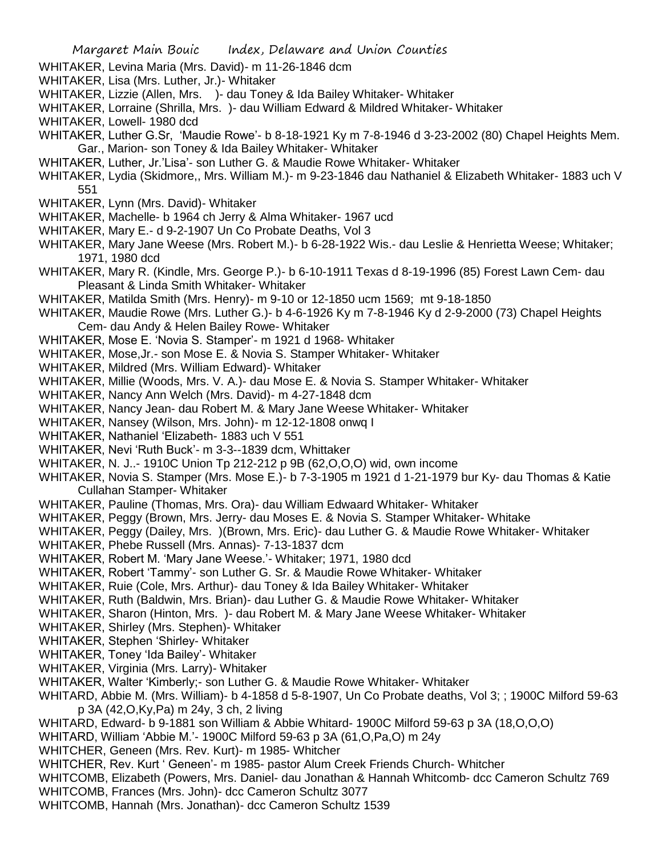- WHITAKER, Levina Maria (Mrs. David)- m 11-26-1846 dcm
- WHITAKER, Lisa (Mrs. Luther, Jr.)- Whitaker
- WHITAKER, Lizzie (Allen, Mrs. )- dau Toney & Ida Bailey Whitaker- Whitaker
- WHITAKER, Lorraine (Shrilla, Mrs. )- dau William Edward & Mildred Whitaker- Whitaker
- WHITAKER, Lowell- 1980 dcd
- WHITAKER, Luther G.Sr, 'Maudie Rowe'- b 8-18-1921 Ky m 7-8-1946 d 3-23-2002 (80) Chapel Heights Mem. Gar., Marion- son Toney & Ida Bailey Whitaker- Whitaker
- WHITAKER, Luther, Jr.'Lisa'- son Luther G. & Maudie Rowe Whitaker- Whitaker
- WHITAKER, Lydia (Skidmore,, Mrs. William M.)- m 9-23-1846 dau Nathaniel & Elizabeth Whitaker- 1883 uch V 551
- WHITAKER, Lynn (Mrs. David)- Whitaker
- WHITAKER, Machelle- b 1964 ch Jerry & Alma Whitaker- 1967 ucd
- WHITAKER, Mary E.- d 9-2-1907 Un Co Probate Deaths, Vol 3
- WHITAKER, Mary Jane Weese (Mrs. Robert M.)- b 6-28-1922 Wis.- dau Leslie & Henrietta Weese; Whitaker; 1971, 1980 dcd
- WHITAKER, Mary R. (Kindle, Mrs. George P.)- b 6-10-1911 Texas d 8-19-1996 (85) Forest Lawn Cem- dau Pleasant & Linda Smith Whitaker- Whitaker
- WHITAKER, Matilda Smith (Mrs. Henry)- m 9-10 or 12-1850 ucm 1569; mt 9-18-1850
- WHITAKER, Maudie Rowe (Mrs. Luther G.)- b 4-6-1926 Ky m 7-8-1946 Ky d 2-9-2000 (73) Chapel Heights Cem- dau Andy & Helen Bailey Rowe- Whitaker
- WHITAKER, Mose E. 'Novia S. Stamper'- m 1921 d 1968- Whitaker
- WHITAKER, Mose,Jr.- son Mose E. & Novia S. Stamper Whitaker- Whitaker
- WHITAKER, Mildred (Mrs. William Edward)- Whitaker
- WHITAKER, Millie (Woods, Mrs. V. A.)- dau Mose E. & Novia S. Stamper Whitaker- Whitaker
- WHITAKER, Nancy Ann Welch (Mrs. David)- m 4-27-1848 dcm
- WHITAKER, Nancy Jean- dau Robert M. & Mary Jane Weese Whitaker- Whitaker
- WHITAKER, Nansey (Wilson, Mrs. John)- m 12-12-1808 onwq I
- WHITAKER, Nathaniel 'Elizabeth- 1883 uch V 551
- WHITAKER, Nevi 'Ruth Buck'- m 3-3--1839 dcm, Whittaker
- WHITAKER, N. J..- 1910C Union Tp 212-212 p 9B (62,O,O,O) wid, own income
- WHITAKER, Novia S. Stamper (Mrs. Mose E.)- b 7-3-1905 m 1921 d 1-21-1979 bur Ky- dau Thomas & Katie Cullahan Stamper- Whitaker
- WHITAKER, Pauline (Thomas, Mrs. Ora)- dau William Edwaard Whitaker- Whitaker
- WHITAKER, Peggy (Brown, Mrs. Jerry- dau Moses E. & Novia S. Stamper Whitaker- Whitake
- WHITAKER, Peggy (Dailey, Mrs. )(Brown, Mrs. Eric)- dau Luther G. & Maudie Rowe Whitaker- Whitaker
- WHITAKER, Phebe Russell (Mrs. Annas)- 7-13-1837 dcm
- WHITAKER, Robert M. 'Mary Jane Weese.'- Whitaker; 1971, 1980 dcd
- WHITAKER, Robert 'Tammy'- son Luther G. Sr. & Maudie Rowe Whitaker- Whitaker
- WHITAKER, Ruie (Cole, Mrs. Arthur)- dau Toney & Ida Bailey Whitaker- Whitaker
- WHITAKER, Ruth (Baldwin, Mrs. Brian)- dau Luther G. & Maudie Rowe Whitaker- Whitaker
- WHITAKER, Sharon (Hinton, Mrs. )- dau Robert M. & Mary Jane Weese Whitaker- Whitaker
- WHITAKER, Shirley (Mrs. Stephen)- Whitaker
- WHITAKER, Stephen 'Shirley- Whitaker
- WHITAKER, Toney 'Ida Bailey'- Whitaker
- WHITAKER, Virginia (Mrs. Larry)- Whitaker
- WHITAKER, Walter 'Kimberly;- son Luther G. & Maudie Rowe Whitaker- Whitaker
- WHITARD, Abbie M. (Mrs. William)- b 4-1858 d 5-8-1907, Un Co Probate deaths, Vol 3; ; 1900C Milford 59-63 p 3A (42,O,Ky,Pa) m 24y, 3 ch, 2 living
- WHITARD, Edward- b 9-1881 son William & Abbie Whitard- 1900C Milford 59-63 p 3A (18,O,O,O)
- WHITARD, William 'Abbie M.'- 1900C Milford 59-63 p 3A (61,O,Pa,O) m 24y
- WHITCHER, Geneen (Mrs. Rev. Kurt)- m 1985- Whitcher
- WHITCHER, Rev. Kurt ' Geneen'- m 1985- pastor Alum Creek Friends Church- Whitcher
- WHITCOMB, Elizabeth (Powers, Mrs. Daniel- dau Jonathan & Hannah Whitcomb- dcc Cameron Schultz 769
- WHITCOMB, Frances (Mrs. John)- dcc Cameron Schultz 3077
- WHITCOMB, Hannah (Mrs. Jonathan)- dcc Cameron Schultz 1539